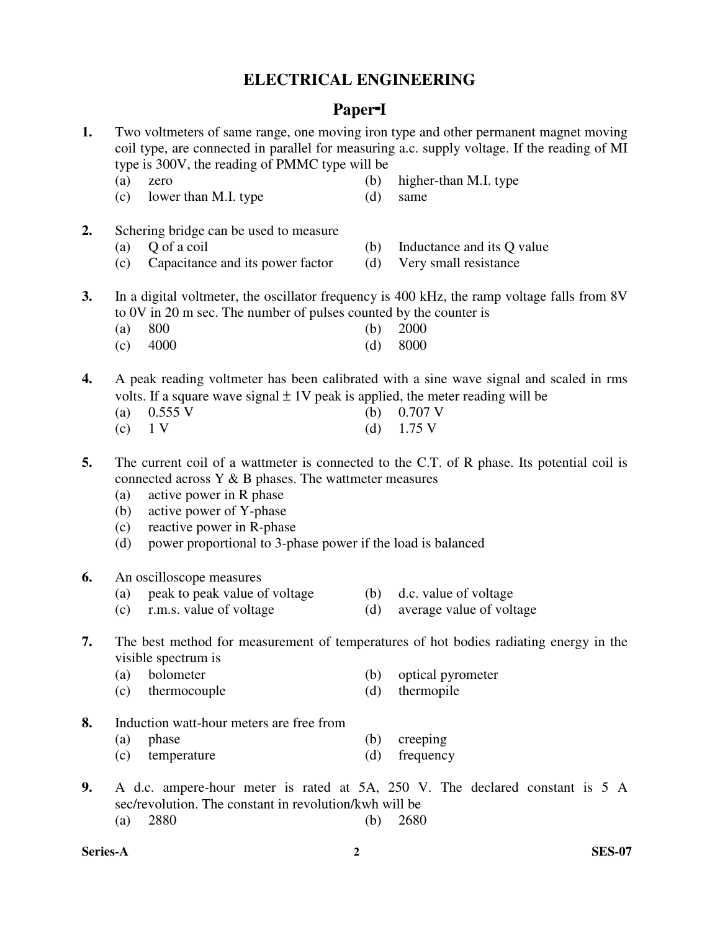## **ELECTRICAL ENGINEERING**

## **Paper**-**<sup>I</sup>**

- **1.** Two voltmeters of same range, one moving iron type and other permanent magnet moving coil type, are connected in parallel for measuring a.c. supply voltage. If the reading of MI type is 300V, the reading of PMMC type will be
	-
	- (a) zero (b) higher-than M.I. type
	- (c) lower than M.I. type (d) same
- **2.** Schering bridge can be used to measure
	-
	- (a) Q of a coil (b) Inductance and its Q value
	- (c) Capacitance and its power factor (d) Very small resistance
- **3.** In a digital voltmeter, the oscillator frequency is 400 kHz, the ramp voltage falls from 8V to 0V in 20 m sec. The number of pulses counted by the counter is
- (a) 800 (b) 2000
	- (c) 4000 (d) 8000
- **4.** A peak reading voltmeter has been calibrated with a sine wave signal and scaled in rms volts. If a square wave signal  $\pm 1V$  peak is applied, the meter reading will be
	- (a)  $0.555 \text{ V}$  (b)  $0.707 \text{ V}$
	- (c)  $1 \text{ V}$  (d)  $1.75 \text{ V}$
- **5.** The current coil of a wattmeter is connected to the C.T. of R phase. Its potential coil is connected across Y & B phases. The wattmeter measures
	- (a) active power in R phase
	- (b) active power of Y-phase
	- (c) reactive power in R-phase
	- (d) power proportional to 3-phase power if the load is balanced
- **6.** An oscilloscope measures
	- (a) peak to peak value of voltage (b) d.c. value of voltage
- - (c) r.m.s. value of voltage (d) average value of voltage

### **7.** The best method for measurement of temperatures of hot bodies radiating energy in the visible spectrum is

- (a) bolometer (b) optical pyrometer
- (c) thermocouple (d) thermopile
- **8.** Induction watt-hour meters are free from
	- (a) phase (b) creeping
	- (c) temperature (d) frequency
- **9.** A d.c. ampere-hour meter is rated at 5A, 250 V. The declared constant is 5 A sec/revolution. The constant in revolution/kwh will be (a) 2880 (b) 2680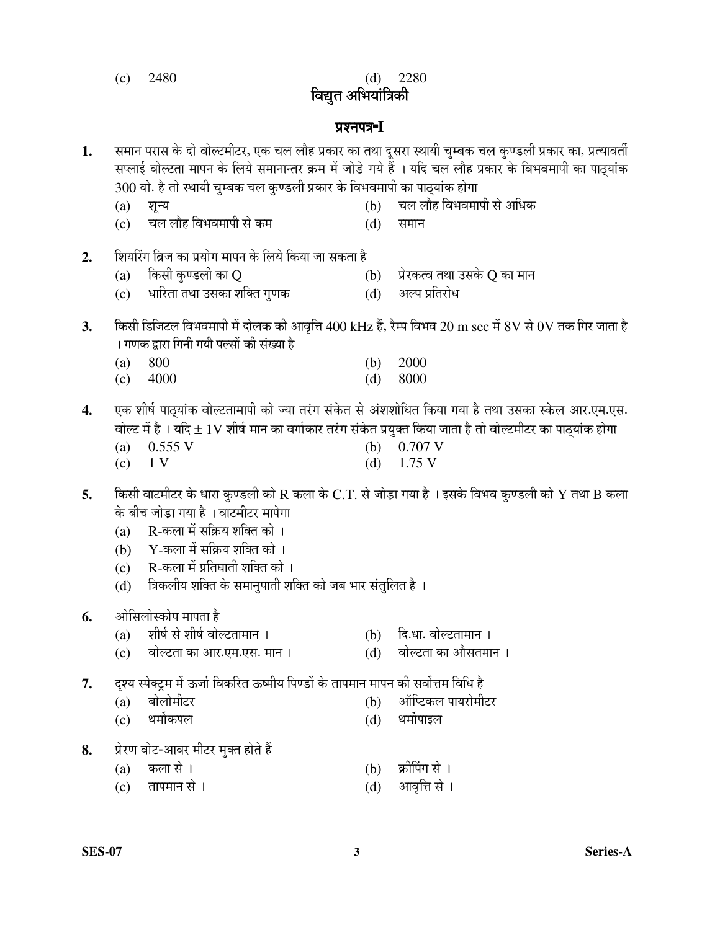(c) 2480 (d) 2280

विद्युत अभियांत्रिकी

#### ¯ÖÏ¿®Ö¯Ö¡Ö-**<sup>I</sup>**

- 1. समान परास के दो वोल्टमीटर, एक चल लौह प्रकार का तथा दूसरा स्थायी चुम्बक चल कुण्डली प्रकार का, प्रत्यावर्ती सप्लाई वोल्टता मापन के लिये समानान्तर क्रम में जोड़े गये हैं । यदि चल लौह प्रकार के विभवमापी का पाठ्यांक 300 वो. है तो स्थायी चुम्बक चल कुण्डली प्रकार के विभवमापी का पाठ्यांक होगा
	- (a) ¿Ö段Ö (b) "Ö»Ö »ÖÖîÆü ×¾Ö³Ö¾Ö´ÖÖ¯Öß ÃÖê †×¬ÖÛú
	- (c) चल लौह विभवमापी से कम $\qquad \qquad \text{(d)} \quad$  समान
- **2.** शियरिंग ब्रिज का प्रयोग मापन के लिये किया जा सकता है<br>(a) किसी कुण्डली का Q
	- (a) ×ÛúÃÖß ÛãúÞ›ü»Öß ÛúÖ Q (b) ¯ÖÏê¸üÛúŸ¾Ö ŸÖ£ÖÖ ˆÃÖÛêú Q ÛúÖ ´ÖÖ®Ö
	- (c) धारिता तथा उसका शक्ति गुणक
- $3.$   $\,$  किसी डिजिटल विभवमापी में दोलक की आवृत्ति  $400~\mathrm{kHz}$  हैं, रैम्प विभव  $20~\mathrm{m}$   $\mathrm{sec}$  में  $8\mathrm{V}$  से  $0\mathrm{V}$  तक गिर जाता है । गणक द्रारा गिनी गयी पल्सों की संख्या है
- (a) 800 (b) 2000 (c) 4000 (d) 8000
- 4. एक शीर्ष पाठयांक वोल्टतामापी को ज्या तरंग संकेत से अंशशोधित किया गया है तथा उसका स्केल आर.एम.एस. ¾ÖÖê»™ü ´Öë Æîü … µÖפü ± 1V ¿ÖßÂÖÔ ´ÖÖ®Ö ÛúÖ ¾ÖÝÖÖÔÛúÖ¸ü ŸÖ¸ÓüÝÖ ÃÖÓÛêúŸÖ ¯ÖϵÖãŒŸÖ ×ÛúµÖÖ •ÖÖŸÖÖ Æîü ŸÖÖê ¾ÖÖê»™ü´Öß™ü¸ü ÛúÖ ¯ÖÖšËüµÖÖÓÛú ÆüÖêÝÖÖ
	- (b)  $0.707$  V
	- (c)  $1 \text{ V}$  (d)  $1.75 \text{ V}$
- **5.** किसी वाटमीटर के धारा कृण्डली को R कला के C.T. से जोड़ा गया है । इसके विभव कृण्डली को Y तथा B कला के बीच जोडा गया है । वाटमीटर मापेगा
	- $(a)$   $R$ -कला में सक्रिय शक्ति को ।
	- (b)  $Y$ -कला में सक्रिय शक्ति को ।
	- $(c)$   $R$ -कला में प्रतिघाती शक्ति को ।
	- (d) त्रिकलीय शक्ति के समानुपाती शक्ति को जब भार संतुलित है ।
- **6.** ओसिलोस्कोप मापता है<br>(a) शीर्ष से शीर्ष वोल्टतामान ।
	- (a) शीर्ष से शीर्ष वोल्टतामान । (b) दि.धा. वोल्टतामान ।
	- (c) वोल्टता का आर.एम.एस. मान । (d) वोल्टता का औसतमान ।

7. दृश्य स्पेक्ट्रम में ऊर्जा विकरित ऊष्मीय पिण्डों के तापमान मापन की सर्वोत्तम विधि है

- (a) बोलोमीटर (b) अॉप्टिकल पायरोमीटर
- (c) थर्मोकपल (d) थर्मोपाइल
- 8. Þ. प्रेरण वोट-आवर मीटर मुक्त होते हैं
	- (a) कला से ।  $\qquad \qquad$  (b) क्रीपिंग से ।
	- (c) ŸÖÖ¯Ö´ÖÖ®Ö ÃÖê … (d) †Ö¾Öé×¢Ö ÃÖê …
- 
- 
-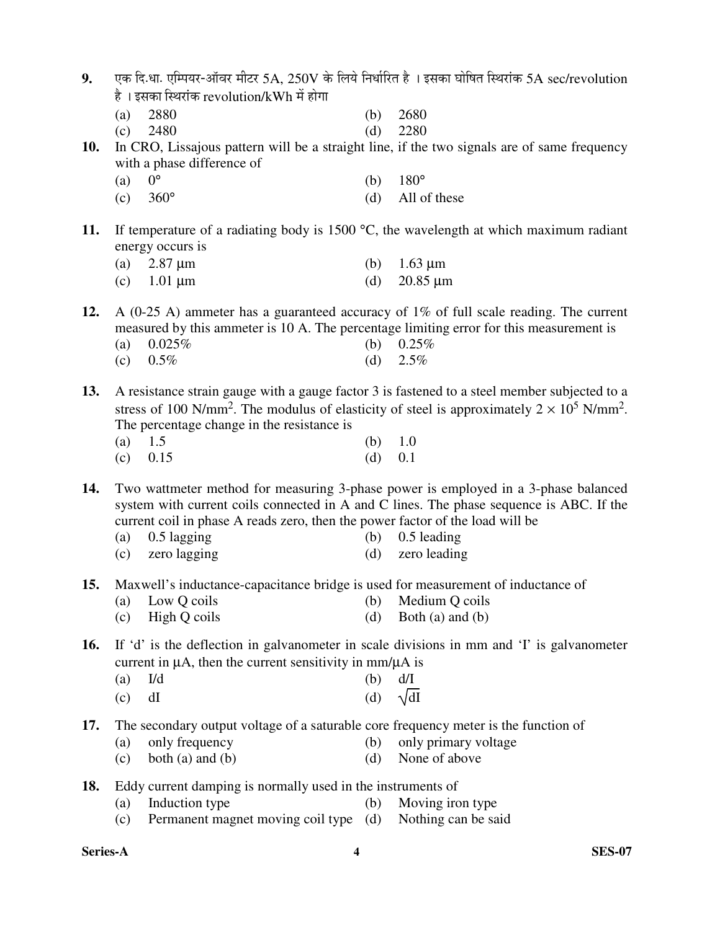| 9. पक दि.धा. एम्पियर-ऑवर मीटर 5A, 250V के लिये निर्धारित है)। इसका घोषित स्थिरांक 5A sec/revolution |
|-----------------------------------------------------------------------------------------------------|
| है । इसका स्थिरांक revolution/kWh में होगा                                                          |

- (a) 2880 (b) 2680
- (c) 2480 (d) 2280
- **10.** In CRO, Lissajous pattern will be a straight line, if the two signals are of same frequency with a phase difference of
- (a)  $0^{\circ}$  (b)  $180^{\circ}$ 
	- (c)  $360^\circ$  (d) All of these
- **11.** If temperature of a radiating body is 1500 °C, the wavelength at which maximum radiant energy occurs is
	- (a) 2.87 µm (b) 1.63 µm
	- (c)  $1.01 \text{ }\mu\text{m}$  (d)  $20.85 \text{ }\mu\text{m}$

**12.** A (0-25 A) ammeter has a guaranteed accuracy of 1% of full scale reading. The current measured by this ammeter is 10 A. The percentage limiting error for this measurement is  $(h)$  0.25%

| (a) $0.025\%$ | $(D)$ $0.25%$ |
|---------------|---------------|
| (c) $0.5\%$   | (d) $2.5\%$   |

**13.** A resistance strain gauge with a gauge factor 3 is fastened to a steel member subjected to a stress of 100 N/mm<sup>2</sup>. The modulus of elasticity of steel is approximately  $2 \times 10^5$  N/mm<sup>2</sup>. The percentage change in the resistance is

(a)  $1.5$  (b)  $1.0$ (c)  $0.15$  (d)  $0.1$ 

**14.** Two wattmeter method for measuring 3-phase power is employed in a 3-phase balanced system with current coils connected in A and C lines. The phase sequence is ABC. If the current coil in phase A reads zero, then the power factor of the load will be

- (a) 0.5 lagging (b) 0.5 leading
- (c) zero lagging (d) zero leading
- **15.** Maxwell's inductance-capacitance bridge is used for measurement of inductance of
	- (a) Low Q coils (b) Medium Q coils
	- (c) High Q coils (d) Both (a) and (b)

**16.** If 'd' is the deflection in galvanometer in scale divisions in mm and 'I' is galvanometer current in  $\mu$ A, then the current sensitivity in mm/ $\mu$ A is

- (a)  $I/d$  (b)  $d/I$
- (c) dI (d)  $\sqrt{d}$
- **17.** The secondary output voltage of a saturable core frequency meter is the function of
	- (a) only frequency (b) only primary voltage
	- (c) both (a) and (b)  $(d)$  None of above
- **18.** Eddy current damping is normally used in the instruments of
	- (a) Induction type (b) Moving iron type
	- (c) Permanent magnet moving coil type (d) Nothing can be said

**Series-A 4 SES-07**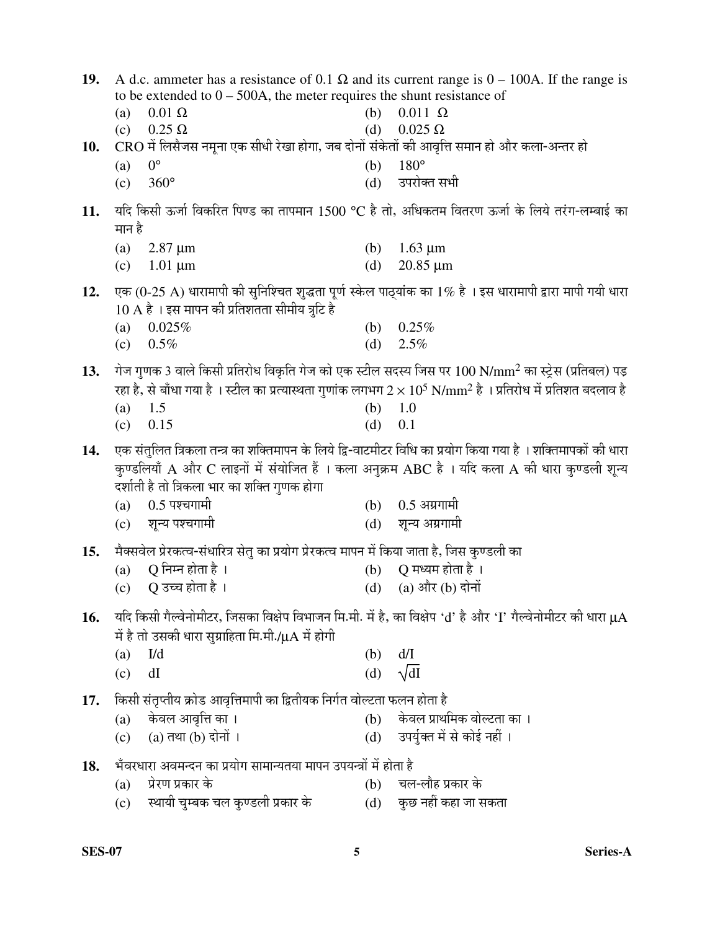| 19. | A d.c. ammeter has a resistance of 0.1 $\Omega$ and its current range is 0 – 100A. If the range is<br>to be extended to $0 - 500A$ , the meter requires the shunt resistance of |                                                                                             |            |                                                                                                                        |
|-----|---------------------------------------------------------------------------------------------------------------------------------------------------------------------------------|---------------------------------------------------------------------------------------------|------------|------------------------------------------------------------------------------------------------------------------------|
|     | (a)                                                                                                                                                                             | $0.01 \Omega$                                                                               | (b)        | $0.011 \Omega$                                                                                                         |
|     | (c)                                                                                                                                                                             | $0.25 \Omega$                                                                               | (d)        | $0.025 \Omega$                                                                                                         |
| 10. |                                                                                                                                                                                 | CRO में लिसैजस नमूना एक सीधी रेखा होगा, जब दोनों संकेतों की आवृत्ति समान हो और कला-अन्तर हो |            |                                                                                                                        |
|     | $0^{\circ}$<br>(a)                                                                                                                                                              |                                                                                             | (b)        | $180^\circ$                                                                                                            |
|     | (c)                                                                                                                                                                             | $360^\circ$                                                                                 | (d)        | उपरोक्त सभी                                                                                                            |
| 11. | मान है                                                                                                                                                                          |                                                                                             |            | यदि किसी ऊर्जा विकरित पिण्ड का तापमान 1500 °C है तो, अधिकतम वितरण ऊर्जा के लिये तरंग-लम्बाई का                         |
|     |                                                                                                                                                                                 |                                                                                             |            |                                                                                                                        |
|     | (a)<br>(c)                                                                                                                                                                      | $2.87 \mu m$<br>$1.01 \mu m$                                                                | (b)<br>(d) | $1.63 \mu m$<br>$20.85 \mu m$                                                                                          |
|     |                                                                                                                                                                                 |                                                                                             |            |                                                                                                                        |
| 12. |                                                                                                                                                                                 |                                                                                             |            | एक (0-25 A) धारामापी की सुनिश्चित शुद्धता पूर्ण स्केल पाठ्यांक का 1% है । इस धारामापी द्वारा मापी गयी धारा             |
|     |                                                                                                                                                                                 | $10 \text{ A}$ है । इस मापन की प्रतिशतता सीमीय त्रुटि है                                    |            |                                                                                                                        |
|     | (a)<br>(c)                                                                                                                                                                      | 0.025%<br>0.5%                                                                              | (b)<br>(d) | 0.25%<br>2.5%                                                                                                          |
|     |                                                                                                                                                                                 |                                                                                             |            |                                                                                                                        |
| 13. |                                                                                                                                                                                 |                                                                                             |            | गेज गुणक 3 वाले किसी प्रतिरोध विकृति गेज को एक स्टील सदस्य जिस पर $100 \text{ N/mm}^2$ का स्ट्रेस (प्रतिबल) पड़        |
|     |                                                                                                                                                                                 |                                                                                             |            | रहा है, से बाँधा गया है । स्टील का प्रत्यास्थता गुणांक लगभग $2\times10^5$ N/mm $^2$ है । प्रतिरोध में प्रतिशत बदलाव है |
|     | (a)                                                                                                                                                                             | 1.5                                                                                         | (b)        | 1.0                                                                                                                    |
|     | (c)                                                                                                                                                                             | 0.15                                                                                        | (d)        | 0.1                                                                                                                    |
| 14. |                                                                                                                                                                                 |                                                                                             |            | एक संतुलित त्रिकला तन्त्र का शक्तिमापन के लिये द्वि-वाटमीटर विधि का प्रयोग किया गया है । शक्तिमापकों की धारा           |
|     |                                                                                                                                                                                 |                                                                                             |            | कुण्डलियाँ A और C लाइनों में संयोजित हैं । कला अनुक्रम ABC है । यदि कला A की धारा कुण्डली शून्य                        |
|     |                                                                                                                                                                                 | दर्शाती है तो त्रिकला भार का शक्ति गुणक होगा                                                |            |                                                                                                                        |
|     | (a)                                                                                                                                                                             | $0.5$ पश्चगामी                                                                              | (b)        | $0.5$ अग्रगामी                                                                                                         |
|     | (c)                                                                                                                                                                             | शून्य पश्चगामी                                                                              | (d)        | शून्य अग्रगामी                                                                                                         |
| 15. |                                                                                                                                                                                 | मैक्सवेल प्रेरकत्व-संधारित्र सेतु का प्रयोग प्रेरकत्व मापन में किया जाता है, जिस कुण्डली का |            |                                                                                                                        |
|     | (a)                                                                                                                                                                             |                                                                                             |            |                                                                                                                        |
|     |                                                                                                                                                                                 | Q निम्न होता है ।                                                                           | (b)        | Q मध्यम होता है ।                                                                                                      |
|     |                                                                                                                                                                                 | (c) $Q$ उच्च होता है ।                                                                      |            | (d) (a) और (b) दोनों                                                                                                   |
|     |                                                                                                                                                                                 |                                                                                             |            |                                                                                                                        |
| 16. |                                                                                                                                                                                 |                                                                                             |            | यदि किसी गैल्वेनोमीटर, जिसका विक्षेप विभाजन मि.मी. में है, का विक्षेप 'd' है और 'I' गैल्वेनोमीटर की धारा $\mu A$       |
|     |                                                                                                                                                                                 | में है तो उसकी धारा सुग्राहिता मि.मी./ $\mu$ A में होगी                                     |            |                                                                                                                        |
|     | $Id$<br>(a)                                                                                                                                                                     |                                                                                             | (b)        | d/I                                                                                                                    |
|     | dI<br>(c)                                                                                                                                                                       |                                                                                             | (d)        | $\sqrt{dI}$                                                                                                            |
| 17. |                                                                                                                                                                                 | किसी संतृप्तीय क्रोड आवृत्तिमापी का द्वितीयक निर्गत वोल्टता फलन होता है                     |            |                                                                                                                        |
|     | (a)                                                                                                                                                                             | केवल आवृत्ति का ।                                                                           | (b)        | केवल प्राथमिक वोल्टता का ।                                                                                             |
|     | (c)                                                                                                                                                                             | $(a)$ तथा $(b)$ दोनों ।                                                                     | (d)        | उपर्युक्त में से कोई नहीं ।                                                                                            |
| 18. |                                                                                                                                                                                 | भँवरधारा अवमन्दन का प्रयोग सामान्यतया मापन उपयन्त्रों में होता है                           |            |                                                                                                                        |
|     | (a)                                                                                                                                                                             | प्रेरण प्रकार के<br>स्थायी चुम्बक चल कुण्डली प्रकार के                                      | (b)        | चल-लौह प्रकार के<br>कुछ नहीं कहा जा सकता                                                                               |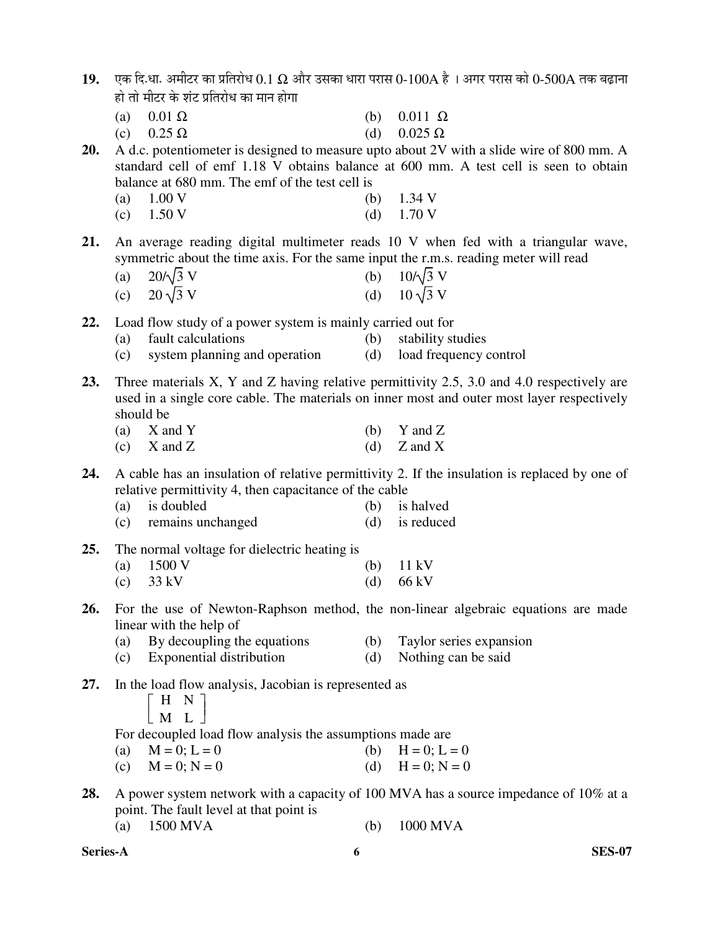| 19.    एक दि.धा. अमीटर का प्रतिरोध $0.1~\Omega$ और उसका धारा परास $0$ - $100$ A है  । अगर परास को $0$ -500A तक बढ़ाना |
|-----------------------------------------------------------------------------------------------------------------------|
| हो तो मीटर के शंट प्रतिरोध का मान होगा                                                                                |

| (a) $0.01 \Omega$ |  | (b) $0.011 \Omega$ |  |
|-------------------|--|--------------------|--|
|-------------------|--|--------------------|--|

| (c) $0.25 \Omega$ | (d) $0.025 \Omega$ |
|-------------------|--------------------|
|-------------------|--------------------|

**20.** A d.c. potentiometer is designed to measure upto about 2V with a slide wire of 800 mm. A standard cell of emf 1.18 V obtains balance at 600 mm. A test cell is seen to obtain balance at 680 mm. The emf of the test cell is

| (a) $1.00 V$         | (b) $1.34$ V         |
|----------------------|----------------------|
| (c) $1.50 \text{ V}$ | (d) $1.70 \text{ V}$ |

**21.** An average reading digital multimeter reads 10 V when fed with a triangular wave, symmetric about the time axis. For the same input the r.m.s. reading meter will read

| (a) $20/\sqrt{3}$ V | (b) $10/\sqrt{3}$ V |
|---------------------|---------------------|
| (c) $20\sqrt{3}$ V  | (d) $10\sqrt{3}$ V  |

**22.** Load flow study of a power system is mainly carried out for

- (a) fault calculations (b) stability studies
- (c) system planning and operation (d) load frequency control

**23.** Three materials X, Y and Z having relative permittivity 2.5, 3.0 and 4.0 respectively are used in a single core cable. The materials on inner most and outer most layer respectively should be

- (a)  $X$  and  $Y$  (b)  $Y$  and  $Z$
- (c)  $X$  and  $Z$  (d)  $Z$  and  $X$

**24.** A cable has an insulation of relative permittivity 2. If the insulation is replaced by one of relative permittivity 4, then capacitance of the cable

- (a) is doubled (b) is halved
- (c) remains unchanged (d) is reduced
- **25.** The normal voltage for dielectric heating is

| (a) $1500 \text{ V}$ | (b) $11 \text{ kV}$ |
|----------------------|---------------------|
| (c) $33 \text{ kV}$  | (d) $66 \text{ kV}$ |

- **26.** For the use of Newton-Raphson method, the non-linear algebraic equations are made linear with the help of
	- (a) By decoupling the equations (b) Taylor series expansion
	- (c) Exponential distribution (d) Nothing can be said

```
27. In the load flow analysis, Jacobian is represented as
```

| H N |        |  |
|-----|--------|--|
|     | $M$ I. |  |

For decoupled load flow analysis the assumptions made are

- (a)  $M = 0; L = 0$  (b)  $H = 0; L = 0$
- (c)  $M = 0; N = 0$  (d)  $H = 0; N = 0$
- **28.** A power system network with a capacity of 100 MVA has a source impedance of 10% at a point. The fault level at that point is
	- (a) 1500 MVA (b) 1000 MVA

**Series-A 6 SES-07**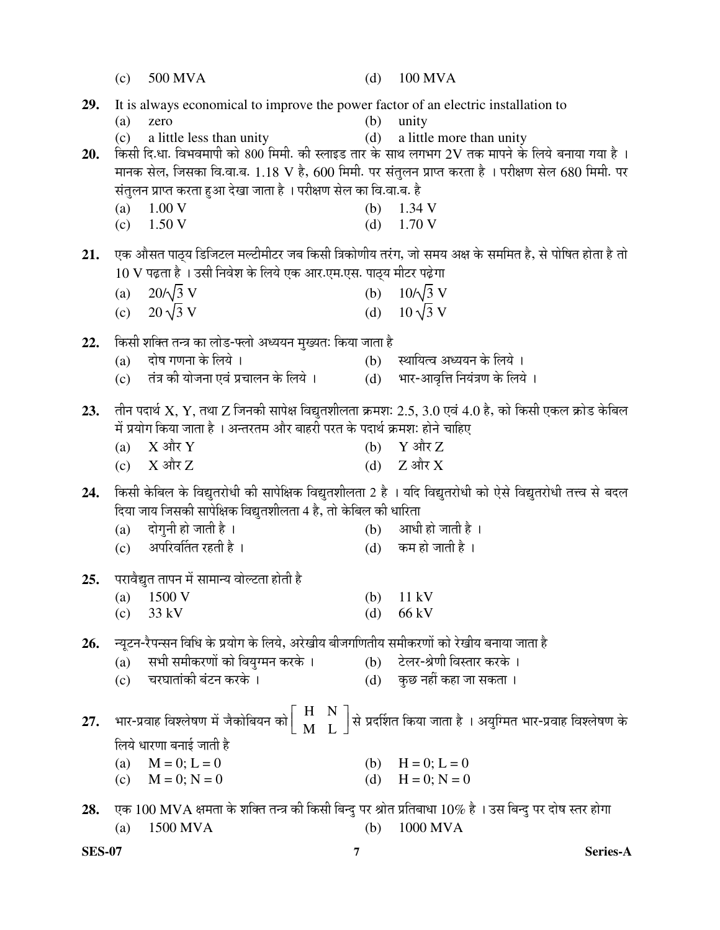|     | (c) | 500 MVA                                                                                                  |     | (d) $100$ MVA                                                                                                                                           |
|-----|-----|----------------------------------------------------------------------------------------------------------|-----|---------------------------------------------------------------------------------------------------------------------------------------------------------|
| 29. |     | It is always economical to improve the power factor of an electric installation to                       |     |                                                                                                                                                         |
|     | (a) | zero                                                                                                     |     | $(b)$ unity                                                                                                                                             |
| 20. | (c) | a little less than unity                                                                                 |     | (d) a little more than unity<br>किसी दि.धा. विभवमापी को 800 मिमी. की स्लाइड तार के साथ लगभग 2V तक मापने के लिये बनाया गया है ।                          |
|     |     |                                                                                                          |     | मानक सेल, जिसका वि.वा.ब. 1.18 V है, 600 मिमी. पर संतुलन प्राप्त करता है । परीक्षण सेल 680 मिमी. पर                                                      |
|     |     | संतुलन प्राप्त करता हुआ देखा जाता है । परीक्षण सेल का वि.वा.ब. है                                        |     |                                                                                                                                                         |
|     | (a) | 1.00V                                                                                                    | (b) | 1.34 V                                                                                                                                                  |
|     |     | $(c)$ 1.50 V                                                                                             | (d) | 1.70 V                                                                                                                                                  |
| 21. |     |                                                                                                          |     | एक औसत पाठ्य डिजिटल मल्टीमीटर जब किसी त्रिकोणीय तरंग, जो समय अक्ष के सममित है, से पोषित होता है तो                                                      |
|     |     | 10 V पढ़ता है । उसी निवेश के लिये एक आर.एम.एस. पाठ्य मीटर पढ़ेगा                                         |     |                                                                                                                                                         |
|     |     | (a) $20/\sqrt{3}$ V                                                                                      |     | (b) $10/\sqrt{3}$ V                                                                                                                                     |
|     |     | (c) $20\sqrt{3}$ V                                                                                       |     | (d) $10\sqrt{3}$ V                                                                                                                                      |
| 22. |     | किसी शक्ति तन्त्र का लोड-फ्लो अध्ययन मुख्यतः किया जाता है                                                |     |                                                                                                                                                         |
|     |     | $(a)$ दोष गणना के लिये ।                                                                                 |     | (b) स्थायित्व अध्ययन के लिये ।                                                                                                                          |
|     | (c) | तंत्र की योजना एवं प्रचालन के लिये ।                                                                     |     | (d) भार-आवृत्ति नियंत्रण के लिये ।                                                                                                                      |
|     |     |                                                                                                          |     |                                                                                                                                                         |
| 23. |     |                                                                                                          |     | तीन पदार्थ X, Y, तथा Z जिनकी सापेक्ष विद्युतशीलता क्रमशः 2.5, 3.0 एवं 4.0 है, को किसी एकल क्रोड केबिल                                                   |
|     |     | में प्रयोग किया जाता है । अन्तरतम और बाहरी परत के पदार्थ क्रमशः होने चाहिए<br>(a) $X \nleftrightarrow Y$ |     | (b) $Y \nleftrightarrow Z$                                                                                                                              |
|     |     | (c) $X \nleftrightarrow Z$                                                                               |     | (d) $Z \nRightarrow X$                                                                                                                                  |
|     |     |                                                                                                          |     |                                                                                                                                                         |
| 24. |     | दिया जाय जिसकी सापेक्षिक विद्युतशीलता 4 है, तो केबिल की धारिता                                           |     | किसी केबिल के विद्युतरोधी की सापेक्षिक विद्युतशीलता 2 है । यदि विद्युतरोधी को ऐसे विद्युतरोधी तत्त्व से बदल                                             |
|     | (a) | दोगुनी हो जाती है ।                                                                                      |     | (b) आधी हो जाती है ।                                                                                                                                    |
|     |     | (c) अपरिवर्तित रहती है ।                                                                                 |     | (d) कम हो जाती है ।                                                                                                                                     |
|     |     |                                                                                                          |     |                                                                                                                                                         |
| 25. |     | परावैद्युत तापन में सामान्य वोल्टता होती है                                                              |     |                                                                                                                                                         |
|     | (a) | 1500 V                                                                                                   | (b) | 11 kV<br>66 kV                                                                                                                                          |
|     | (c) | 33 kV                                                                                                    | (d) |                                                                                                                                                         |
| 26. |     | न्यूटन-रैपन्सन विधि के प्रयोग के लिये, अरेखीय बीजगणितीय समीकरणों को रेखीय बनाया जाता है                  |     |                                                                                                                                                         |
|     | (a) | सभी समीकरणों को वियुग्मन करके ।                                                                          |     | (b) टेलर-श्रेणी विस्तार करके ।                                                                                                                          |
|     | (c) | चरघातांकी बंटन करके ।                                                                                    | (d) | कुछ नहीं कहा जा सकता ।                                                                                                                                  |
|     |     |                                                                                                          |     |                                                                                                                                                         |
| 27. |     |                                                                                                          |     | भार-प्रवाह विश्लेषण में जैकोबियन को $\bigg \begin{array}{cc} H & N\ M & L\end{array}\bigg $ से प्रदर्शित किया जाता है । अयुग्मित भार-प्रवाह विश्लेषण के |
|     |     | लिये धारणा बनाई जाती है                                                                                  |     |                                                                                                                                                         |
|     | (a) | $M = 0$ ; $L = 0$                                                                                        |     | (b) $H = 0$ ; $L = 0$                                                                                                                                   |
|     | (c) | $M = 0$ ; $N = 0$                                                                                        | (d) | $H = 0; N = 0$                                                                                                                                          |
| 28. |     |                                                                                                          |     | एक 100 MVA क्षमता के शक्ति तन्त्र की किसी बिन्दु पर श्रोत प्रतिबाधा 10% है । उस बिन्दु पर दोष स्तर होगा                                                 |
|     | (a) | 1500 MVA                                                                                                 | (b) | 1000 MVA                                                                                                                                                |

**SES-07 7 Series-A**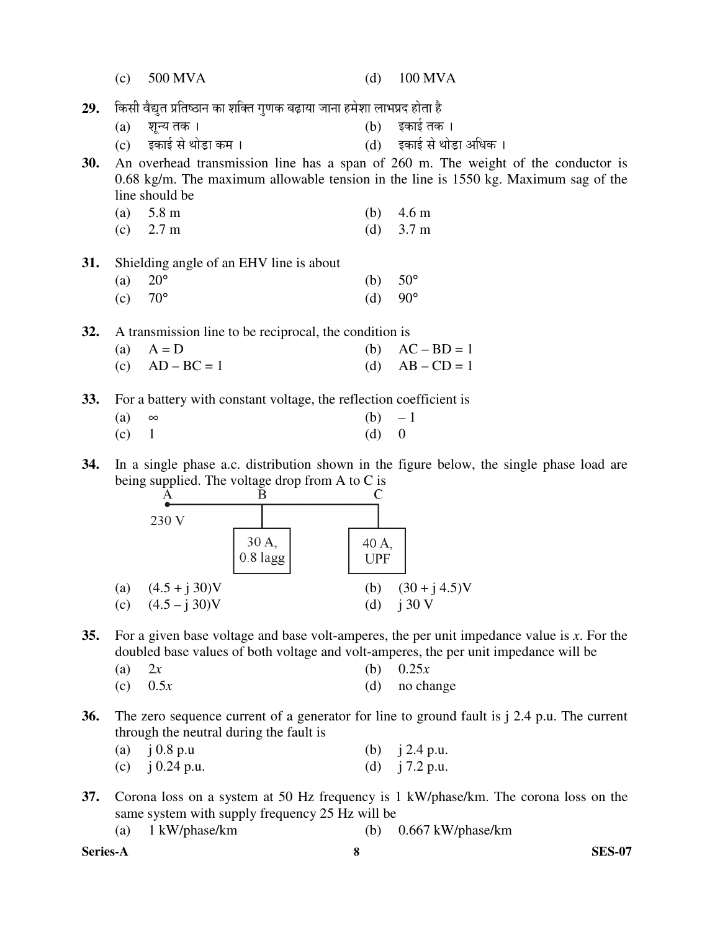|            | (c) | 500 MVA                                                                 | (d)        | <b>100 MVA</b>                                                                           |
|------------|-----|-------------------------------------------------------------------------|------------|------------------------------------------------------------------------------------------|
| 29.        |     | किसी वैद्युत प्रतिष्ठान का शक्ति गुणक बढ़ाया जाना हमेशा लाभप्रद होता है |            |                                                                                          |
|            | (a) | शून्य तक।                                                               | (b)        | इकाई तक ।                                                                                |
|            | (c) | इकाई से थोड़ा कम ।                                                      |            | (d) इकाई से थोड़ा अधिक ।                                                                 |
| 30.        |     |                                                                         |            | An overhead transmission line has a span of 260 m. The weight of the conductor is        |
|            |     |                                                                         |            | $0.68$ kg/m. The maximum allowable tension in the line is 1550 kg. Maximum sag of the    |
|            |     | line should be                                                          |            |                                                                                          |
|            | (a) | 5.8 m                                                                   | (b)        | 4.6 <sub>m</sub>                                                                         |
|            | (c) | 2.7 <sub>m</sub>                                                        | (d)        | 3.7 <sub>m</sub>                                                                         |
|            |     |                                                                         |            |                                                                                          |
| 31.        |     | Shielding angle of an EHV line is about                                 |            |                                                                                          |
|            | (a) | $20^{\circ}$                                                            | (b)        | $50^{\circ}$                                                                             |
|            | (c) | $70^{\circ}$                                                            | (d)        | $90^{\circ}$                                                                             |
|            |     |                                                                         |            |                                                                                          |
| 32.        |     | A transmission line to be reciprocal, the condition is                  |            |                                                                                          |
|            | (a) | $A = D$                                                                 | (b)        | $AC - BD = 1$                                                                            |
|            | (c) | $AD-BC=1$                                                               | (d)        | $AB - CD = 1$                                                                            |
| <b>33.</b> |     | For a battery with constant voltage, the reflection coefficient is      |            |                                                                                          |
|            | (a) | $\infty$                                                                | (b)        | $-1$                                                                                     |
|            | (c) | $\mathbf{1}$                                                            | (d)        | $\boldsymbol{0}$                                                                         |
|            |     |                                                                         |            |                                                                                          |
| 34.        |     |                                                                         |            | In a single phase a.c. distribution shown in the figure below, the single phase load are |
|            |     | being supplied. The voltage drop from A to C is                         |            |                                                                                          |
|            |     | В<br>А                                                                  |            |                                                                                          |
|            |     | 230 V                                                                   |            |                                                                                          |
|            |     | 30 A.                                                                   | 40 A,      |                                                                                          |
|            |     | $0.8$ lagg                                                              | <b>UPF</b> |                                                                                          |
|            |     |                                                                         |            |                                                                                          |
|            | (a) | $(4.5 + j 30)V$                                                         | (b)        | $(30 + j 4.5)V$                                                                          |
|            | (c) | $(4.5 - j 30)V$                                                         | (d)        | i30V                                                                                     |

- **35.** For a given base voltage and base volt-amperes, the per unit impedance value is *x*. For the doubled base values of both voltage and volt-amperes, the per unit impedance will be
	- (a) 2*x* (b) 0.25*x* (c)  $0.5x$  (d) no change
- **36.** The zero sequence current of a generator for line to ground fault is j 2.4 p.u. The current through the neutral during the fault is

| (a) $i = 0.8$ p.u       | (b) $i$ 2.4 p.u. |
|-------------------------|------------------|
| (c) $\dot{1}$ 0.24 p.u. | (d) $j$ 7.2 p.u. |

**37.** Corona loss on a system at 50 Hz frequency is 1 kW/phase/km. The corona loss on the same system with supply frequency 25 Hz will be

|  | (a) $1 \text{ kW/phase/km}$ |  | (b) $0.667$ kW/phase/km |
|--|-----------------------------|--|-------------------------|
|--|-----------------------------|--|-------------------------|

**Series-A 8 SES-07**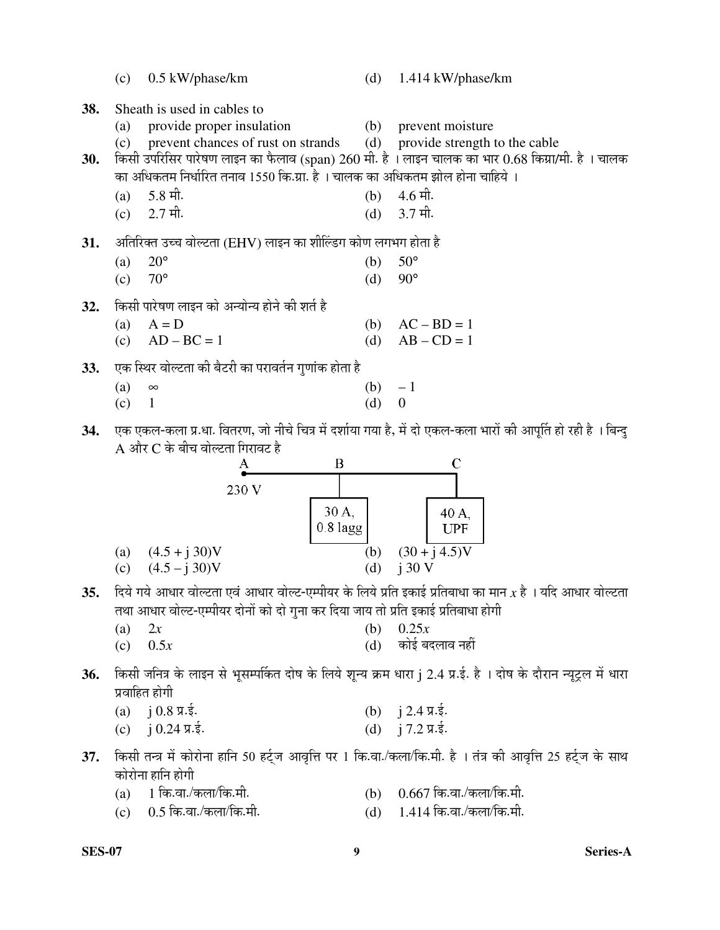|     | (c)        | 0.5 kW/phase/km                                                                                |                     | (d) | 1.414 kW/phase/km                                                                                              |
|-----|------------|------------------------------------------------------------------------------------------------|---------------------|-----|----------------------------------------------------------------------------------------------------------------|
| 38. | (a)<br>(c) | Sheath is used in cables to<br>provide proper insulation<br>prevent chances of rust on strands |                     | (b) | prevent moisture<br>(d) provide strength to the cable                                                          |
| 30. |            |                                                                                                |                     |     | किसी उपरिसिर पारेषण लाइन का फैलाव (span) 260 मी. है । लाइन चालक का भार 0.68 किग्रा/मी. है । चालक               |
|     |            | का अधिकतम निर्धारित तनाव 1550 कि.ग्रा. है । चालक का अधिकतम झोल होना चाहिये ।                   |                     |     |                                                                                                                |
|     | (a)        | $5.8 \text{ } \hat{ }$ मी.<br>$2.7 \pi$ ी.                                                     |                     | (b) | $4.6 \pi$ ी.                                                                                                   |
|     | (c)        |                                                                                                |                     | (d) | 3.7 मी.                                                                                                        |
| 31. |            | अतिरिक्त उच्च वोल्टता (EHV) लाइन का शील्डिंग कोण लगभग होता है                                  |                     |     |                                                                                                                |
|     | (a)        | $20^{\circ}$                                                                                   |                     | (b) | $50^\circ$                                                                                                     |
|     | (c)        | $70^{\circ}$                                                                                   |                     | (d) | $90^{\circ}$                                                                                                   |
| 32. |            | किसी पारेषण लाइन को अन्योन्य होने की शर्त है                                                   |                     |     |                                                                                                                |
|     | (a)        | $A = D$                                                                                        |                     | (b) | $AC - BD = 1$                                                                                                  |
|     | (c)        | $AD-BC=1$                                                                                      |                     | (d) | $AB - CD = 1$                                                                                                  |
| 33. |            | एक स्थिर वोल्टता की बैटरी का परावर्तन गुणांक होता है                                           |                     |     |                                                                                                                |
|     | (a)        | $\infty$<br>$\mathbf{1}$                                                                       |                     | (b) | $-1$<br>$\boldsymbol{0}$                                                                                       |
|     | (c)        |                                                                                                |                     | (d) |                                                                                                                |
| 34. |            |                                                                                                |                     |     | एक एकल-कला प्र.धा. वितरण, जो नीचे चित्र में दर्शाया गया है, में दो एकल-कला भारों की आपूर्ति हो रही है । बिन्दु |
|     |            | $\tt A$ और $\tt C$ के बीच वोल्टता गिरावट है                                                    | $\bf{B}$            |     | $\overline{\rm C}$                                                                                             |
|     |            | 230 V                                                                                          |                     |     |                                                                                                                |
|     |            |                                                                                                |                     |     |                                                                                                                |
|     |            |                                                                                                | 30 A,<br>$0.8$ lagg |     | 40 A,<br><b>UPF</b>                                                                                            |
|     | (a)        | $(4.5 + j 30)V$                                                                                |                     | (b) | $(30 + j 4.5)V$                                                                                                |
|     | (c)        | $(4.5 - j 30)V$                                                                                |                     | (d) | j30V                                                                                                           |
| 35. |            |                                                                                                |                     |     | दिये गये आधार वोल्टता एवं आधार वोल्ट-एम्पीयर के लिये प्रति इकाई प्रतिबाधा का मान $x$ है । यदि आधार वोल्टता     |
|     |            | तथा आधार वोल्ट-एम्पीयर दोनों को दो गुना कर दिया जाय तो प्रति इकाई प्रतिबाधा होगी               |                     |     |                                                                                                                |
|     | (a)        | 2x                                                                                             |                     | (b) | 0.25x                                                                                                          |
|     | (c)        | 0.5x                                                                                           |                     | (d) | कोई बदलाव नहीं                                                                                                 |
|     |            |                                                                                                |                     |     |                                                                                                                |

- 36. किसी जनित्र के लाइन से भूसम्पर्कित दोष के लिये शून्य क्रम धारा j 2.4 प्र.ई. है । दोष के दौरान न्यूट्रल में धारा प्रवाहित होगी
	- (a)  $j 0.8 \pi.\dot{\xi}$ .<br>
	(c)  $j 0.24 \pi.\dot{\xi}$ .<br>
	(d)  $j 7.2 \pi.\dot{\xi}$ .
	- (c) j 0.24  $\pi.\dot{\xi}$ .
- 37. किसी तन्त्र में कोरोना हानि 50 हर्ट्ज आवृत्ति पर 1 कि.वा./कला/कि.मी. है । तंत्र की आवृत्ति 25 हर्ट्ज के साथ कोरोना हानि होगी<br>(a) 1 कि.वा./कला/कि.मी.
	- (a) 1 कि.वा./कला/कि.मी. (b) 0.667 कि.वा./कला/कि.मी.<br>(c) 0.5 कि.वा./कला/कि.मी. (d) 1.414 कि.वा./कला/कि.मी.
		-
		- $(d)$  1.414 कि.वा./कला/कि.मी.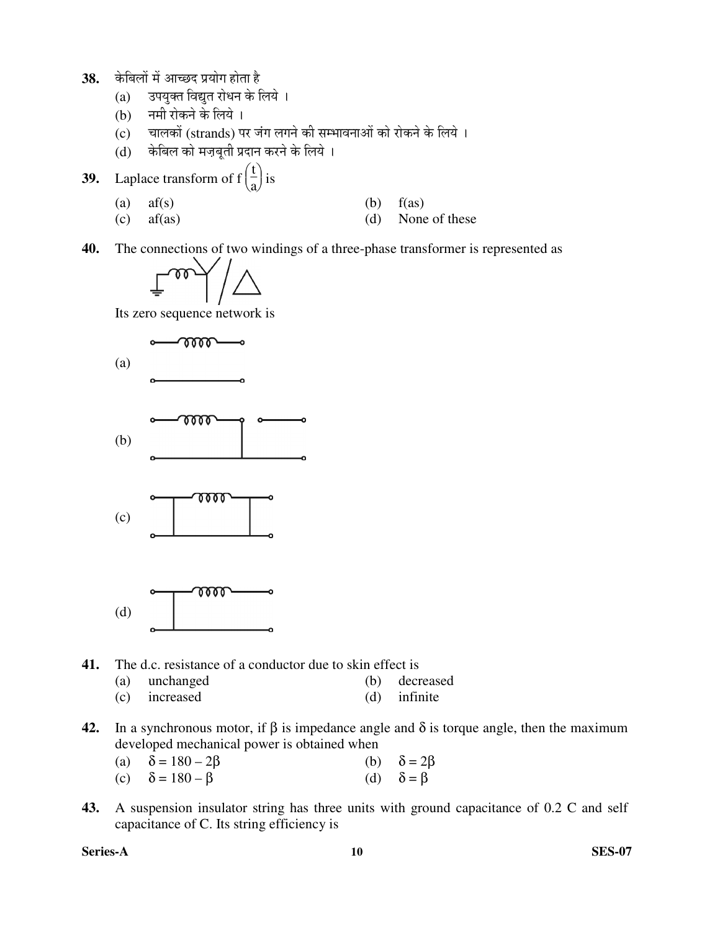- 38. केबिलों में आच्छद प्रयोग होता है
	- (a) उपयुक्त विद्युत रोधन के लिये ।
	- (b) नमी रोकने के लिये ।
	- (c) चालकों (strands) पर जंग लगने की सम्भावनाओं को रोकने के लिये ।
	- (d) व्हेबिल को मज़बुती प्रदान करने के लिये ।
- **39.** Laplace transform of f  $\begin{pmatrix} t \\ a \end{pmatrix}$  $\frac{1}{a}$  is
- (a)  $af(s)$  (b)  $f(as)$ 
	- (c) af(as) (d) None of these

**40.** The connections of two windings of a three-phase transformer is represented as

$$
\text{Im}\left(\text{Im}\left(\text{Im}\left(\text{Im}\left(\text{Im}\left(\text{Im}\left(\text{Im}\left(\text{Im}\left(\text{Im}\left(\text{Im}\left(\text{Im}\left(\text{Im}\left(\text{Im}\left(\text{Im}\left(\text{Im}\left(\text{Im}\left(\text{Im}\left(\text{Im}\left(\text{Im}\left(\text{Im}\left(\text{Im}\left(\text{Im}\left(\text{Im}\left(\text{Im}\left(\text{Im}\left(\text{Im}\left(\text{Im}\left(\text{Im}\left(\text{Im}\left(\text{Im}\left(\text{Im}\right))\right)\right)\right)\right)\right)\right)\right)\right)\right)\right)\right)\right)\right)\right)\right)\right)\right)\right)
$$

Its zero sequence network is



- **41.** The d.c. resistance of a conductor due to skin effect is
	- (a) unchanged (b) decreased
	- (c) increased (d) infinite
- **42.** In a synchronous motor, if  $\beta$  is impedance angle and  $\delta$  is torque angle, then the maximum developed mechanical power is obtained when
	- (a)  $\delta = 180 2\beta$  (b)  $\delta = 2\beta$ (c)  $\delta = 180 - \beta$  (d)  $\delta = \beta$
- **43.** A suspension insulator string has three units with ground capacitance of 0.2 C and self capacitance of C. Its string efficiency is

**Series-A 10 SES-07**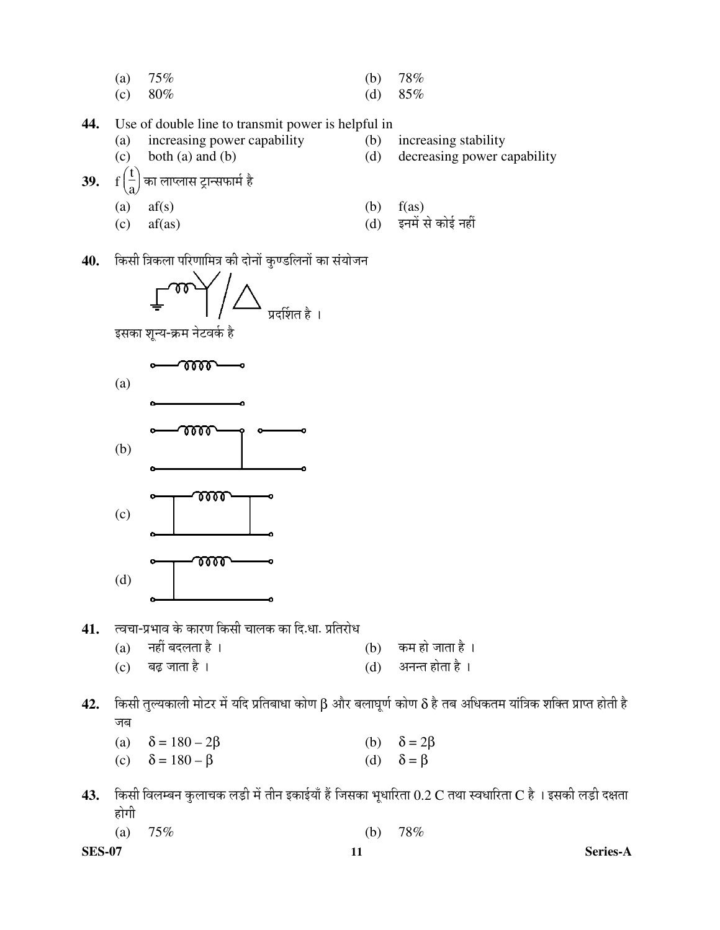- (a)  $75\%$  (b)  $78\%$
- (c)  $80\%$  (d)  $85\%$
- **44.** Use of double line to transmit power is helpful in
	- (a) increasing power capability (b) increasing stability
		-
- 
- (c) both (a) and (b) (d) decreasing power capability
- **39.** f  $\begin{pmatrix} \frac{1}{a} \end{pmatrix}$ a का लाप्लास ट्रान्सफार्म है
	-
	-
- (a)  $af(s)$  (b)  $f(as)$ 
	- $\text{(c)}$  af(as) (d) इनमें से कोई नहीं
- 40. किसी त्रिकला परिणामित्र की दोनों कुण्डलिनों का संयोजन



इसका शून्य-क्रम नेटवर्क है



- 41. त्वचा-प्रभाव के कारण किसी चालक का दि.धा. प्रतिरोध<br>(a) नहीं बदलता है ।
	- (a) नहीं बदलता है ।  $\qquad (b)$  कम हो जाता है ।
	- (c) ²ÖœÌü •ÖÖŸÖÖ Æîü … (d) †®Ö®ŸÖ ÆüÖêŸÖÖ Æîü …
- **42.** किसी तुल्यकाली मोटर में यदि प्रतिबाधा कोण  $\beta$  और बलाघूर्ण कोण  $\delta$  है तब अधिकतम यांत्रिक शक्ति प्राप्त होती है जब
	- (a)  $\delta = 180 2\beta$  (b)  $\delta = 2\beta$
	- (c)  $\delta = 180 \beta$  (d)  $\delta = \beta$
- 43. किसी विलम्बन कुलाचक लड़ी में तीन इकाईयाँ हैं जिसका भूधारिता  $0.2$  C तथा स्वधारिता C है । इसकी लड़ी दक्षता होगी
- (a)  $75\%$  (b)  $78\%$

**SES-07 11 Series-A**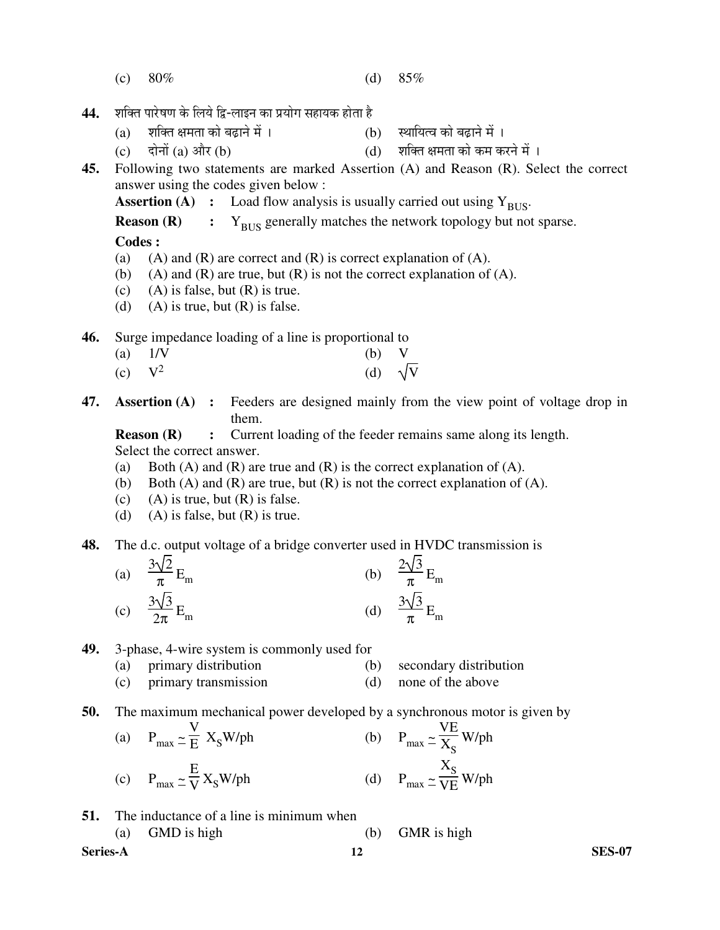- (c)  $80\%$  (d)  $85\%$
- 44. शक्ति पारेषण के लिये द्वि-लाइन का प्रयोग सहायक होता है
	- (a) ¿Ö׌ŸÖ õÖ´ÖŸÖÖ ÛúÖê ²ÖœÌüÖ®Öê ´Öë … (b) ãÖÖ×µÖŸ¾Ö ÛúÖê ²ÖœÌüÖ®Öê ´Öë …
	- (c)  $\vec{r}$  दोनों (a) और (b)  $\vec{r}$  (d) शक्ति क्षमता को कम करने में ।
- **45.** Following two statements are marked Assertion (A) and Reason (R). Select the correct answer using the codes given below :

**Assertion (A) :** Load flow analysis is usually carried out using  $Y_{\text{RIS}}$ .

**Reason (R)** :  $Y_{BUS}$  generally matches the network topology but not sparse.

 **Codes :** 

- (a) (A) and  $(R)$  are correct and  $(R)$  is correct explanation of  $(A)$ .
- (b) (A) and  $(R)$  are true, but  $(R)$  is not the correct explanation of  $(A)$ .
- (c) (A) is false, but  $(R)$  is true.
- (d) (A) is true, but  $(R)$  is false.

**46.** Surge impedance loading of a line is proportional to

- (a)  $1/V$  (b) V
	- $(c)$   $V^2$ (d)  $\sqrt{V}$
- **47. Assertion (A) :** Feeders are designed mainly from the view point of voltage drop in them.

**Reason (R) :** Current loading of the feeder remains same along its length. Select the correct answer.

- (a) Both (A) and (R) are true and (R) is the correct explanation of (A).
- (b) Both  $(A)$  and  $(R)$  are true, but  $(R)$  is not the correct explanation of  $(A)$ .
- (c) (A) is true, but  $(R)$  is false.
- (d) (A) is false, but  $(R)$  is true.
- **48.** The d.c. output voltage of a bridge converter used in HVDC transmission is

(a) 
$$
\frac{3\sqrt{2}}{\pi}E_m
$$
   
\n(b)  $\frac{2\sqrt{3}}{\pi}E_m$    
\n(c)  $\frac{3\sqrt{3}}{2\pi}E_m$    
\n(d)  $\frac{3\sqrt{3}}{\pi}E_m$ 

- **49.** 3-phase, 4-wire system is commonly used for
	- (a) primary distribution (b) secondary distribution
	- (c) primary transmission (d) none of the above
- **50.** The maximum mechanical power developed by a synchronous motor is given by

(a) 
$$
P_{max} \simeq \frac{V}{E} X_S W / ph
$$
   
\n(b)  $P_{max} \simeq \frac{VE}{X_S} W / ph$   
\n(c)  $P_{max} \simeq \frac{E}{V} X_S W / ph$    
\n(d)  $P_{max} \simeq \frac{X_S}{VE} W / ph$ 

**51.** The inductance of a line is minimum when (a) GMD is high (b) GMR is high

**Series-A 12 SES-07**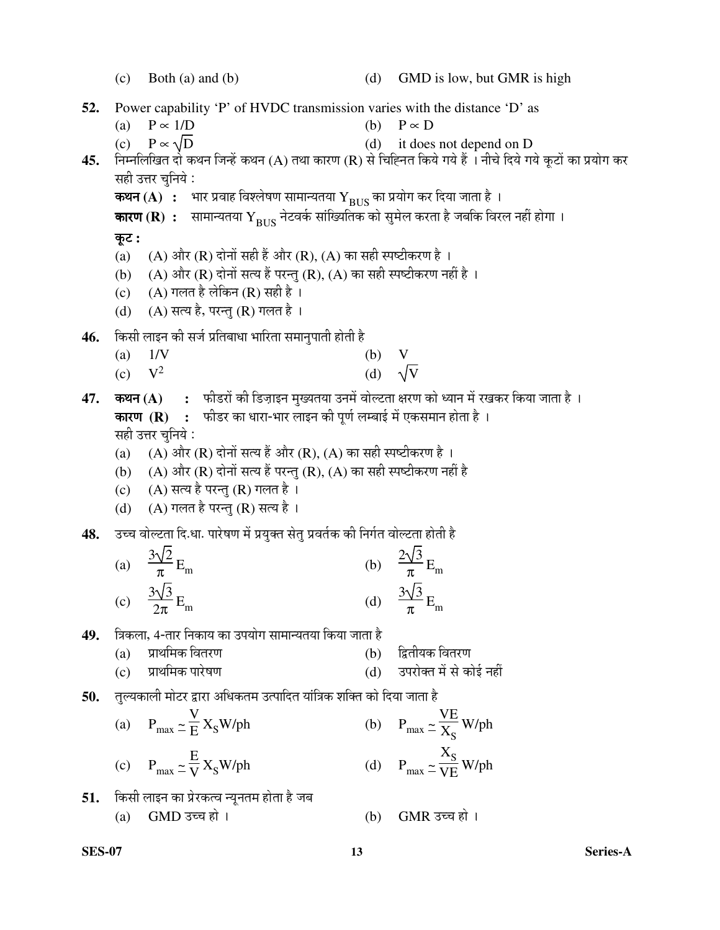(c) Both (a) and (b) (d) GMD is low, but GMR is high **52.** Power capability 'P' of HVDC transmission varies with the distance 'D' as (a)  $P \propto 1/D$  (b)  $P \propto D$ (c)  $P \propto \sqrt{D}$  (d) it does not depend on D **45.** निम्नलिखित दो कथन जिन्हें कथन (A) तथा कारण (R) से चिह्नित किये गये हैं । नीचे दिये गये कूटों का प्रयोग कर सही उत्तर चनिये : कथन (A)  $\,$ : भार प्रवाह विश्लेषण सामान्यतया  $\rm{Y_{BUS}}$  का प्रयोग कर दिया जाता है । **कारण (R) :** सामान्यतया  $\rm{Y_{BUS}}$  नेटवर्क सांख्यितिक को सुमेल करता है जबकि विरल नहीं होगा । Ûæú™ü **:**  (a) (A) और (R) दोनों सही हैं और (R), (A) का सही स्पष्टीकरण है । (b) (A) और (R) दोनों सत्य हैं परन्तु (R), (A) का सही स्पष्टीकरण नहीं है । (c)  $(A)$  गलत है लेकिन (R) सही है । (d) (A) सत्य है, परन्तु (R) गलत है। 4**6.** किसी लाइन की सर्ज प्रतिबाधा भारिता समानुपाती होती है (a) 1/V (b) V  $(c)$   $V^2$ (d)  $\sqrt{V}$ **47. कथन (A) :** फीडरों की डिज़ाइन मुख्यतया उनमें वोल्टता क्षरण को ध्यान में रखकर किया जाता है । **कारण (R) :** फीडर का धारा-भार लाइन की पूर्ण लम्बाई में एकसमान होता है । सही उत्तर चुनिये : (a) (A) और (R) दोनों सत्य हैं और (R), (A) का सही स्पष्टीकरण है । (b) (A) और (R) दोनों सत्य हैं परन्तु (R), (A) का सही स्पष्टीकरण नहीं है (c) (A) सत्य है परन्तु (R) गलत है। (d)  $(A)$  गलत है परन्तु (R) सत्य है। 48. उच्च वोल्टता दि.धा. पारेषण में प्रयुक्त सेत् प्रवर्तक की निर्गत वोल्टता होती है (a)  $3\sqrt{2}$  $\frac{\sqrt{2}}{\pi}E_m$  (b)  $2\sqrt{3}$  $\frac{\sqrt{2}}{\pi}E_m$  (c)  $3\sqrt{3}$  $\frac{V}{2\pi}$  E<sub>m</sub> (d)  $3\sqrt{3}$  $\frac{\sqrt{2}}{\pi}E_m$ 49. त्रिकला, 4-तार निकाय का उपयोग सामान्यतया किया जाता है (a) प्राथमिक वितरण (b) द्वितीयक वितरण (c) ¯ÖÏÖ£Ö×´ÖÛú ¯ÖÖ¸êüÂÖÞÖ (d) ˆ¯Ö¸üÖêŒŸÖ ´Öë ÃÖê ÛúÖê‡Ô ®ÖÆüà 50. तुल्यकाली मोटर द्वारा अधिकतम उत्पादित यांत्रिक शक्ति को दिया जाता है (a)  $P_{\text{max}} \simeq$ V E  $X_S W / ph$  (b)  $P_{\text{max}} \simeq$ VE  $\frac{1}{X_{\rm S}}$  W/ph (c)  $P_{\text{max}} \simeq$ E V  $X_S W / ph$  (d)  $P_{\text{max}} \simeq$  $X_{\text{S}}$  $\frac{\text{V}}{\text{VE}}$  W/ph **51.** किसी लाइन का प्रेरकत्व न्यूनतम होता है जब (a)  $GMD$  उच्च हो ।  $GMR$  उच्च हो ।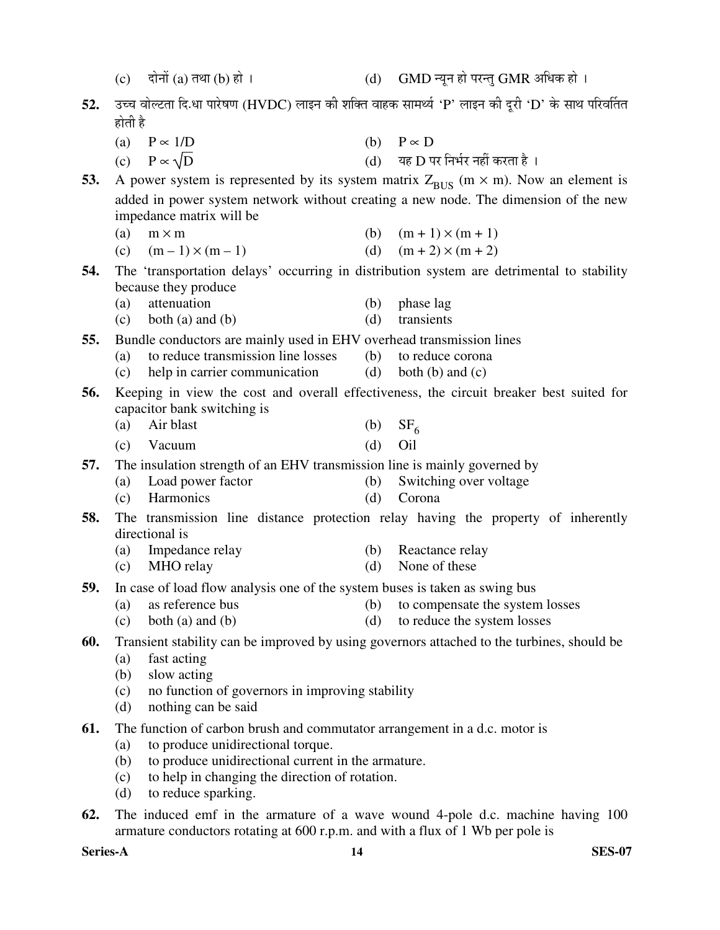|     | (c)        | दोनों (a) तथा (b) हो ।                                                                                     | (d)        | GMD न्यून हो परन्तु GMR अधिक हो ।                                                                     |
|-----|------------|------------------------------------------------------------------------------------------------------------|------------|-------------------------------------------------------------------------------------------------------|
| 52. |            |                                                                                                            |            | उच्च वोल्टता दि.धा पारेषण (HVDC) लाइन की शक्ति वाहक सामर्थ्य 'P' लाइन की दूरी 'D' के साथ परिवर्तित    |
|     | होती है    |                                                                                                            |            |                                                                                                       |
|     |            | (a) $P \propto 1/D$                                                                                        |            | (b) $P \propto D$                                                                                     |
|     |            | (c) $P \propto \sqrt{D}$                                                                                   |            | (d) यह D पर निर्भर नहीं करता है।                                                                      |
| 53. |            |                                                                                                            |            | A power system is represented by its system matrix $Z_{\text{BUS}}$ (m $\times$ m). Now an element is |
|     |            |                                                                                                            |            | added in power system network without creating a new node. The dimension of the new                   |
|     |            | impedance matrix will be                                                                                   |            |                                                                                                       |
|     | (a)        | $m \times m$                                                                                               | (b)        | $(m + 1) \times (m + 1)$                                                                              |
|     |            | (c) $(m-1) \times (m-1)$                                                                                   | (d)        | $(m + 2) \times (m + 2)$                                                                              |
| 54. |            |                                                                                                            |            | The 'transportation delays' occurring in distribution system are detrimental to stability             |
|     |            | because they produce                                                                                       |            |                                                                                                       |
|     | (a)<br>(c) | attenuation<br>both $(a)$ and $(b)$                                                                        | (b)<br>(d) | phase lag<br>transients                                                                               |
|     |            |                                                                                                            |            |                                                                                                       |
| 55. | (a)        | Bundle conductors are mainly used in EHV overhead transmission lines<br>to reduce transmission line losses | (b)        | to reduce corona                                                                                      |
|     | (c)        | help in carrier communication                                                                              | (d)        | both $(b)$ and $(c)$                                                                                  |
| 56. |            |                                                                                                            |            | Keeping in view the cost and overall effectiveness, the circuit breaker best suited for               |
|     |            | capacitor bank switching is                                                                                |            |                                                                                                       |
|     | (a)        | Air blast                                                                                                  | (b)        | $SF_{6}$                                                                                              |
|     | (c)        | Vacuum                                                                                                     | (d)        | Oil                                                                                                   |
| 57. |            | The insulation strength of an EHV transmission line is mainly governed by                                  |            |                                                                                                       |
|     | (a)        | Load power factor                                                                                          | (b)        | Switching over voltage                                                                                |
|     | (c)        | Harmonics                                                                                                  | (d)        | Corona                                                                                                |
| 58. |            | directional is                                                                                             |            | The transmission line distance protection relay having the property of inherently                     |
|     | (a)        | Impedance relay                                                                                            | (b)        | Reactance relay                                                                                       |
|     | (c)        | MHO relay                                                                                                  | (d)        | None of these                                                                                         |
| 59. |            | In case of load flow analysis one of the system buses is taken as swing bus                                |            |                                                                                                       |
|     | (a)        | as reference bus                                                                                           | (b)        | to compensate the system losses                                                                       |
|     | (c)        | both $(a)$ and $(b)$                                                                                       | (d)        | to reduce the system losses                                                                           |
| 60. |            |                                                                                                            |            | Transient stability can be improved by using governors attached to the turbines, should be            |
|     | (a)        | fast acting                                                                                                |            |                                                                                                       |
|     | (b)        | slow acting                                                                                                |            |                                                                                                       |
|     | (c)<br>(d) | no function of governors in improving stability<br>nothing can be said                                     |            |                                                                                                       |
| 61. |            | The function of carbon brush and commutator arrangement in a d.c. motor is                                 |            |                                                                                                       |
|     | (a)        | to produce unidirectional torque.                                                                          |            |                                                                                                       |
|     | (b)        | to produce unidirectional current in the armature.                                                         |            |                                                                                                       |
|     | (c)        | to help in changing the direction of rotation.                                                             |            |                                                                                                       |
|     | (d)        | to reduce sparking.                                                                                        |            |                                                                                                       |

**62.** The induced emf in the armature of a wave wound 4-pole d.c. machine having 100 armature conductors rotating at 600 r.p.m. and with a flux of 1 Wb per pole is

**Series-A 14 SES-07**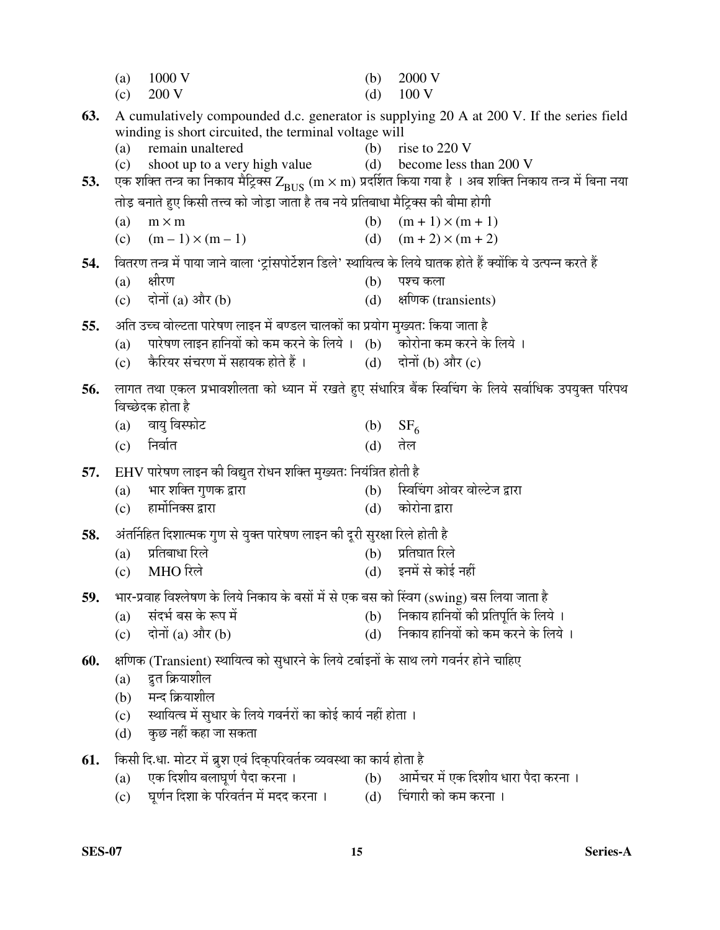|     | (a)<br>(c) | 1000 V<br>200 V                                                                                                   | (b)<br>(d) | 2000 V<br>100V                                                                                                                                                        |
|-----|------------|-------------------------------------------------------------------------------------------------------------------|------------|-----------------------------------------------------------------------------------------------------------------------------------------------------------------------|
| 63. |            | winding is short circuited, the terminal voltage will                                                             |            | A cumulatively compounded d.c. generator is supplying 20 A at 200 V. If the series field                                                                              |
| 53. | (a)<br>(c) | remain unaltered<br>shoot up to a very high value                                                                 | (b)        | rise to 220 V<br>(d) become less than 200 V<br>एक शक्ति तन्त्र का निकाय मैट्रिक्स Z <sub>BUS</sub> (m × m) प्रदर्शित किया गया है । अब शक्ति निकाय तन्त्र में बिना नया |
|     |            | तोड़ बनाते हुए किसी तत्त्व को जोड़ा जाता है तब नये प्रतिबाधा मैट्रिक्स की बीमा होगी                               |            |                                                                                                                                                                       |
|     | (a)        | $m \times m$                                                                                                      |            | (b) $(m + 1) \times (m + 1)$                                                                                                                                          |
|     | (c)        | $(m-1) \times (m-1)$                                                                                              | (d)        | $(m + 2) \times (m + 2)$                                                                                                                                              |
| 54. |            | वितरण तन्त्र में पाया जाने वाला 'ट्रांसपोर्टेशन डिले' स्थायित्व के लिये घातक होते हैं क्योंकि ये उत्पन्न करते हैं |            |                                                                                                                                                                       |
|     | (a)        | क्षीरण                                                                                                            | (b)        | पश्च कला                                                                                                                                                              |
|     | (c)        | दोनों (a) और (b)                                                                                                  | (d)        | क्षणिक (transients)                                                                                                                                                   |
| 55. |            | अति उच्च वोल्टता पारेषण लाइन में बण्डल चालकों का प्रयोग मुख्यतः किया जाता है                                      |            |                                                                                                                                                                       |
|     | (a)        | पारेषण लाइन हानियों को कम करने के लिये । (b) कोरोना कम करने के लिये ।<br>कैरियर संचरण में सहायक होते हैं ।        |            | (d) दोनों (b) और (c)                                                                                                                                                  |
|     | (c)        |                                                                                                                   |            |                                                                                                                                                                       |
| 56. |            | विच्छेदक होता है                                                                                                  |            | लागत तथा एकल प्रभावशीलता को ध्यान में रखते हुए संधारित्र बैंक स्विचिंग के लिये सर्वाधिक उपयुक्त परिपथ                                                                 |
|     | (a)        | वायु विस्फोट                                                                                                      | (b)        | SF <sub>6</sub>                                                                                                                                                       |
|     | (c)        | निर्वात                                                                                                           | (d)        | तेल                                                                                                                                                                   |
| 57. |            | EHV पारेषण लाइन की विद्युत रोधन शक्ति मुख्यतः नियंत्रित होती है                                                   |            |                                                                                                                                                                       |
|     | (a)        | भार शक्ति गुणक द्वारा                                                                                             | (b)        | स्विचिंग ओवर वोल्टेज द्वारा                                                                                                                                           |
|     | (c)        | हार्मोनिक्स द्वारा                                                                                                | (d)        | कोरोना द्वारा                                                                                                                                                         |
| 58. |            | अंतर्निहित दिशात्मक गुण से युक्त पारेषण लाइन की दूरी सुरक्षा रिले होती है                                         |            |                                                                                                                                                                       |
|     | (a)        | प्रतिबाधा रिले                                                                                                    |            | (b) प्रतिघात रिले                                                                                                                                                     |
|     | (c)        | MHO रिले                                                                                                          | (d)        | इनमें से कोई नहीं                                                                                                                                                     |
| 59. |            | भार-प्रवाह विश्लेषण के लिये निकाय के बसों में से एक बस को स्विंग (swing) बस लिया जाता है                          |            |                                                                                                                                                                       |
|     | (a)        | संदर्भ बस के रूप में                                                                                              |            | (b) निकाय हानियों की प्रतिपूर्ति के लिये ।                                                                                                                            |
|     | (c)        | दोनों (a) और (b)                                                                                                  | (d)        | निकाय हानियों को कम करने के लिये ।                                                                                                                                    |
| 60. |            | क्षणिक (Transient) स्थायित्व को सुधारने के लिये टर्बाइनों के साथ लगे गवर्नर होने चाहिए                            |            |                                                                                                                                                                       |
|     | (a)        | द्रुत क्रियाशील                                                                                                   |            |                                                                                                                                                                       |
|     | (b)        | मन्द क्रियाशील                                                                                                    |            |                                                                                                                                                                       |
|     | (c)        | स्थायित्व में सुधार के लिये गवर्नरों का कोई कार्य नहीं होता ।<br>कुछ नहीं कहा जा सकता                             |            |                                                                                                                                                                       |
|     | (d)        |                                                                                                                   |            |                                                                                                                                                                       |
| 61. |            | किसी दि.धा. मोटर में ब्रुश एवं दिक्परिवर्तक व्यवस्था का कार्य होता है                                             |            |                                                                                                                                                                       |
|     | (a)<br>(c) | एक दिशीय बलाघूर्ण पैदा करना ।<br>घूर्णन दिशा के परिवर्तन में मदद करना ।                                           | (d)        | (b) आर्मेचर में एक दिशीय धारा पैदा करना ।<br>चिंगारी को कम करना ।                                                                                                     |
|     |            |                                                                                                                   |            |                                                                                                                                                                       |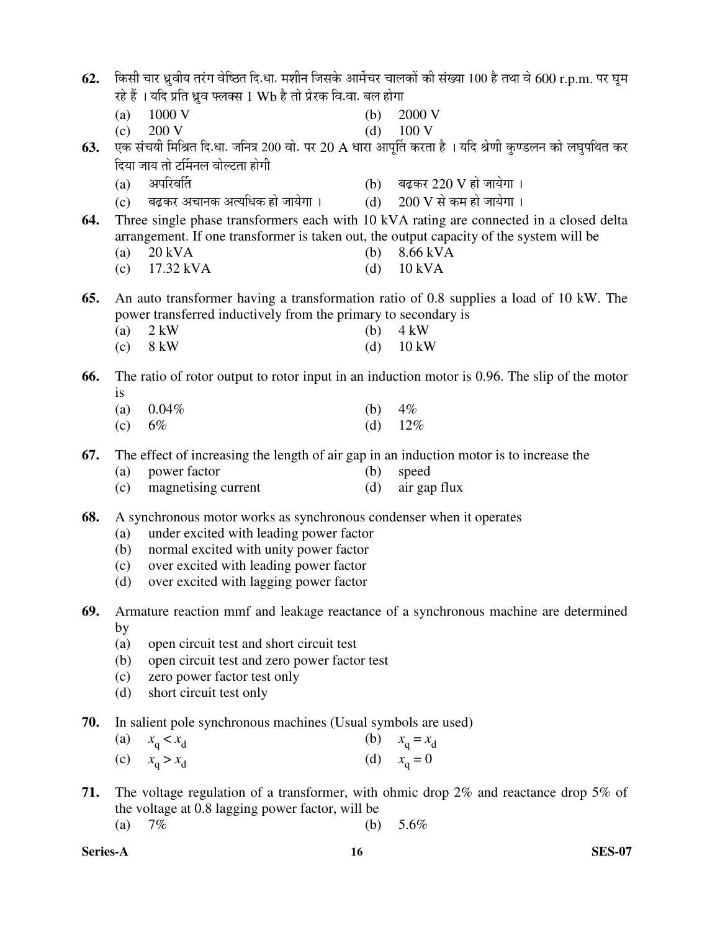| 62. |                   |                                                                                                         |            | किसी चार ध्रुवीय तरंग वेष्ठित दि.धा. मशीन जिसके आर्मेचर चालकों की संख्या 100 है तथा वे 600 r.p.m. पर घूम |
|-----|-------------------|---------------------------------------------------------------------------------------------------------|------------|----------------------------------------------------------------------------------------------------------|
|     |                   | रहे हैं । यदि प्रति ध्रुव फ्लक्स 1 Wb है तो प्रेरक वि.वा. बल होगा                                       |            |                                                                                                          |
|     | (a)               | 1000 V                                                                                                  | (b)        | 2000 V                                                                                                   |
|     | (c)               | 200 V                                                                                                   | (d)        | 100 V                                                                                                    |
| 63. |                   |                                                                                                         |            | एक संचयी मिश्रित दि.धा. जनित्र 200 वो. पर 20 A धारा आपूर्ति करता है । यदि श्रेणी कुण्डलन को लघुपथित कर   |
|     |                   | दिया जाय तो टर्मिनल वोल्टता होगी                                                                        |            |                                                                                                          |
|     | (a)               | अपरिवर्ति                                                                                               |            | (b) बढ़कर 220 V हो जायेगा।                                                                               |
|     |                   | (c) व्यद्वकर अचानक अत्यधिक हो जायेगा ।                                                                  |            | (d) $200 \text{ V}$ से कम हो जायेगा।                                                                     |
| 64. |                   |                                                                                                         |            | Three single phase transformers each with 10 kVA rating are connected in a closed delta                  |
|     |                   | arrangement. If one transformer is taken out, the output capacity of the system will be                 |            |                                                                                                          |
|     | (a)               | 20 kVA                                                                                                  | (b)        | 8.66 kVA                                                                                                 |
|     | (c)               | 17.32 kVA                                                                                               | (d)        | <b>10 kVA</b>                                                                                            |
| 65. |                   |                                                                                                         |            | An auto transformer having a transformation ratio of 0.8 supplies a load of 10 kW. The                   |
|     |                   | power transferred inductively from the primary to secondary is                                          |            |                                                                                                          |
|     | (a)               | $2$ kW                                                                                                  | (b)        | $4 \text{ kW}$                                                                                           |
|     | (c)               | 8 kW                                                                                                    | (d)        | $10 \text{ kW}$                                                                                          |
| 66. |                   |                                                                                                         |            | The ratio of rotor output to rotor input in an induction motor is 0.96. The slip of the motor            |
|     | <i>is</i>         |                                                                                                         |            |                                                                                                          |
|     | (a)               | 0.04%                                                                                                   | (b)        | $4\%$                                                                                                    |
|     | (c)               | 6%                                                                                                      | (d)        | 12%                                                                                                      |
|     |                   |                                                                                                         |            |                                                                                                          |
| 67. |                   | The effect of increasing the length of air gap in an induction motor is to increase the<br>power factor |            |                                                                                                          |
|     | (a)<br>(c)        | magnetising current                                                                                     | (b)<br>(d) | speed<br>air gap flux                                                                                    |
|     |                   |                                                                                                         |            |                                                                                                          |
| 68. |                   | A synchronous motor works as synchronous condenser when it operates                                     |            |                                                                                                          |
|     | (a)               | under excited with leading power factor                                                                 |            |                                                                                                          |
|     | (b)               | normal excited with unity power factor                                                                  |            |                                                                                                          |
|     | (c)               | over excited with leading power factor                                                                  |            |                                                                                                          |
|     | (d)               | over excited with lagging power factor                                                                  |            |                                                                                                          |
| 69. |                   |                                                                                                         |            | Armature reaction mmf and leakage reactance of a synchronous machine are determined                      |
|     | by                |                                                                                                         |            |                                                                                                          |
|     | (a)               | open circuit test and short circuit test                                                                |            |                                                                                                          |
|     | (b)               | open circuit test and zero power factor test                                                            |            |                                                                                                          |
|     | (c)               | zero power factor test only                                                                             |            |                                                                                                          |
|     | (d)               | short circuit test only                                                                                 |            |                                                                                                          |
| 70. |                   | In salient pole synchronous machines (Usual symbols are used)                                           |            |                                                                                                          |
|     | $\left( a\right)$ | $x_q < x_d$                                                                                             |            | (b) $x_q = x_d$                                                                                          |
|     | (c)               | $x_{\rm q} > x_{\rm d}$                                                                                 |            | (d) $x_q = 0$                                                                                            |
|     |                   |                                                                                                         |            |                                                                                                          |
| 71. |                   |                                                                                                         |            | The voltage regulation of a transformer, with ohmic drop $2\%$ and reactance drop $5\%$ of               |
|     |                   | the voltage at 0.8 lagging power factor, will be                                                        |            |                                                                                                          |
|     | (a)               | $7\%$                                                                                                   | (b)        | 5.6%                                                                                                     |

**Series-A 16 SES-07**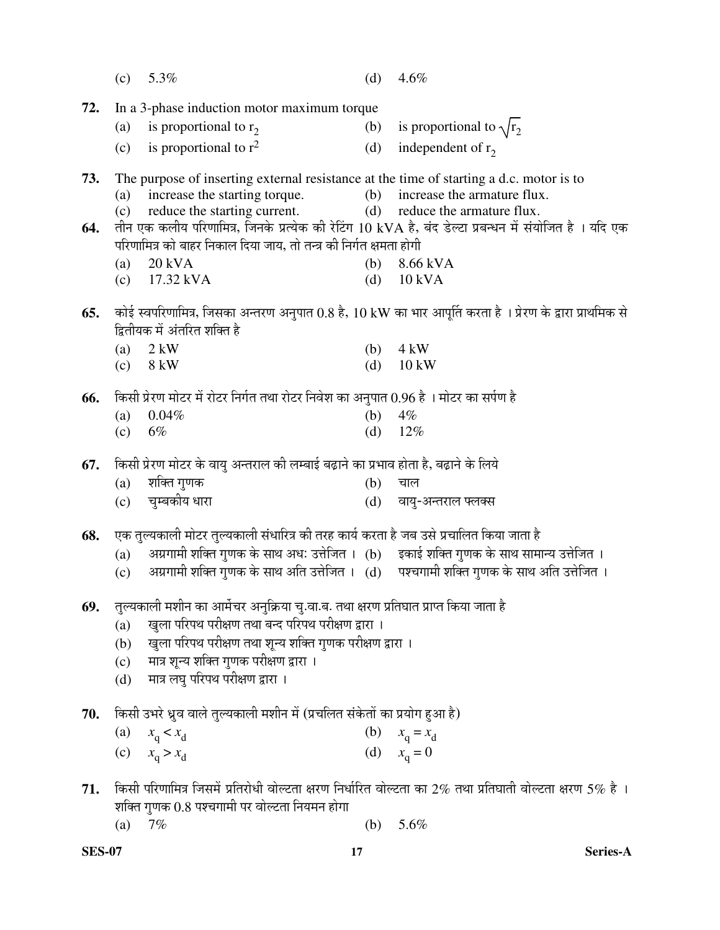|     | (c)               | 5.3%                                                                                    | (d) | 4.6%                                                                                                                                 |
|-----|-------------------|-----------------------------------------------------------------------------------------|-----|--------------------------------------------------------------------------------------------------------------------------------------|
| 72. |                   | In a 3-phase induction motor maximum torque                                             |     |                                                                                                                                      |
|     | (a)               | is proportional to $r_2$                                                                |     | (b) is proportional to $\sqrt{r_2}$                                                                                                  |
|     | (c)               | is proportional to $r^2$                                                                | (d) | independent of $r_2$                                                                                                                 |
| 73. |                   | The purpose of inserting external resistance at the time of starting a d.c. motor is to |     |                                                                                                                                      |
|     |                   | (a) increase the starting torque.                                                       |     | (b) increase the armature flux.                                                                                                      |
|     | (c)               | reduce the starting current.                                                            | (d) | reduce the armature flux.<br>तीन एक कलीय परिणामित्र, जिनके प्रत्येक की रेटिंग 10 kVA है, बंद डेल्टा प्रबन्धन में संयोजित है । यदि एक |
| 64. |                   | परिणामित्र को बाहर निकाल दिया जाय, तो तन्त्र की निर्गत क्षमता होगी                      |     |                                                                                                                                      |
|     | (a)               | 20 kVA                                                                                  | (b) | 8.66 kVA                                                                                                                             |
|     | (c)               | 17.32 kVA                                                                               | (d) | <b>10 kVA</b>                                                                                                                        |
| 65. |                   |                                                                                         |     | कोई स्वपरिणामित्र, जिसका अन्तरण अनुपात 0.8 है, 10 kW का भार आपूर्ति करता है । प्रेरण के द्वारा प्राथमिक से                           |
|     |                   | द्वितीयक में अंतरित शक्ति है                                                            |     |                                                                                                                                      |
|     | (a)               | $2$ kW                                                                                  | (b) | $4 \text{ kW}$                                                                                                                       |
|     | (c)               | 8 kW                                                                                    | (d) | 10 kW                                                                                                                                |
| 66. |                   | किसी प्रेरण मोटर में रोटर निर्गत तथा रोटर निवेश का अनुपात 0.96 है । मोटर का सर्पण है    |     |                                                                                                                                      |
|     | (a)               | 0.04%                                                                                   | (b) | 4%                                                                                                                                   |
|     | (c)               | 6%                                                                                      | (d) | 12%                                                                                                                                  |
| 67. |                   | किसी प्रेरण मोटर के वायु अन्तराल की लम्बाई बढ़ाने का प्रभाव होता है, बढ़ाने के लिये     |     |                                                                                                                                      |
|     | (a)               | शक्ति गुणक                                                                              | (b) | चाल                                                                                                                                  |
|     | (c)               | चुम्बकीय धारा                                                                           | (d) | वायु-अन्तराल फ्लक्स                                                                                                                  |
| 68. |                   | एक तुल्यकाली मोटर तुल्यकाली संधारित्र की तरह कार्य करता है जब उसे प्रचालित किया जाता है |     |                                                                                                                                      |
|     | (a)               | अग्रगामी शक्ति गुणक के साथ अधः उत्तेजित । (b) इकाई शक्ति गुणक के साथ सामान्य उत्तेजित । |     |                                                                                                                                      |
|     | (c)               |                                                                                         |     | अग्रगामी शक्ति गुणक के साथ अति उत्तेजित । (d) पश्चगामी शक्ति गुणक के साथ अति उत्तेजित ।                                              |
| 69. |                   | तुल्यकाली मशीन का आर्मेचर अनुक्रिया चु.वा.ब. तथा क्षरण प्रतिघात प्राप्त किया जाता है    |     |                                                                                                                                      |
|     | (a)               | खुला परिपथ परीक्षण तथा बन्द परिपथ परीक्षण द्वारा ।                                      |     |                                                                                                                                      |
|     | (b)               | खुला परिपथ परीक्षण तथा शून्य शक्ति गुणक परीक्षण द्वारा ।                                |     |                                                                                                                                      |
|     | (c)               | मात्र शून्य शक्ति गुणक परीक्षण द्वारा ।                                                 |     |                                                                                                                                      |
|     | (d)               | मात्र लघु परिपथ परीक्षण द्वारा ।                                                        |     |                                                                                                                                      |
| 70. |                   | किसी उभरे ध्रुव वाले तुल्यकाली मशीन में (प्रचलित संकेतों का प्रयोग हुआ है)              |     |                                                                                                                                      |
|     | $\left( a\right)$ | $x_q < x_d$                                                                             | (b) | $x_q = x_d$                                                                                                                          |
|     | (c)               | $x_{\rm q} > x_{\rm d}$                                                                 |     | (d) $x_q = 0$                                                                                                                        |
| 71. |                   |                                                                                         |     | किसी परिणामित्र जिसमें प्रतिरोधी वोल्टता क्षरण निर्धारित वोल्टता का 2% तथा प्रतिघाती वोल्टता क्षरण 5% है ।                           |
|     |                   | शक्ति गुणक $0.8$ पश्चगामी पर वोल्टता नियमन होगा                                         |     |                                                                                                                                      |
|     | (a)               | 7%                                                                                      | (b) | 5.6%                                                                                                                                 |
|     |                   |                                                                                         |     |                                                                                                                                      |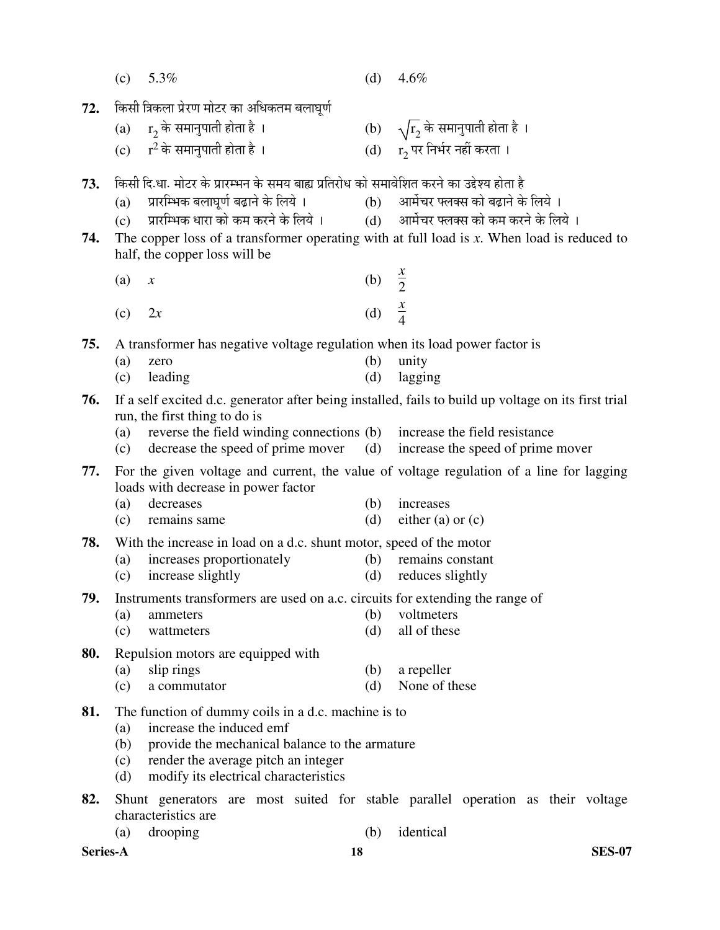|          | (c)        | 5.3%                                                                                             | (d)               | 4.6%                                                                                                 |
|----------|------------|--------------------------------------------------------------------------------------------------|-------------------|------------------------------------------------------------------------------------------------------|
| 72.      |            | किसी त्रिकला प्रेरण मोटर का अधिकतम बलाघूर्ण                                                      |                   |                                                                                                      |
|          |            | (a) $r_2$ के समानुपाती होता है ।                                                                 |                   |                                                                                                      |
|          |            | (c) $r^2$ के समानुपाती होता है ।                                                                 |                   | (b) $\sqrt{r_2}$ के समानुपाती होता है ।<br>(d) $r_2$ पर निर्भर नहीं करता ।                           |
| 73.      |            | किसी दि.धा. मोटर के प्रारम्भन के समय बाह्य प्रतिरोध को समावेशित करने का उद्देश्य होता है         |                   |                                                                                                      |
|          |            | (a) प्रारम्भिक बलाघूर्ण बढ़ाने के लिये ।                                                         |                   | (b) आर्मेचर फ्लक्स को बढ़ाने के लिये ।                                                               |
|          | (c)        | प्रारम्भिक धारा को कम करने के लिये ।            (d)     आर्मेचर फ्लक्स को कम करने के लिये ।      |                   |                                                                                                      |
| 74.      |            | half, the copper loss will be                                                                    |                   | The copper loss of a transformer operating with at full load is $x$ . When load is reduced to        |
|          | (a)        | $\boldsymbol{\mathcal{X}}$                                                                       | (b) $\frac{x}{2}$ |                                                                                                      |
|          | (c)        | 2x                                                                                               | (d) $\frac{x}{4}$ |                                                                                                      |
| 75.      |            | A transformer has negative voltage regulation when its load power factor is                      |                   |                                                                                                      |
|          | (a)        | zero                                                                                             | (b)               | unity                                                                                                |
|          | (c)        | leading                                                                                          | (d)               | lagging                                                                                              |
| 76.      |            | run, the first thing to do is                                                                    |                   | If a self excited d.c. generator after being installed, fails to build up voltage on its first trial |
|          | (a)        | reverse the field winding connections (b) increase the field resistance                          |                   |                                                                                                      |
|          | (c)        | decrease the speed of prime mover                                                                | (d)               | increase the speed of prime mover                                                                    |
| 77.      |            | loads with decrease in power factor                                                              |                   | For the given voltage and current, the value of voltage regulation of a line for lagging             |
|          | (a)        | decreases                                                                                        | (b)               | increases                                                                                            |
|          | (c)        | remains same                                                                                     | (d)               | either (a) or $(c)$                                                                                  |
| 78.      | (a)        | With the increase in load on a d.c. shunt motor, speed of the motor<br>increases proportionately | (b)               | remains constant                                                                                     |
|          | (c)        | increase slightly                                                                                | (d)               | reduces slightly                                                                                     |
| 79.      |            | Instruments transformers are used on a.c. circuits for extending the range of                    |                   |                                                                                                      |
|          | (a)        | ammeters                                                                                         | (b)               | voltmeters                                                                                           |
|          | (c)        | wattmeters                                                                                       | (d)               | all of these                                                                                         |
| 80.      |            | Repulsion motors are equipped with                                                               |                   |                                                                                                      |
|          | (a)<br>(c) | slip rings<br>a commutator                                                                       | (b)<br>(d)        | a repeller<br>None of these                                                                          |
| 81.      |            | The function of dummy coils in a d.c. machine is to                                              |                   |                                                                                                      |
|          | (a)        | increase the induced emf                                                                         |                   |                                                                                                      |
|          | (b)        | provide the mechanical balance to the armature                                                   |                   |                                                                                                      |
|          | (c)<br>(d) | render the average pitch an integer<br>modify its electrical characteristics                     |                   |                                                                                                      |
| 82.      |            |                                                                                                  |                   | Shunt generators are most suited for stable parallel operation as their voltage                      |
|          |            | characteristics are                                                                              |                   |                                                                                                      |
|          | (a)        | drooping                                                                                         | (b)               | identical                                                                                            |
| Series-A |            | 18                                                                                               |                   | <b>SES-07</b>                                                                                        |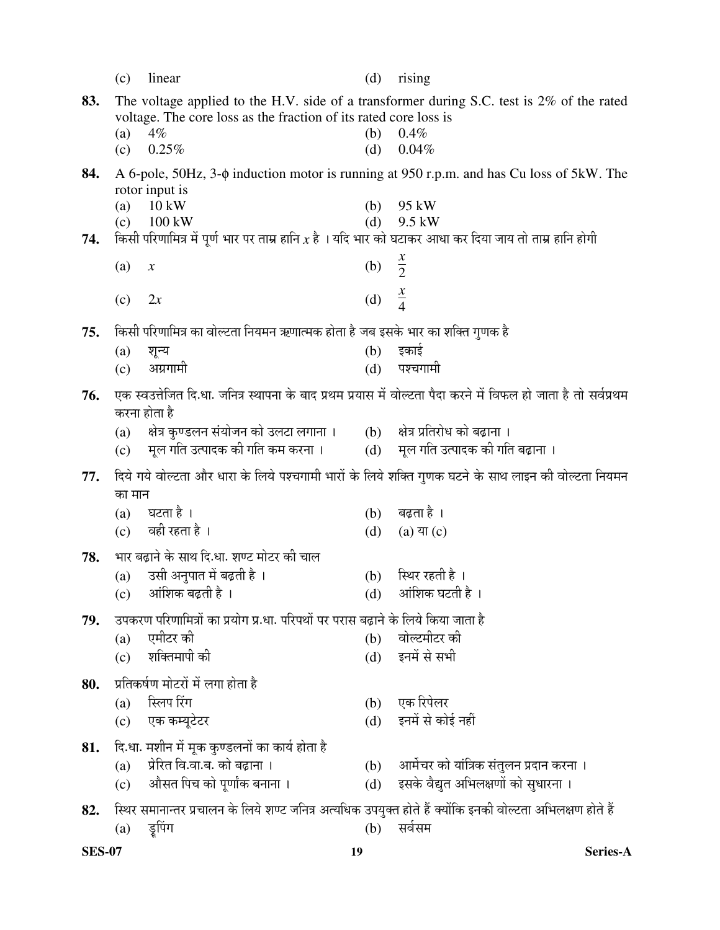|     | (c)        | linear                                                                                                   | (d)               | rising                                                                                                          |
|-----|------------|----------------------------------------------------------------------------------------------------------|-------------------|-----------------------------------------------------------------------------------------------------------------|
| 83. |            |                                                                                                          |                   | The voltage applied to the H.V. side of a transformer during S.C. test is 2% of the rated                       |
|     |            | voltage. The core loss as the fraction of its rated core loss is                                         |                   |                                                                                                                 |
|     | (a)        | $4\%$                                                                                                    | (b)               | 0.4%                                                                                                            |
|     | (c)        | 0.25%                                                                                                    | (d)               | 0.04%                                                                                                           |
| 84. |            |                                                                                                          |                   | A 6-pole, 50Hz, 3-φ induction motor is running at 950 r.p.m. and has Cu loss of 5kW. The                        |
|     |            | rotor input is                                                                                           |                   |                                                                                                                 |
|     | (a)<br>(c) | $10 \text{ kW}$<br>100 kW                                                                                | (b)<br>(d)        | 95 kW<br>9.5 kW                                                                                                 |
| 74. |            | किसी परिणामित्र में पूर्ण भार पर ताम्र हानि $x$ है । यदि भार को घटाकर आधा कर दिया जाय तो ताम्र हानि होगी |                   |                                                                                                                 |
|     |            |                                                                                                          |                   |                                                                                                                 |
|     | (a)        | $\boldsymbol{\mathcal{X}}$                                                                               | (b) $\frac{x}{2}$ |                                                                                                                 |
|     |            |                                                                                                          |                   | $rac{x}{4}$                                                                                                     |
|     | (c)        | 2x                                                                                                       | (d)               |                                                                                                                 |
| 75. |            | किसी परिणामित्र का वोल्टता नियमन ऋणात्मक होता है जब इसके भार का शक्ति गुणक है                            |                   |                                                                                                                 |
|     | (a)        | शून्य                                                                                                    | (b)               | इकाई                                                                                                            |
|     | (c)        | अग्रगामी                                                                                                 | (d)               | पश्चगामी                                                                                                        |
|     |            |                                                                                                          |                   | एक स्वउत्तेजित दि.धा. जनित्र स्थापना के बाद प्रथम प्रयास में वोल्टता पैदा करने में विफल हो जाता है तो सर्वप्रथम |
| 76. |            | करना होता है                                                                                             |                   |                                                                                                                 |
|     | (a)        | क्षेत्र कुण्डलन संयोजन को उलटा लगाना । (b) क्षेत्र प्रतिरोध को बढ़ाना ।                                  |                   |                                                                                                                 |
|     | (c)        | मूल गति उत्पादक की गति कम करना ।           (d)     मूल गति उत्पादक की गति बढ़ाना ।                       |                   |                                                                                                                 |
|     |            |                                                                                                          |                   |                                                                                                                 |
| 77. |            |                                                                                                          |                   | दिये गये वोल्टता और धारा के लिये पश्चगामी भारों के लिये शक्ति गुणक घटने के साथ लाइन की वोल्टता नियमन            |
|     | का मान     |                                                                                                          |                   |                                                                                                                 |
|     |            | $(a)$ घटता है ।                                                                                          | (b)               | बढ़ता है ।                                                                                                      |
|     |            | (c) वही रहता है।                                                                                         | (d)               | $(a)$ या $(c)$                                                                                                  |
| 78. |            | भार बढ़ाने के साथ दि.धा. शण्ट मोटर की चाल                                                                |                   |                                                                                                                 |
|     | (a)        | उसी अनुपात में बढ़ती है ।                                                                                | (b)               | स्थिर रहती है ।                                                                                                 |
|     |            | $(c)$ अांशिक बढ़ती है ।                                                                                  |                   | (d) आंशिक घटती है ।                                                                                             |
| 79. |            | उपकरण परिणामित्रों का प्रयोग प्र.धा. परिपथों पर परास बढ़ाने के लिये किया जाता है                         |                   |                                                                                                                 |
|     | (a)        | एमीटर की                                                                                                 | (b)               | वोल्टमीटर की                                                                                                    |
|     | (c)        | शक्तिमापी की                                                                                             | (d)               | इनमें से सभी                                                                                                    |
|     |            |                                                                                                          |                   |                                                                                                                 |
| 80. |            | प्रतिकर्षण मोटरों में लगा होता है<br>स्लिप रिंग                                                          |                   | एक रिपेलर                                                                                                       |
|     | (a)        | एक कम्यूटेटर                                                                                             | (b)<br>(d)        | इनमें से कोई नहीं                                                                                               |
|     | (c)        |                                                                                                          |                   |                                                                                                                 |
| 81. |            | दि.धा. मशीन में मूक कुण्डलनों का कार्य होता है                                                           |                   |                                                                                                                 |
|     | (a)        | प्रेरित वि.वा.ब. को बढ़ाना ।                                                                             | (b)               | आर्मेचर को यांत्रिक संतुलन प्रदान करना ।                                                                        |
|     | (c)        | औसत पिच को पूर्णांक बनाना ।                                                                              | (d)               | इसके वैद्युत अभिलक्षणों को सुधारना ।                                                                            |
| 82. |            |                                                                                                          |                   | स्थिर समानान्तर प्रचालन के लिये शण्ट जनित्र अत्यधिक उपयुक्त होते हैं क्योंकि इनकी वोल्टता अभिलक्षण होते हैं     |
|     | (a)        | डूपिंग                                                                                                   | (b)               | सर्वसम                                                                                                          |

**SES-07 19 Series-A**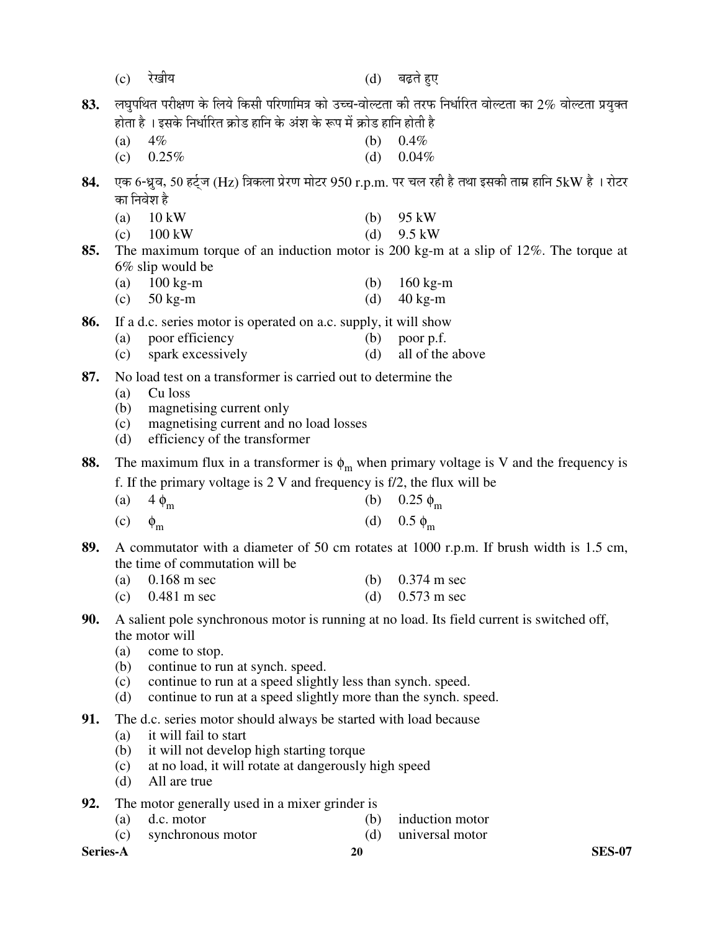|          | (c)        | रेखीय                                                                                | (d)        | बढ़ते हुए                                                                                                |
|----------|------------|--------------------------------------------------------------------------------------|------------|----------------------------------------------------------------------------------------------------------|
| 83.      |            | होता है । इसके निर्धारित क्रोड हानि के अंश के रूप में क्रोड हानि होती है             |            | लघुपथित परीक्षण के लिये किसी परिणामित्र को उच्च-वोल्टता की तरफ निर्धारित वोल्टता का 2% वोल्टता प्रयुक्त  |
|          | (a)        | $4\%$                                                                                | (b)        | 0.4%                                                                                                     |
|          | (c)        | 0.25%                                                                                | (d)        | 0.04%                                                                                                    |
| 84.      |            | का निवेश है                                                                          |            | एक 6-ध्रुव, 50 हर्ट्ज (Hz) त्रिकला प्रेरण मोटर 950 r.p.m. पर चल रही है तथा इसकी ताम्र हानि 5kW है । रोटर |
|          | (a)<br>(c) | $10 \text{ kW}$<br>$100 \text{ kW}$                                                  | (b)<br>(d) | 95 kW<br>9.5 kW                                                                                          |
| 85.      |            | $6\%$ slip would be                                                                  |            | The maximum torque of an induction motor is 200 kg-m at a slip of $12\%$ . The torque at                 |
|          | (a)        | $100 \text{ kg-m}$                                                                   | (b)        | $160 \text{ kg-m}$                                                                                       |
|          | (c)        | $50$ kg-m                                                                            | (d)        | $40$ kg-m                                                                                                |
| 86.      |            | If a d.c. series motor is operated on a.c. supply, it will show                      |            |                                                                                                          |
|          | (a)        | poor efficiency                                                                      | (b)        | poor p.f.                                                                                                |
|          | (c)        | spark excessively                                                                    | (d)        | all of the above                                                                                         |
| 87.      |            | No load test on a transformer is carried out to determine the<br>Cu loss             |            |                                                                                                          |
|          | (a)<br>(b) | magnetising current only                                                             |            |                                                                                                          |
|          | (c)        | magnetising current and no load losses                                               |            |                                                                                                          |
|          | (d)        | efficiency of the transformer                                                        |            |                                                                                                          |
| 88.      |            |                                                                                      |            | The maximum flux in a transformer is $\phi_m$ when primary voltage is V and the frequency is             |
|          |            | f. If the primary voltage is $2 \text{ V}$ and frequency is $f/2$ , the flux will be |            |                                                                                                          |
|          | (a)        | $4 \phi_m$                                                                           | (b)        | $0.25 \phi_{\rm m}$                                                                                      |
|          | (c)        | $\phi_{\rm m}$                                                                       | (d)        | $0.5 \phi_{\rm m}$                                                                                       |
| 89.      |            | the time of commutation will be                                                      |            | A commutator with a diameter of 50 cm rotates at 1000 r.p.m. If brush width is 1.5 cm,                   |
|          | (a)        | $0.168$ m sec                                                                        | (b)        | $0.374$ m sec                                                                                            |
|          | (c)        | $0.481$ m sec                                                                        |            | (d) $0.573 \text{ m} \text{ sec}$                                                                        |
| 90.      |            |                                                                                      |            | A salient pole synchronous motor is running at no load. Its field current is switched off,               |
|          | (a)        | the motor will<br>come to stop.                                                      |            |                                                                                                          |
|          | (b)        | continue to run at synch. speed.                                                     |            |                                                                                                          |
|          | (c)        | continue to run at a speed slightly less than synch. speed.                          |            |                                                                                                          |
|          | (d)        | continue to run at a speed slightly more than the synch. speed.                      |            |                                                                                                          |
| 91.      |            | The d.c. series motor should always be started with load because                     |            |                                                                                                          |
|          | (a)<br>(b) | it will fail to start<br>it will not develop high starting torque                    |            |                                                                                                          |
|          | (c)        | at no load, it will rotate at dangerously high speed                                 |            |                                                                                                          |
|          | (d)        | All are true                                                                         |            |                                                                                                          |
| 92.      |            | The motor generally used in a mixer grinder is                                       |            |                                                                                                          |
|          | (a)<br>(c) | d.c. motor<br>synchronous motor                                                      | (b)<br>(d) | induction motor<br>universal motor                                                                       |
| Series-A |            |                                                                                      | 20         | <b>SES-07</b>                                                                                            |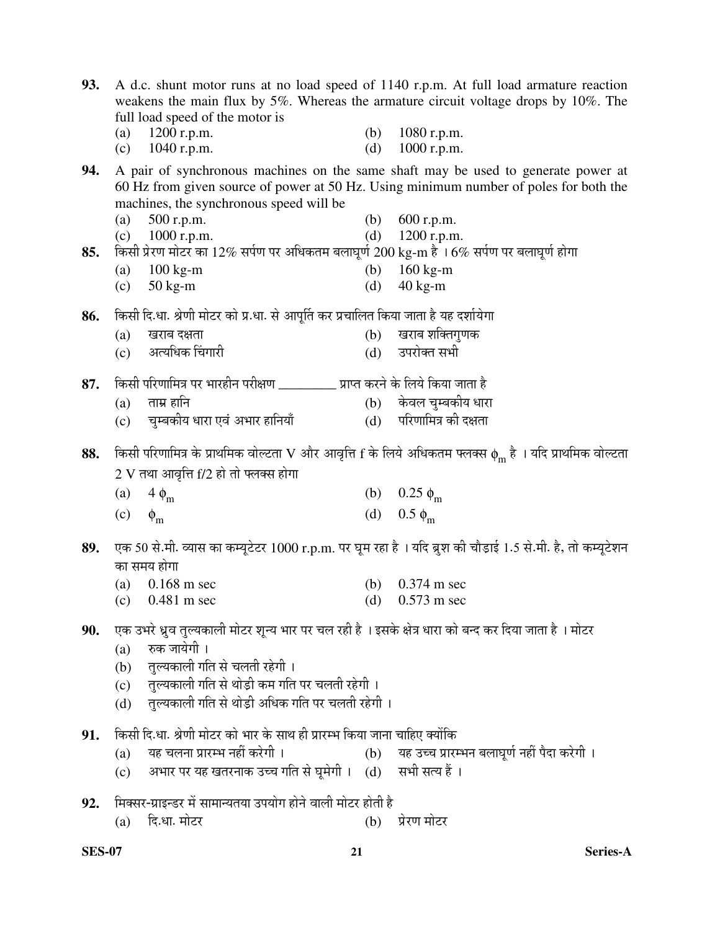| 93. |                   | full load speed of the motor is                                                                        |            | A d.c. shunt motor runs at no load speed of 1140 r.p.m. At full load armature reaction<br>weakens the main flux by 5%. Whereas the armature circuit voltage drops by 10%. The |
|-----|-------------------|--------------------------------------------------------------------------------------------------------|------------|-------------------------------------------------------------------------------------------------------------------------------------------------------------------------------|
|     | (a)<br>(c)        | 1200 r.p.m.<br>$1040$ r.p.m.                                                                           | (b)<br>(d) | 1080 r.p.m.<br>1000 r.p.m.                                                                                                                                                    |
| 94. |                   | machines, the synchronous speed will be                                                                |            | A pair of synchronous machines on the same shaft may be used to generate power at<br>60 Hz from given source of power at 50 Hz. Using minimum number of poles for both the    |
|     | (a)               | 500 r.p.m.                                                                                             | (b)        | 600 r.p.m.                                                                                                                                                                    |
|     |                   | (c) $1000$ r.p.m.                                                                                      |            | (d) $1200$ r.p.m.                                                                                                                                                             |
| 85. |                   | किसी प्रेरण मोटर का 12% सर्पण पर अधिकतम बलाघूर्ण 200 kg-m है । 6% सर्पण पर बलाघूर्ण होगा               |            |                                                                                                                                                                               |
|     | (a)               | $100 \text{ kg-m}$                                                                                     | (d)        | (b) $160 \text{ kg-m}$<br>$40$ kg-m                                                                                                                                           |
|     | (c)               | $50$ kg-m                                                                                              |            |                                                                                                                                                                               |
| 86. |                   | किसी दि.धा. श्रेणी मोटर को प्र.धा. से आपूर्ति कर प्रचालित किया जाता है यह दर्शायेगा                    |            |                                                                                                                                                                               |
|     | (a)               | खराब दक्षता                                                                                            | (b)        | खराब शक्तिगुणक                                                                                                                                                                |
|     | (c)               | अत्यधिक चिंगारी                                                                                        |            | (d) उपरोक्त सभी                                                                                                                                                               |
| 87. |                   | किसी परिणामित्र पर भारहीन परीक्षण __________ प्राप्त करने के लिये किया जाता है                         |            |                                                                                                                                                                               |
|     | (a)               | ताम्र हानि                                                                                             |            | (b) केवल चुम्बकीय धारा                                                                                                                                                        |
|     |                   | (c) व्यम्बकीय धारा एवं अभार हानियाँ                                                                    |            | (d) परिणामित्र की दक्षता                                                                                                                                                      |
|     |                   |                                                                                                        |            |                                                                                                                                                                               |
| 88. |                   | $2$ V तथा आवृत्ति f/2 हो तो फ्लक्स होगा                                                                |            | किसी परिणामित्र के प्राथमिक वोल्टता V और आवृत्ति f के लिये अधिकतम फ्लक्स $\phi_m$ है । यदि प्राथमिक वोल्टता                                                                   |
|     |                   |                                                                                                        |            |                                                                                                                                                                               |
|     | $\left( a\right)$ | $4 \phi_{\rm m}$                                                                                       |            | (b) $0.25 \phi_m$                                                                                                                                                             |
|     | (c)               | $\phi_{\rm m}$                                                                                         |            | (d) $0.5 \phi_m$                                                                                                                                                              |
| 89. |                   | का समय होगा                                                                                            |            | एक 50 से.मी. व्यास का कम्यूटेटर 1000 r.p.m. पर घूम रहा है । यदि ब्रुश की चौड़ाई 1.5 से.मी. है, तो कम्यूटेशन                                                                   |
|     | (a)               | $0.168$ m sec                                                                                          |            | (b) $0.374 \text{ m} \text{ sec}$                                                                                                                                             |
|     |                   | (c) $0.481 \text{ m} \text{ sec}$                                                                      |            | (d) $0.573 \text{ m} \text{ sec}$                                                                                                                                             |
| 90. |                   | एक उभरे ध्रुव तुल्यकाली मोटर शून्य भार पर चल रही है । इसके क्षेत्र धारा को बन्द कर दिया जाता है । मोटर |            |                                                                                                                                                                               |
|     | (a)               | रुक जायेगी ।                                                                                           |            |                                                                                                                                                                               |
|     | (b)               | तुल्यकाली गति से चलती रहेगी ।                                                                          |            |                                                                                                                                                                               |
|     |                   | (c) तुल्यकाली गति से थोड़ी कम गति पर चलती रहेगी ।                                                      |            |                                                                                                                                                                               |
|     | (d)               | तुल्यकाली गति से थोड़ी अधिक गति पर चलती रहेगी ।                                                        |            |                                                                                                                                                                               |
| 91. |                   | किसी दि.धा. श्रेणी मोटर को भार के साथ ही प्रारम्भ किया जाना चाहिए क्योंकि                              |            |                                                                                                                                                                               |
|     | (a)               | यह चलना प्रारम्भ नहीं करेगी ।                                                                          |            | (b) यह उच्च प्रारम्भन बलाघूर्ण नहीं पैदा करेगी ।                                                                                                                              |
|     | (c)               | अभार पर यह खतरनाक उच्च गति से घूमेगी । (d) सभी सत्य हैं ।                                              |            |                                                                                                                                                                               |
| 92. |                   | मिक्सर-ग्राइन्डर में सामान्यतया उपयोग होने वाली मोटर होती है                                           |            |                                                                                                                                                                               |
|     | (a)               | दि.धा. मोटर                                                                                            | (b)        | प्रेरण मोटर                                                                                                                                                                   |
|     |                   |                                                                                                        |            |                                                                                                                                                                               |

**SES-07 21 Series-A**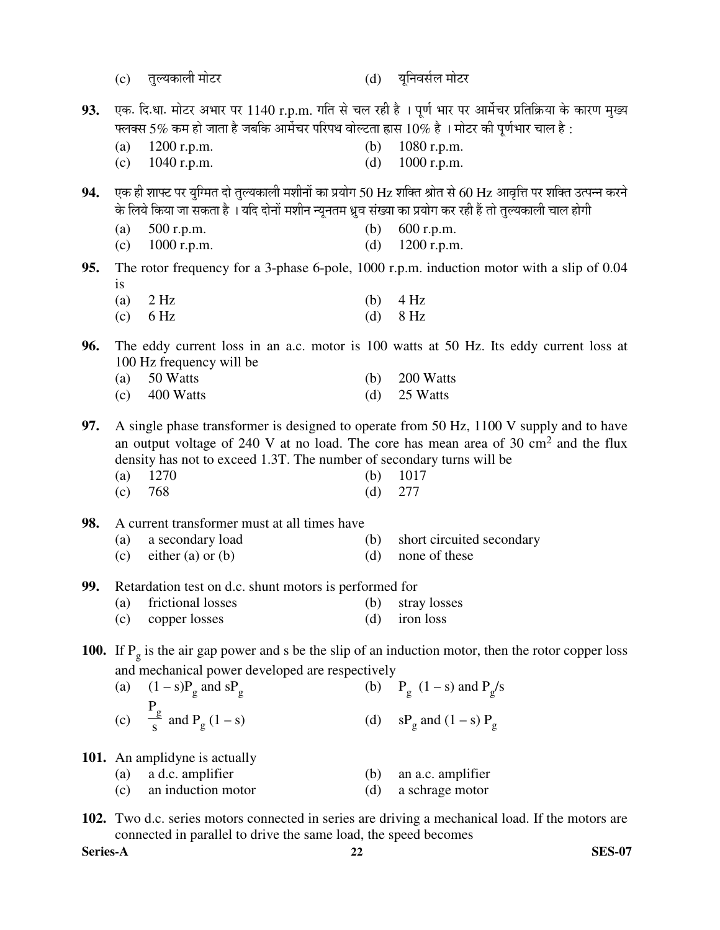- (c) तुल्यकाली मोटर (d) युनिवर्सल मोटर
	-
- $93.$  एक. दि.धा. मोटर अभार पर  $1140$  r.p.m. गति से चल रही है । पूर्ण भार पर आर्मेचर प्रतिक्रिया के कारण मुख्य फ्लक्स 5% कम हो जाता है जबकि आर्मेचर परिपथ वोल्टता ह्रास  $10\%$  है । मोटर की पूर्णभार चाल है :
	- (a) 1200 r.p.m. (b) 1080 r.p.m.
	- (c)  $1040$  r.p.m. (d)  $1000$  r.p.m.
- $94.$  एक ही शाफ्ट पर युग्मित दो तुल्यकाली मशीनों का प्रयोग 50 Hz शक्ति श्रोत से 60 Hz आवृत्ति पर शक्ति उत्पन्न करने के लिये किया जा सकता है । यदि दोनों मशीन न्यूनतम ध्रूव संख्या का प्रयोग कर रही हैं तो तुल्यकाली चाल होगी
	- (a) 500 r.p.m. (b) 600 r.p.m.
	- (c) 1000 r.p.m. (d) 1200 r.p.m.
- **95.** The rotor frequency for a 3-phase 6-pole, 1000 r.p.m. induction motor with a slip of 0.04 is
	- (a)  $2 \text{ Hz}$  (b)  $4 \text{ Hz}$
	- (c)  $6 \text{ Hz}$  (d)  $8 \text{ Hz}$
- **96.** The eddy current loss in an a.c. motor is 100 watts at 50 Hz. Its eddy current loss at 100 Hz frequency will be
	- (a) 50 Watts (b) 200 Watts (c)  $400 \text{ Watts}$  (d)  $25 \text{ Watts}$
- **97.** A single phase transformer is designed to operate from 50 Hz, 1100 V supply and to have an output voltage of 240 V at no load. The core has mean area of 30  $\text{cm}^2$  and the flux density has not to exceed 1.3T. The number of secondary turns will be
- (a) 1270 (b) 1017
- (c) 768 (d) 277
- **98.** A current transformer must at all times have
	- (a) a secondary load (b) short circuited secondary
	- (c) either (a) or (b)  $(d)$  none of these
- **99.** Retardation test on d.c. shunt motors is performed for
	- (a) frictional losses (b) stray losses
	- (c) copper losses (d) iron loss
- **100.** If  $P_g$  is the air gap power and s be the slip of an induction motor, then the rotor copper loss and mechanical power developed are respectively
- (a)  $(1 s)P_g$  and  $sP_g$ (b)  $P_g (1-s)$  and  $P_g/s$  (c)  $P_g$  $\frac{2}{s}$  and P<sub>g</sub> (1 – s) (d)  $sP_g$  and (1 – s)  $P_g$
- **101.** An amplidyne is actually

| $(a)$ a d.c. amplifier | $(b)$ an a.c. amplifier |
|------------------------|-------------------------|
| (c) an induction motor | (d) a schrage motor     |

**102.** Two d.c. series motors connected in series are driving a mechanical load. If the motors are connected in parallel to drive the same load, the speed becomes

**Series-A 22 SES-07**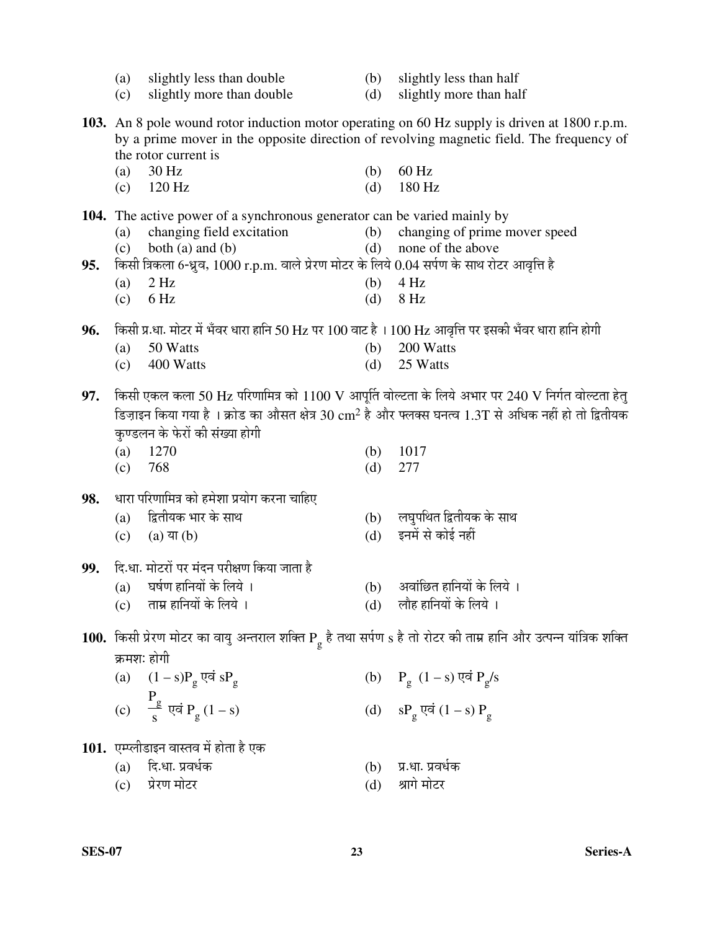|     | (a)<br>(c)  | slightly less than double<br>slightly more than double                                                | (b)<br>(d) | slightly less than half<br>slightly more than half                                                                                                                                        |
|-----|-------------|-------------------------------------------------------------------------------------------------------|------------|-------------------------------------------------------------------------------------------------------------------------------------------------------------------------------------------|
|     |             | the rotor current is                                                                                  |            | 103. An 8 pole wound rotor induction motor operating on 60 Hz supply is driven at 1800 r.p.m.<br>by a prime mover in the opposite direction of revolving magnetic field. The frequency of |
|     | (a)<br>(c)  | 30 Hz<br>120 Hz                                                                                       | (b)<br>(d) | 60 Hz<br>180 Hz                                                                                                                                                                           |
|     |             | 104. The active power of a synchronous generator can be varied mainly by                              |            |                                                                                                                                                                                           |
|     | (a)<br>(c)  | changing field excitation<br>both $(a)$ and $(b)$                                                     | (b)<br>(d) | changing of prime mover speed<br>none of the above                                                                                                                                        |
| 95. |             | किसी त्रिकला 6-ध्रुव, 1000 r.p.m. वाले प्रेरण मोटर के लिये 0.04 सर्पण के साथ रोटर आवृत्ति है<br>2 Hz  |            | 4 Hz                                                                                                                                                                                      |
|     | (a)<br>(c)  | 6 Hz                                                                                                  | (b)<br>(d) | 8 Hz                                                                                                                                                                                      |
| 96. |             | किसी प्र.धा. मोटर में भँवर धारा हानि 50 Hz पर 100 वाट है । 100 Hz आवृत्ति पर इसकी भँवर धारा हानि होगी |            |                                                                                                                                                                                           |
|     | (a)         | 50 Watts                                                                                              | (b)        | 200 Watts                                                                                                                                                                                 |
|     | (c)         | 400 Watts                                                                                             | (d)        | 25 Watts                                                                                                                                                                                  |
| 97. |             |                                                                                                       |            | किसी एकल कला 50 Hz परिणामित्र को 1100 V आपूर्ति वोल्टता के लिये अभार पर 240 V निर्गत वोल्टता हेतु                                                                                         |
|     |             | कुण्डलन के फेरों की संख्या होगी                                                                       |            | डिज़ाइन किया गया है । क्रोड का औसत क्षेत्र 30 $\rm cm^2$ है और फ्लक्स घनत्व 1.3T से अधिक नहीं हो तो द्वितीयक                                                                              |
|     | (a)         | 1270                                                                                                  | (b)        | 1017                                                                                                                                                                                      |
|     | (c)         | 768                                                                                                   | (d)        | 277                                                                                                                                                                                       |
| 98. |             | धारा परिणामित्र को हमेशा प्रयोग करना चाहिए                                                            |            |                                                                                                                                                                                           |
|     | (a)<br>(c)  | द्वितीयक भार के साथ<br>(a) या $(b)$                                                                   | (b)<br>(d) | लघुपथित द्वितीयक के साथ<br>इनमें से कोई नहीं                                                                                                                                              |
|     |             |                                                                                                       |            |                                                                                                                                                                                           |
| 99. |             | दि.धा. मोटरों पर मंदन परीक्षण किया जाता है<br>(a) घर्षण हानियों के लिये ।                             |            | (b) अवांछित हानियों के लिये ।                                                                                                                                                             |
|     | (c)         | ताम्र हानियों के लिये ।                                                                               | (d)        | लौह हानियों के लिये ।                                                                                                                                                                     |
|     |             |                                                                                                       |            | 100. किसी प्रेरण मोटर का वायु अन्तराल शक्ति P है तथा सर्पण s है तो रोटर की ताम्र हानि और उत्पन्न यांत्रिक शक्ति                                                                           |
|     | क्रमशः होगी |                                                                                                       |            |                                                                                                                                                                                           |
|     |             | (a) $(1 - s)P_g$ एवं $sP_g$                                                                           |            | (b) $P_g (1-s)$ एवं $P_g/s$                                                                                                                                                               |
|     |             | (c) $\frac{P_g}{s}$ एवं $P_g(1-s)$                                                                    |            | (d) $sP_g \overrightarrow{vq} (1-s) P_g$                                                                                                                                                  |
|     |             | 101. एम्प्लीडाइन वास्तव में होता है एक                                                                |            |                                                                                                                                                                                           |
|     | (a)         | दि.धा. प्रवर्धक                                                                                       | (b)        | प्र.धा. प्रवर्धक                                                                                                                                                                          |
|     | (c)         | प्रेरण मोटर                                                                                           | (d)        | श्रागे मोटर                                                                                                                                                                               |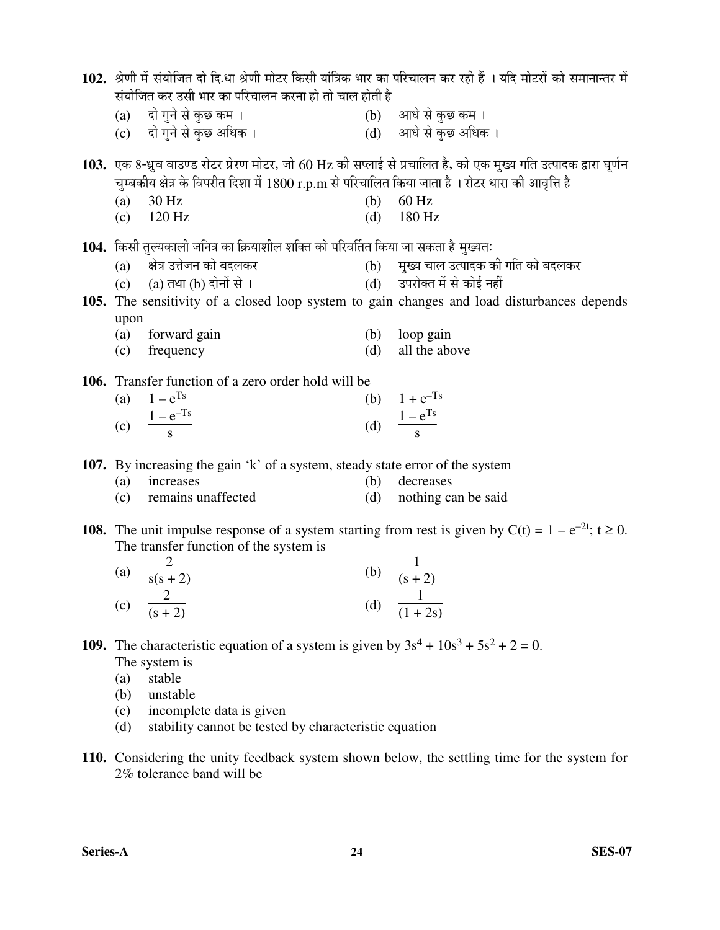| 102. श्रेणी में संयोजित दो दि.धा श्रेणी मोटर किसी यांत्रिक भार का परिचालन कर रही हैं । यदि मोटरों को समानान्तर में |                                                                                                   |     |                                                                                                                     |  |  |  |  |
|--------------------------------------------------------------------------------------------------------------------|---------------------------------------------------------------------------------------------------|-----|---------------------------------------------------------------------------------------------------------------------|--|--|--|--|
|                                                                                                                    | संयोजित कर उसी भार का परिचालन करना हो तो चाल होती है                                              |     |                                                                                                                     |  |  |  |  |
|                                                                                                                    | (a) दो गुने से कुछ कम ।                                                                           |     | (b) आधे से कुछ कम ।                                                                                                 |  |  |  |  |
|                                                                                                                    | (c) दो गुने से कुछ अधिक ।                                                                         |     | (d) आधे से कुछ अधिक ।                                                                                               |  |  |  |  |
|                                                                                                                    |                                                                                                   |     | 103. एक 8-ध्रुव वाउण्ड रोटर प्रेरण मोटर, जो 60 Hz की सप्लाई से प्रचालित है, को एक मुख्य गति उत्पादक द्वारा घूर्णन   |  |  |  |  |
|                                                                                                                    | चुम्बकीय क्षेत्र के विपरीत दिशा में 1800 r.p.m से परिचालित किया जाता है । रोटर धारा की आवृत्ति है |     |                                                                                                                     |  |  |  |  |
| (a)                                                                                                                | 30 Hz                                                                                             | (b) | 60 Hz                                                                                                               |  |  |  |  |
|                                                                                                                    | $(c)$ 120 Hz                                                                                      |     | (d) $180 \text{ Hz}$                                                                                                |  |  |  |  |
|                                                                                                                    | 104. किसी तुल्यकाली जनित्र का क्रियाशील शक्ति को परिवर्तित किया जा सकता है मुख्यत:                |     |                                                                                                                     |  |  |  |  |
|                                                                                                                    | (a) क्षेत्र उत्तेजन को बदलकर                                                                      |     | (b) मुख्य चाल उत्पादक की गति को बदलकर                                                                               |  |  |  |  |
|                                                                                                                    | (c) $(a)$ तथा (b) दोनों से ।                                                                      |     | (d) उपरोक्त में से कोई नहीं                                                                                         |  |  |  |  |
|                                                                                                                    |                                                                                                   |     | 105. The sensitivity of a closed loop system to gain changes and load disturbances depends                          |  |  |  |  |
| upon                                                                                                               |                                                                                                   |     |                                                                                                                     |  |  |  |  |
| (a)                                                                                                                | forward gain                                                                                      |     | (b) loop gain                                                                                                       |  |  |  |  |
| (c)                                                                                                                | frequency                                                                                         | (d) | all the above                                                                                                       |  |  |  |  |
|                                                                                                                    | 106. Transfer function of a zero order hold will be                                               |     |                                                                                                                     |  |  |  |  |
|                                                                                                                    | (a) $1 - e^{Ts}$                                                                                  |     |                                                                                                                     |  |  |  |  |
|                                                                                                                    | (c) $\frac{1-e^{-Ts}}{s}$                                                                         |     | (b) $1 + e^{-Ts}$<br>(d) $\frac{1 - e^{Ts}}{s}$                                                                     |  |  |  |  |
|                                                                                                                    |                                                                                                   |     |                                                                                                                     |  |  |  |  |
|                                                                                                                    | 107. By increasing the gain 'k' of a system, steady state error of the system                     |     |                                                                                                                     |  |  |  |  |
| (a)                                                                                                                | increases                                                                                         | (b) | decreases                                                                                                           |  |  |  |  |
| (c)                                                                                                                | remains unaffected                                                                                | (d) | nothing can be said                                                                                                 |  |  |  |  |
|                                                                                                                    |                                                                                                   |     | <b>108.</b> The unit impulse response of a system starting from rest is given by $C(t) = 1 - e^{-2t}$ ; $t \ge 0$ . |  |  |  |  |
|                                                                                                                    | The transfer function of the system is                                                            |     |                                                                                                                     |  |  |  |  |
| $\mathcal{L}$ . $\mathcal{N}$                                                                                      | $\overline{2}$<br>(1)                                                                             |     | 1                                                                                                                   |  |  |  |  |

| $\left( a\right)$ | $\sqrt{s(s+2)}$    |     | (b) $\frac{1}{(s+2)}$ |
|-------------------|--------------------|-----|-----------------------|
| (c)               | $\overline{(s+2)}$ | (d) | $\overline{(1+2s)}$   |

**109.** The characteristic equation of a system is given by  $3s^4 + 10s^3 + 5s^2 + 2 = 0$ . The system is

- (a) stable
- (b) unstable
- (c) incomplete data is given
- (d) stability cannot be tested by characteristic equation
- **110.** Considering the unity feedback system shown below, the settling time for the system for 2% tolerance band will be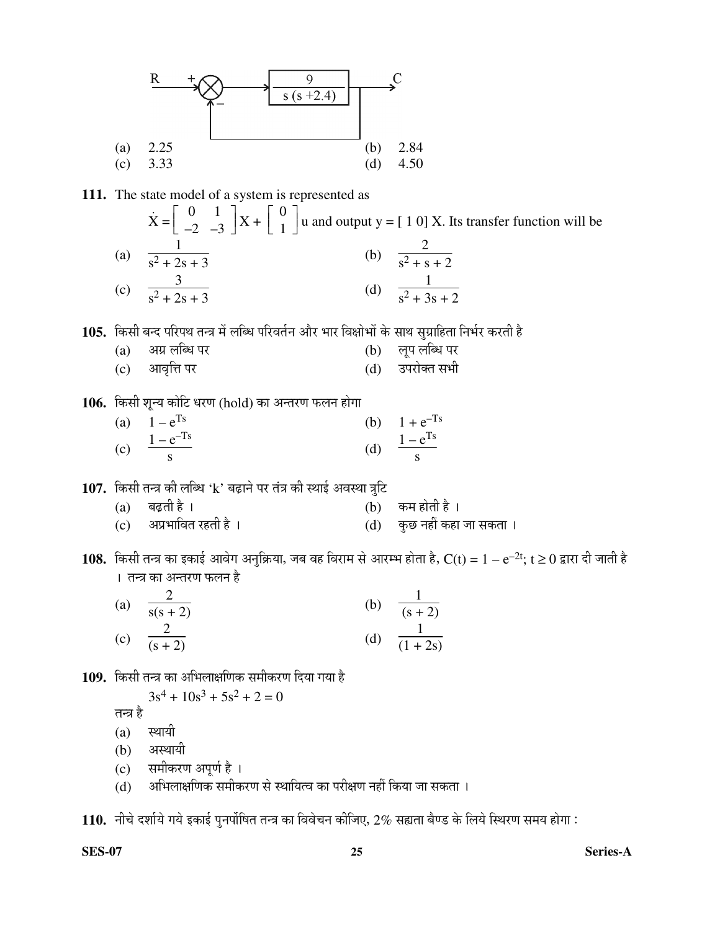

**111.** The state model of a system is represented as

፡<br>፡  $\dot{x} =$  $\begin{bmatrix} 0 & 1 \\ -2 & -3 \end{bmatrix}$  $\begin{bmatrix} 0 & 1 \\ -2 & -3 \end{bmatrix} X + \begin{bmatrix} 1 & 0 \\ 0 & 0 \end{bmatrix}$  $\begin{bmatrix} 0 \ 1 \end{bmatrix}$  $\begin{bmatrix} 1 \end{bmatrix}$  u and output y =  $\begin{bmatrix} 1 & 0 \end{bmatrix} X$ . Its transfer function will be (a) 1  $\frac{1}{s^2 + 2s + 3}$  (b) 2  $s^2 + s + 2$  (c) 3  $\frac{1}{s^2 + 2s + 3}$  (d) 1  $s^2 + 3s + 2$ 

105. किसी बन्द परिपथ तन्त्र में लब्धि परिवर्तन और भार विक्षोभों के साथ सुग्राहिता निर्भर करती है

| (a) अग्र लब्धि पर | (b) लूप लब्धि पर |
|-------------------|------------------|
| (c) आवृत्ति पर    | (d) उपरोक्त सभी  |

106. किसी शून्य कोटि धरण (hold) का अन्तरण फलन होगा

| (a) $1 - e^{Ts}$          | (b) $1 + e^{-Ts}$        |
|---------------------------|--------------------------|
| (c) $\frac{1-e^{-Ts}}{s}$ | (d) $\frac{1-e^{Ts}}{s}$ |
|                           |                          |

107. किसी तन्त्र की लब्धि 'k' बढ़ाने पर तंत्र की स्थाई अवस्था त्रुटि

- (a) बढ़ती है ।<br>(c) अप्रभावित रहती है । (d) कुछ नहीं कहा (c) †¯ÖϳÖÖ×¾ÖŸÖ ¸üÆüŸÖß Æîü … (d) Ûãú"û ®ÖÆüà ÛúÆüÖ •ÖÖ ÃÖÛúŸÖÖ …
- $108.$  किसी तन्त्र का इकाई आवेग अनुक्रिया, जब वह विराम से आरम्भ होता है, C(t) =  $1 e^{-2t}$ ; t ≥  $0$  द्वारा दी जाती है । तन्त्र का अन्तरण फलन है

| $\left( \text{a}\right)$ | $\overline{s(s+2)}$ | (b) | $\frac{1}{(s+2)}$  |
|--------------------------|---------------------|-----|--------------------|
| (c)                      | $\overline{(s+2)}$  | (d) | $\frac{1}{(1+2s)}$ |

109. किसी तन्त्र का अभिलाक्षणिक समीकरण दिया गया है

$$
3s^4 + 10s^3 + 5s^2 + 2 = 0
$$

तन्त्र है

- $(a)$  स्थायी
- (b) अस्थायी
- (c) समीकरण अपूर्ण है ।
- (d) अभिलाक्षणिक समीकरण से स्थायित्व का परीक्षण नहीं किया जा सकता ।

 $\bf 110.$  नीचे दर्शाये गये इकाई पुनर्पोषित तन्त्र का विवेचन कीजिए,  $2\%$  सह्यता बैण्ड के लिये स्थिरण समय होगा :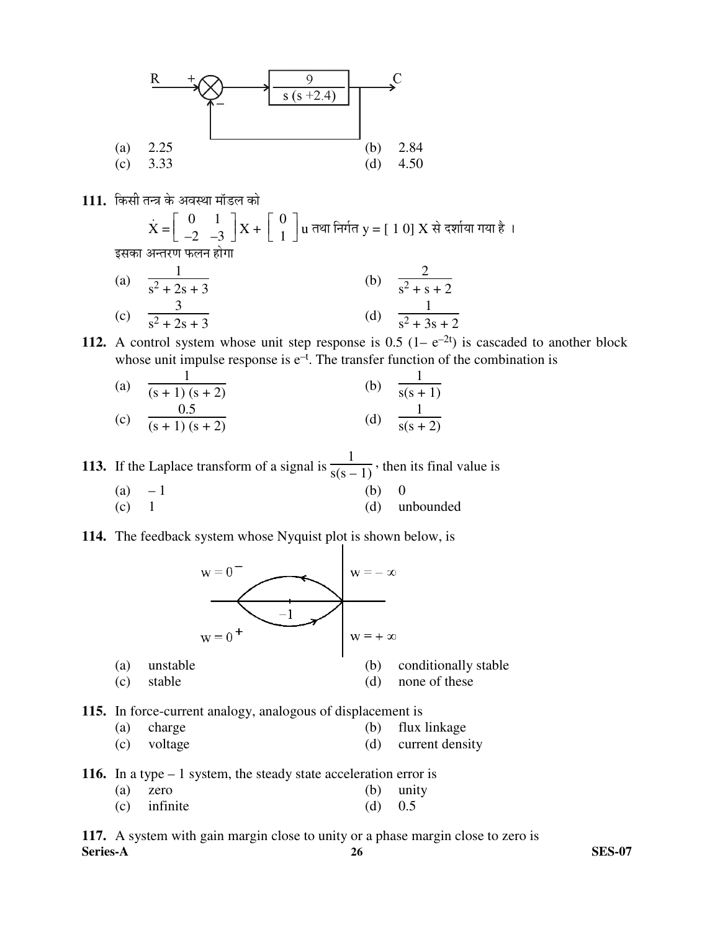

111. किसी तन्त्र के अवस्था मॉडल को

$$
\dot{\mathbf{X}} = \left[ \begin{array}{cc} 0 & 1 \\ -2 & -3 \end{array} \right] \mathbf{X} + \left[ \begin{array}{c} 0 \\ 1 \end{array} \right] \mathbf{u}
$$
 तथा निर्गत  $\mathbf{y} = \left[ \begin{array}{c} 1 & 0 \end{array} \right] \mathbf{X}$  से दर्शाया गया है । इसका अन्तरण फलन होगा

(a) 
$$
\frac{1}{s^2 + 2s + 3}
$$
 (b)  $\frac{2}{s^2 + s + 2}$   
(c)  $\frac{3}{s^2 + 2s + 3}$  (d)  $\frac{1}{s^2 + 3s + 2}$ 

**112.** A control system whose unit step response is 0.5  $(1 - e^{-2t})$  is cascaded to another block whose unit impulse response is  $e^{-t}$ . The transfer function of the combination is

| (a) | $(s + 1)(s + 2)$       | (b) | $\overline{s(s+1)}$ |
|-----|------------------------|-----|---------------------|
| (c) | $\frac{1}{(s+1)(s+2)}$ | (d) | $\overline{s(s+2)}$ |

**113.** If the Laplace transform of a signal is 1  $s(s-1)$ , then its final value is

- (a)  $-1$  (b) 0 (c) 1 (d) unbounded
- **114.** The feedback system whose Nyquist plot is shown below, is



**115.** In force-current analogy, analogous of displacement is

- (a) charge (b) flux linkage
- (c) voltage (d) current density

**116.** In a type – 1 system, the steady state acceleration error is

|                |  | in a cype to recently the steady state acceleration enter : |             |
|----------------|--|-------------------------------------------------------------|-------------|
| $(a)$ zero     |  |                                                             | $(b)$ unity |
| $(c)$ infinite |  | (d) $0.5$                                                   |             |

**Series-A 26 SES-07 117.** A system with gain margin close to unity or a phase margin close to zero is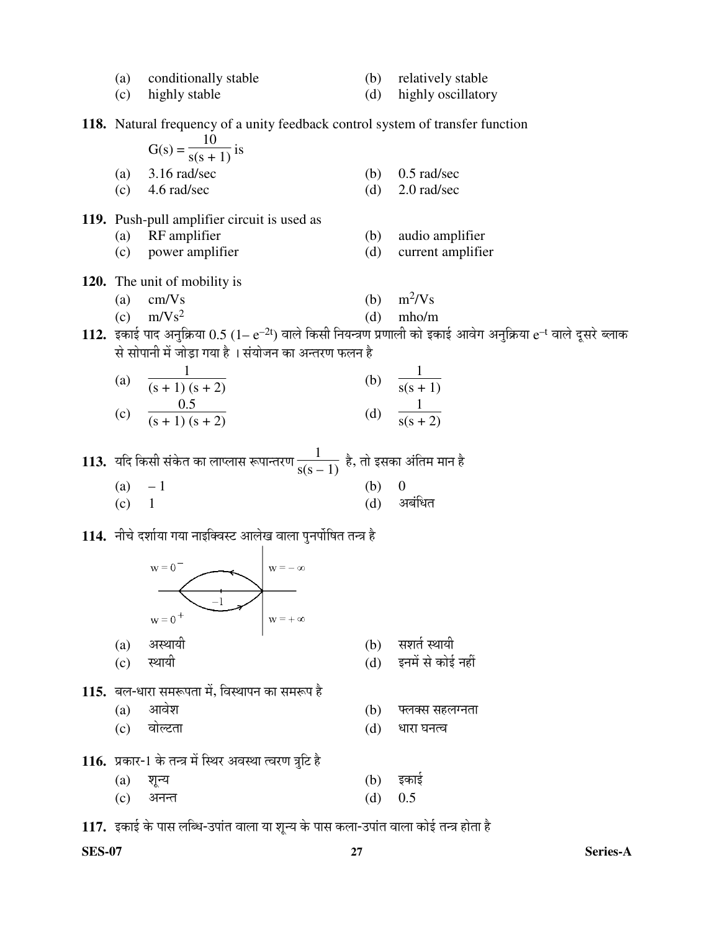| (a)<br>(c) | conditionally stable<br>highly stable                                                 |                        | (b)<br>(d) | relatively stable<br>highly oscillatory                                                                                  |  |  |  |  |  |  |
|------------|---------------------------------------------------------------------------------------|------------------------|------------|--------------------------------------------------------------------------------------------------------------------------|--|--|--|--|--|--|
|            | <b>118.</b> Natural frequency of a unity feedback control system of transfer function |                        |            |                                                                                                                          |  |  |  |  |  |  |
|            | $G(s) = \frac{10}{s(s + 1)}$ is                                                       |                        |            |                                                                                                                          |  |  |  |  |  |  |
| (a)        | 3.16 rad/sec                                                                          |                        | (b)        | $0.5$ rad/sec                                                                                                            |  |  |  |  |  |  |
| (c)        | 4.6 rad/sec                                                                           |                        | (d)        | 2.0 rad/sec                                                                                                              |  |  |  |  |  |  |
|            | 119. Push-pull amplifier circuit is used as                                           |                        |            |                                                                                                                          |  |  |  |  |  |  |
| (a)        | RF amplifier                                                                          |                        | (b)<br>(d) | audio amplifier                                                                                                          |  |  |  |  |  |  |
| (c)        | power amplifier                                                                       |                        |            | current amplifier                                                                                                        |  |  |  |  |  |  |
|            | 120. The unit of mobility is                                                          |                        |            | $m^2/Vs$                                                                                                                 |  |  |  |  |  |  |
| (a)        | cm/Vs<br>(c) $m/Vs^2$                                                                 |                        | (b)<br>(d) | mho/m                                                                                                                    |  |  |  |  |  |  |
|            |                                                                                       |                        |            | 112. इकाई पाद अनुक्रिया $0.5$ $(1-e^{-2t})$ वाले किसी नियन्त्रण प्रणाली को इकाई आवेग अनुक्रिया $e^{-t}$ वाले दूसरे ब्लाक |  |  |  |  |  |  |
|            | से सोपानी में जोड़ा गया है । संयोजन का अन्तरण फलन है                                  |                        |            |                                                                                                                          |  |  |  |  |  |  |
|            | (a) $\frac{1}{(s+1)(s+2)}$                                                            |                        |            | (b) $\frac{1}{s(s+1)}$                                                                                                   |  |  |  |  |  |  |
|            |                                                                                       |                        |            |                                                                                                                          |  |  |  |  |  |  |
|            | (c) $\frac{0.5}{(s+1)(s+2)}$                                                          |                        |            | (d) $\frac{1}{s(s+2)}$                                                                                                   |  |  |  |  |  |  |
|            | 113.  यदि किसी संकेत का लाप्लास रूपान्तरण $\frac{1}{s(s-1)}$ है, तो इसका अंतिम मान है |                        |            |                                                                                                                          |  |  |  |  |  |  |
| $(a) -1$   |                                                                                       |                        | (b)        |                                                                                                                          |  |  |  |  |  |  |
| $(c)$ 1    |                                                                                       |                        | (d)        | अबंधित                                                                                                                   |  |  |  |  |  |  |
|            | 114. नीचे दर्शाया गया नाइक्विस्ट आलेख वाला पुनर्पोषित तन्त्र है                       |                        |            |                                                                                                                          |  |  |  |  |  |  |
|            | $w = 0$ <sup>-</sup>                                                                  |                        |            |                                                                                                                          |  |  |  |  |  |  |
|            |                                                                                       | $\mathbf{w} = -\infty$ |            |                                                                                                                          |  |  |  |  |  |  |
|            | $-1$                                                                                  |                        |            |                                                                                                                          |  |  |  |  |  |  |
|            | $w = 0^+$                                                                             | $w = +\infty$          |            |                                                                                                                          |  |  |  |  |  |  |
| (a)        | अस्थायी                                                                               |                        | (b)        | सशर्त स्थायी                                                                                                             |  |  |  |  |  |  |
| (c)        | स्थायी                                                                                |                        | (d)        | इनमें से कोई नहीं                                                                                                        |  |  |  |  |  |  |
|            | 115. बल-धारा समरूपता में, विस्थापन का समरूप है                                        |                        |            |                                                                                                                          |  |  |  |  |  |  |
| (a)        | आवेश                                                                                  |                        | (b)        | फ्लक्स सहलग्नता                                                                                                          |  |  |  |  |  |  |
| (c)        | वोल्टता                                                                               |                        | (d)        | धारा घनत्व                                                                                                               |  |  |  |  |  |  |
|            | 116. प्रकार-1 के तन्त्र में स्थिर अवस्था त्वरण त्रुटि है                              |                        |            |                                                                                                                          |  |  |  |  |  |  |
| (a)        | शून्य                                                                                 |                        | (b)        | इकाई                                                                                                                     |  |  |  |  |  |  |
| (c)        | अनन्त                                                                                 |                        | (d)        | 0.5                                                                                                                      |  |  |  |  |  |  |
|            | 117. इकाई के पास लब्धि-उपांत वाला या शून्य के पास कला-उपांत वाला कोई तन्त्र होता है   |                        |            |                                                                                                                          |  |  |  |  |  |  |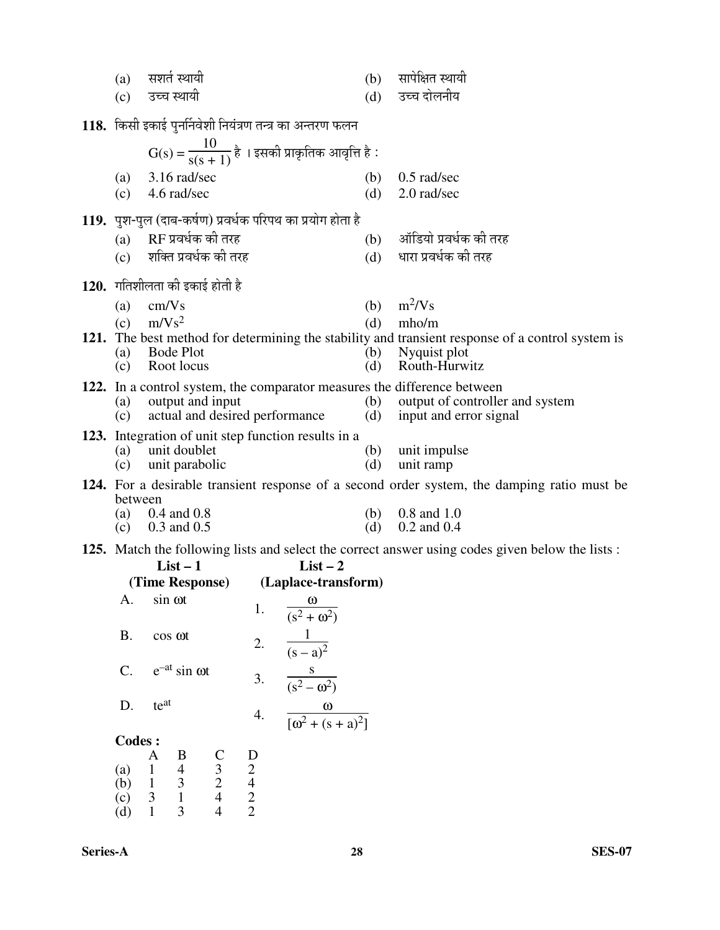| (a)                                                                   |                              | सशर्त स्थायी                               |                    |                                                       |                                                               | (b)        | सापेक्षित स्थायी                                                                                                |
|-----------------------------------------------------------------------|------------------------------|--------------------------------------------|--------------------|-------------------------------------------------------|---------------------------------------------------------------|------------|-----------------------------------------------------------------------------------------------------------------|
| उच्च स्थायी<br>(c)                                                    |                              |                                            |                    |                                                       |                                                               | (d)        | उच्च दोलनीय                                                                                                     |
| 118. किसी इकाई पुनर्निवेशी नियंत्रण तन्त्र का अन्तरण फलन              |                              |                                            |                    |                                                       |                                                               |            |                                                                                                                 |
|                                                                       |                              |                                            |                    |                                                       | $G(s) = \frac{10}{s(s + 1)}$ है । इसकी प्राकृतिक आवृत्ति है : |            |                                                                                                                 |
| (a)                                                                   |                              | 3.16 rad/sec                               |                    |                                                       |                                                               | (b)        | $0.5$ rad/sec                                                                                                   |
| (c)                                                                   |                              | 4.6 rad/sec                                |                    |                                                       |                                                               | (d)        | 2.0 rad/sec                                                                                                     |
|                                                                       |                              |                                            |                    |                                                       | 119. पुश-पुल (दाब-कर्षण) प्रवर्धक परिपथ का प्रयोग होता है     |            |                                                                                                                 |
|                                                                       |                              | (a) RF प्रवर्धक की तरह                     |                    |                                                       |                                                               |            | (b) ऑडियो प्रवर्धक की तरह                                                                                       |
|                                                                       |                              | (c) शक्ति प्रवर्धक की तरह                  |                    |                                                       |                                                               | (d)        | धारा प्रवर्धक की तरह                                                                                            |
|                                                                       |                              | <b>120.</b> गतिशीलता की इकाई होती है       |                    |                                                       |                                                               |            |                                                                                                                 |
| (a)                                                                   | cm/Vs                        |                                            |                    |                                                       |                                                               |            | (b) $m^2/Vs$                                                                                                    |
|                                                                       | (c) $m/Vs^2$                 |                                            |                    |                                                       |                                                               | (d)        | mho/m<br>121. The best method for determining the stability and transient response of a control system is       |
|                                                                       |                              | (a) Bode Plot                              |                    |                                                       |                                                               | (b)        | Nyquist plot                                                                                                    |
| (c)                                                                   |                              | Root locus                                 |                    |                                                       |                                                               | (d)        | Routh-Hurwitz                                                                                                   |
| (a)                                                                   |                              | output and input                           |                    |                                                       |                                                               |            | 122. In a control system, the comparator measures the difference between<br>(b) output of controller and system |
| (c)                                                                   |                              |                                            |                    |                                                       | actual and desired performance                                | (d)        | input and error signal                                                                                          |
|                                                                       |                              |                                            |                    |                                                       | 123. Integration of unit step function results in a           |            |                                                                                                                 |
| (a)<br>(c)                                                            |                              | unit doublet<br>unit parabolic             |                    |                                                       |                                                               | (b)<br>(d) | unit impulse<br>unit ramp                                                                                       |
|                                                                       |                              |                                            |                    |                                                       |                                                               |            | 124. For a desirable transient response of a second order system, the damping ratio must be                     |
| between                                                               |                              |                                            |                    |                                                       |                                                               |            |                                                                                                                 |
| (a)                                                                   |                              | $0.4$ and $0.8$<br>(c) $0.3$ and $0.5$     |                    |                                                       |                                                               | (d)        | (b) $0.8$ and $1.0$<br>$0.2$ and $0.4$                                                                          |
|                                                                       |                              |                                            |                    |                                                       |                                                               |            | 125. Match the following lists and select the correct answer using codes given below the lists :                |
|                                                                       |                              | $List-1$                                   |                    |                                                       | $List - 2$                                                    |            |                                                                                                                 |
| А.                                                                    |                              | sin ot                                     |                    |                                                       | (Time Response) (Laplace-transform)                           |            |                                                                                                                 |
|                                                                       |                              |                                            |                    | 1.                                                    | $\frac{\omega}{(s^2 + \omega^2)}$                             |            |                                                                                                                 |
| <b>B.</b>                                                             |                              | cos ot                                     |                    | 2.                                                    | $\frac{1}{(s-a)^2}$                                           |            |                                                                                                                 |
|                                                                       |                              |                                            |                    |                                                       |                                                               |            |                                                                                                                 |
| $C$ .<br>$e^{-at}$ sin $\omega t$<br>$\frac{s}{(s^2-\omega^2)}$<br>3. |                              |                                            |                    |                                                       |                                                               |            |                                                                                                                 |
| D.                                                                    | teat                         |                                            |                    | 4.                                                    | $\frac{\omega}{\left[\omega^2 + (s+a)^2\right]}$              |            |                                                                                                                 |
| <b>Codes:</b>                                                         |                              |                                            |                    |                                                       |                                                               |            |                                                                                                                 |
|                                                                       | A                            | B                                          |                    |                                                       |                                                               |            |                                                                                                                 |
| (a)<br>(b)                                                            | $\mathbf{1}$<br>$\mathbf{1}$ | $\begin{array}{c} 4 \\ 3 \\ 1 \end{array}$ | $\frac{C}{3}$<br>4 |                                                       |                                                               |            |                                                                                                                 |
| (c)                                                                   | $\mathfrak{Z}$               |                                            |                    | $\begin{bmatrix} 1 \\ 2 \\ 4 \\ 2 \\ 2 \end{bmatrix}$ |                                                               |            |                                                                                                                 |
| (d)                                                                   | $\mathbf{1}$                 | 3                                          |                    |                                                       |                                                               |            |                                                                                                                 |
|                                                                       |                              |                                            |                    |                                                       |                                                               |            |                                                                                                                 |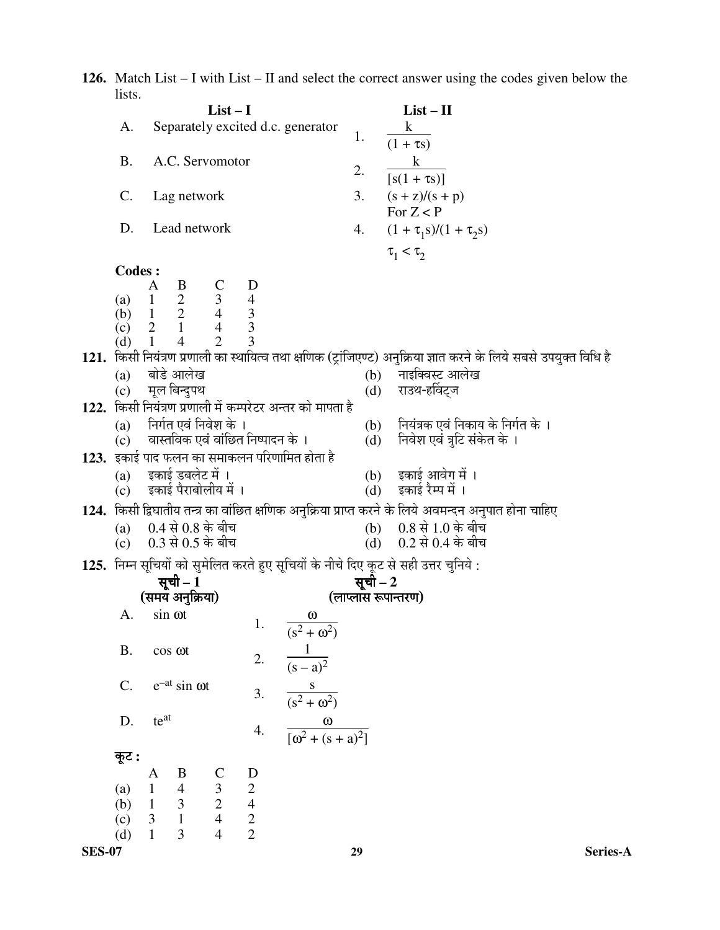**126.** Match List – I with List – II and select the correct answer using the codes given below the lists.

|               |               |                                                |                                                                              | $List-I$                                                             |                                                      |                                                            |                     | $List - II$                                                                                                         |          |
|---------------|---------------|------------------------------------------------|------------------------------------------------------------------------------|----------------------------------------------------------------------|------------------------------------------------------|------------------------------------------------------------|---------------------|---------------------------------------------------------------------------------------------------------------------|----------|
|               | A.            |                                                |                                                                              |                                                                      |                                                      | Separately excited d.c. generator                          |                     | $\bf k$                                                                                                             |          |
|               |               |                                                |                                                                              |                                                                      |                                                      |                                                            | 1.                  | $(1 + \tau s)$                                                                                                      |          |
|               | <b>B.</b>     |                                                | A.C. Servomotor                                                              |                                                                      |                                                      |                                                            |                     | $\bf k$                                                                                                             |          |
|               |               |                                                |                                                                              |                                                                      |                                                      |                                                            | 2.                  | $[s(1 + \tau s)]$                                                                                                   |          |
|               | C.            |                                                | Lag network                                                                  |                                                                      |                                                      |                                                            | 3.                  | $(s + z)/(s + p)$                                                                                                   |          |
|               |               |                                                |                                                                              |                                                                      |                                                      |                                                            |                     | For $Z < P$                                                                                                         |          |
|               | D.            |                                                | Lead network                                                                 |                                                                      |                                                      |                                                            | 4.                  | $(1 + \tau_1 s)/(1 + \tau_2 s)$                                                                                     |          |
|               |               |                                                |                                                                              |                                                                      |                                                      |                                                            |                     | $\tau_1 < \tau_2$                                                                                                   |          |
|               | <b>Codes:</b> |                                                |                                                                              |                                                                      |                                                      |                                                            |                     |                                                                                                                     |          |
|               |               | A                                              | B                                                                            |                                                                      | D                                                    |                                                            |                     |                                                                                                                     |          |
|               |               |                                                | (a) $1\ 2\ 3\ 4$<br>(b) $1\ 2\ 4\ 3$<br>(c) $2\ 1\ 4\ 3$<br>(d) $1\ 4\ 2\ 3$ |                                                                      |                                                      |                                                            |                     |                                                                                                                     |          |
|               |               |                                                |                                                                              |                                                                      |                                                      |                                                            |                     |                                                                                                                     |          |
|               |               |                                                |                                                                              |                                                                      |                                                      |                                                            |                     |                                                                                                                     |          |
|               |               |                                                |                                                                              |                                                                      |                                                      |                                                            |                     | 121.  किसी नियंत्रण प्रणाली का स्थायित्व तथा क्षणिक (ट्रांजिएण्ट) अनुक्रिया ज्ञात करने के लिये सबसे उपयुक्त विधि है |          |
|               | (a)           |                                                | बोडे आलेख                                                                    |                                                                      |                                                      |                                                            |                     | (b) नाइक्विस्ट आलेख                                                                                                 |          |
|               | (c)           |                                                | मूल बिन्दुपथ                                                                 |                                                                      |                                                      |                                                            | (d)                 | राउथ-हर्विट्ज                                                                                                       |          |
|               |               |                                                |                                                                              |                                                                      |                                                      | 122.  किसी नियंत्रण प्रणाली में कम्परेटर अन्तर को मापता है |                     |                                                                                                                     |          |
|               |               |                                                | (a) निर्गत एवं निवेश के ।                                                    |                                                                      |                                                      |                                                            |                     | (b) नियंत्रक एवं निकाय के निर्गत के ।                                                                               |          |
|               | (c)           |                                                | वास्तविक एवं वांछित निष्पादन के ।                                            |                                                                      |                                                      |                                                            | (d)                 | निवेश एवं त्रुटि संकेत के ।                                                                                         |          |
|               |               |                                                |                                                                              |                                                                      |                                                      | $123.$ इकाई पाद फलन का समाकलन परिणामित होता है             |                     |                                                                                                                     |          |
|               | (a)           |                                                | इकाई डबलेट में ।                                                             |                                                                      |                                                      |                                                            |                     | (b) इकाई आवेग में ।                                                                                                 |          |
|               | (c)           |                                                | इकाई पैराबोलीय में ।                                                         |                                                                      |                                                      |                                                            |                     | (d) इकाई रैम्प में ।                                                                                                |          |
|               |               |                                                |                                                                              |                                                                      |                                                      |                                                            |                     | 124.  किसी द्विघातीय तन्त्र का वांछित क्षणिक अनुक्रिया प्राप्त करने के लिये अवमन्दन अनुपात होना चाहिए               |          |
|               | (a)           |                                                | $0.4$ से $0.8$ के बीच                                                        |                                                                      |                                                      |                                                            |                     | (b) 0.8 से 1.0 के बीच                                                                                               |          |
|               | (c)           |                                                | $0.3$ से $0.5$ के बीच                                                        |                                                                      |                                                      |                                                            | (d)                 | 0.2 से 0.4 के बीच                                                                                                   |          |
|               |               |                                                |                                                                              |                                                                      |                                                      |                                                            |                     | 125.  निम्न सूचियों को सुमेलित करते हुए सूचियों के नीचे दिए कूट से सही उत्तर चुनिये :                               |          |
|               |               |                                                | सूची – 1                                                                     |                                                                      |                                                      |                                                            | सूची – 2            |                                                                                                                     |          |
|               |               |                                                | (समय अनुक्रिया)                                                              |                                                                      |                                                      |                                                            | (लाप्लास रूपान्तरण) |                                                                                                                     |          |
|               | A.            | sin ot                                         |                                                                              |                                                                      |                                                      | $\omega$                                                   |                     |                                                                                                                     |          |
|               |               |                                                |                                                                              |                                                                      | 1.                                                   | $\sqrt{(s^2 + \omega^2)}$                                  |                     |                                                                                                                     |          |
|               | <b>B.</b>     | cos ot                                         |                                                                              |                                                                      | 2.                                                   | $\frac{1}{(s-a)^2}$                                        |                     |                                                                                                                     |          |
|               |               |                                                |                                                                              |                                                                      |                                                      |                                                            |                     |                                                                                                                     |          |
|               | $C$ .         |                                                | $e^{-at}$ sin $\omega t$                                                     |                                                                      | 3.                                                   |                                                            |                     |                                                                                                                     |          |
|               |               |                                                |                                                                              |                                                                      |                                                      | $\frac{s}{(s^2+\omega^2)}$                                 |                     |                                                                                                                     |          |
|               | D.            | teat                                           |                                                                              |                                                                      |                                                      |                                                            |                     |                                                                                                                     |          |
|               |               |                                                |                                                                              |                                                                      | 4.                                                   | $\frac{\omega}{[\omega^2 + (s+a)^2]}$                      |                     |                                                                                                                     |          |
|               | कूट :         |                                                |                                                                              |                                                                      |                                                      |                                                            |                     |                                                                                                                     |          |
|               |               | A                                              | B                                                                            |                                                                      | $\mathbf{D}$                                         |                                                            |                     |                                                                                                                     |          |
|               | (a)           | $\,1$                                          | $\overline{4}$                                                               |                                                                      |                                                      |                                                            |                     |                                                                                                                     |          |
|               | (b)           | $\begin{array}{cc} 1 & 3 \\ 3 & 1 \end{array}$ |                                                                              |                                                                      |                                                      |                                                            |                     |                                                                                                                     |          |
|               | (c)           | $\mathfrak{Z}$                                 |                                                                              | $\begin{array}{c} \n \text{C} \\  3 \\  2 \\  4 \\  4\n \end{array}$ | $\begin{array}{c} 2 \\ 2 \\ 4 \\ 2 \\ 2 \end{array}$ |                                                            |                     |                                                                                                                     |          |
|               | (d)           |                                                | 3                                                                            |                                                                      |                                                      |                                                            |                     |                                                                                                                     |          |
| <b>SES-07</b> |               |                                                |                                                                              |                                                                      |                                                      |                                                            | 29                  |                                                                                                                     | Series-A |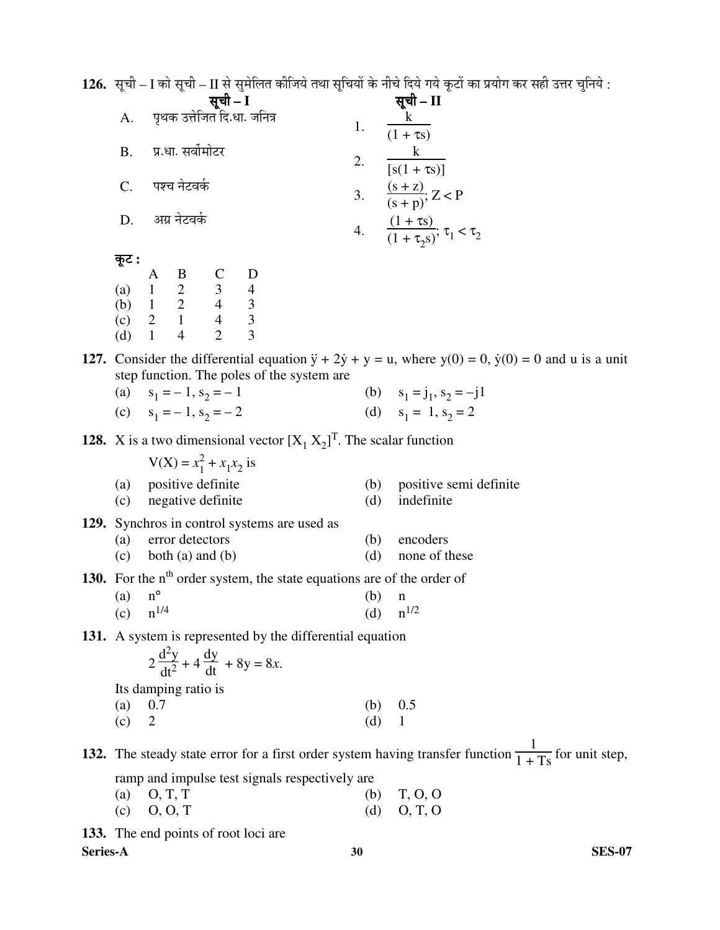1**26.** सूची – I को सूची – II से सुमेलित कीजिये तथा सूचियों के नीचे दिये गये कूटों का प्रयोग कर सही उत्तर चुनिये :

|                |                                                |    | सूची – II                                                |
|----------------|------------------------------------------------|----|----------------------------------------------------------|
| A.             | <b>सूची – I</b><br>पृथक उत्तेजित दि.धा. जनित्र |    | $\overline{(1 + \tau s)}$                                |
| $\mathbf{B}$ . | प्र.धा. सर्वोमोटर                              | 2. | $\frac{1}{\left[s(1+\tau s)\right]}$                     |
| $C_{\cdot}$    | पश्च नेटवर्क                                   |    | 3. $\frac{(s+z)}{(s+p)}$ ; Z < P                         |
|                | अग्र नेटवर्क                                   |    | 4. $\frac{(1+\tau s)}{(1+\tau_2 s)}$ ; $\tau_1 < \tau_2$ |
| જ઼૦ :          |                                                |    |                                                          |

|         | ×<br>۰. |
|---------|---------|
| ×       |         |
| ×<br>۰. | ٠       |

|     |   | В | C | I) |
|-----|---|---|---|----|
| (a) |   | 2 | 3 | 4  |
| (b) |   | 2 |   | 3  |
| (c) | 2 |   | 4 | 3  |
| (d) |   |   | 2 | 3  |

**127.** Consider the differential equation  $\ddot{y} + 2\dot{y} + y = u$ , where  $y(0) = 0$ ,  $\dot{y}(0) = 0$  and u is a unit step function. The poles of the system are

| (a) $s_1 = -1, s_2 = -1$    | (b) $s_1 = j_1, s_2 = -j1$ |
|-----------------------------|----------------------------|
| (c) $s_1 = -1$ , $s_2 = -2$ | (d) $s_1 = 1, s_2 = 2$     |

**128.** X is a two dimensional vector  $[X_1 X_2]^T$ . The scalar function

| $V(X) = x_1^2 + x_1 x_2$ is |                            |  |
|-----------------------------|----------------------------|--|
| (a) positive definite       | (b) positive semi definite |  |
| (c) negative definite       | (d) indefinite             |  |

- **129.** Synchros in control systems are used as
	- (a) error detectors (b) encoders
	- (c) both (a) and (b) (d) none of these

**130.** For the n<sup>th</sup> order system, the state equations are of the order of

| $(a)$ n <sup>o</sup> |               | $(b)$ n       |  |
|----------------------|---------------|---------------|--|
|                      | (c) $n^{1/4}$ | (d) $n^{1/2}$ |  |

**131.** A system is represented by the differential equation

$$
2\frac{\mathrm{d}^2 y}{\mathrm{d}t^2} + 4\frac{\mathrm{d}y}{\mathrm{d}t} + 8y = 8x.
$$

Its damping ratio is

| (a) $0.7$ | (b) $0.5$ |  |
|-----------|-----------|--|
| $(c)$ 2   | $(d)$ 1   |  |

**132.** The steady state error for a first order system having transfer function 1  $\frac{1}{1 + Ts}$  for unit step,

ramp and impulse test signals respectively are

| (a) $O, T, T$ | (b) $T, O, O$ |
|---------------|---------------|
| (c) $O, O, T$ | (d) $O, T, O$ |

**133.** The end points of root loci are

**Series-A 30 SES-07**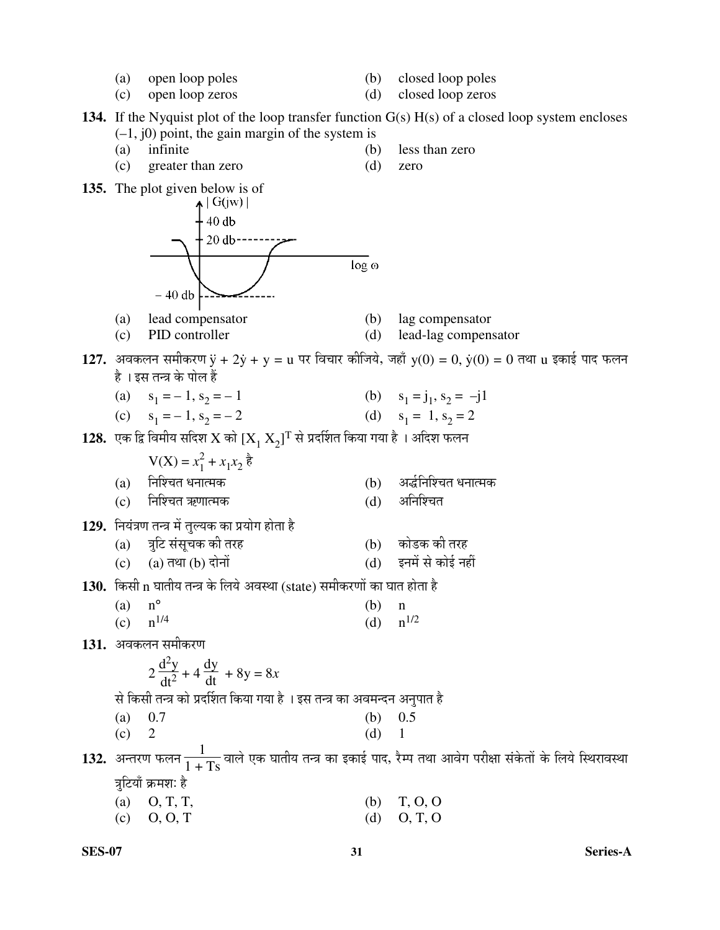- 
- (a) open loop poles (b) closed loop poles
- (c) open loop zeros (d) closed loop zeros
- 

**134.** If the Nyquist plot of the loop transfer function G(s) H(s) of a closed loop system encloses  $(-1, j0)$  point, the gain margin of the system is

- (a) infinite (b) less than zero
- (c) greater than zero (d) zero
- 
- **135.** The plot given below is of  $\uparrow$   $\left| G(jw) \right|$  $40 db$  $20 \text{ db}$ ----- $log o$  $-40$  db (a) lead compensator (b) lag compensator (c) PID controller (d) lead-lag compensator  $127.$  अवकलन समीकरण  $\ddot{\textbf{y}} + 2 \dot{\textbf{y}} + \textbf{y} = \textbf{u}$  पर विचार कीजिये, जहाँ  $\textbf{y}(0) = 0,$   $\dot{\textbf{y}}(0) = 0$  तथा  $\textbf{u}$  इकाई पाद फलन है । इस तन्त्र के पोल हैं (a)  $s_1 = -1, s_2$  $= -1$  (b)  $s_1 = j_1, s_2 = -j1$ (c)  $s_1 = -1, s_2$  $= -2$  (d)  $s_1 = 1, s_2 = 2$  ${\bf 128.}\;$  एक द्वि विमीय सदिश  ${\rm X}$  को  ${\rm [X}_1\,{\rm X}_2{\rm ]^T}$  से प्रदर्शित किया गया है । अदिश फलन  $V(X) = x_1^2$  $x_1^2 + x_1x_2$  है (a) ×®Ö׿"ÖŸÖ ¬Ö®ÖÖŸ´ÖÛú (b) †¨Ôü×®Ö׿"ÖŸÖ ¬Ö®ÖÖŸ´ÖÛú (c) निश्चित ऋणात्मक (d) अनिश्चित 129. नियंत्रण तन्त्र में तुल्यक का प्रयोग होता है (a) ¡Öã×™ü ÃÖÓÃÖæ"ÖÛú Ûúß ŸÖ¸üÆü (b) ÛúÖê›üÛú Ûúß ŸÖ¸üÆü  $(c)$   $(a)$  तथा  $(b)$  दोनों 130. किसी n घातीय तन्त्र के लिये अवस्था (state) समीकरणों का घात होता है (a)  $n^{\circ}$  (b) n (c)  $n^{1/4}$  (d)  $n^{1/2}$ 131. अवकलन समीकरण  $d^2y$  $\frac{dy}{dt}$  + 8y = 8x **2**  $\frac{d^{2}y}{dt^{2}} + 4$ से किसी तन्त्र को प्रदर्शित किया गया है । इस तन्त्र का अवमन्दन अनुपात है (a)  $0.7$  (b)  $0.5$  (c)  $2$  (d) 1  $2$  (d) 1  $132.$  अन्तरण फलन $\frac{1}{1+\mathrm{Ts}}$ वाले एक घातीय तन्त्र का इकाई पाद, रैम्प तथा आवेग परीक्षा संकेतों के लिये स्थिरावस्था त्रटियाँ क्रमश: है (a) O, T, T, (b) T, O, O
	- (c) O, O, T (d) O, T, O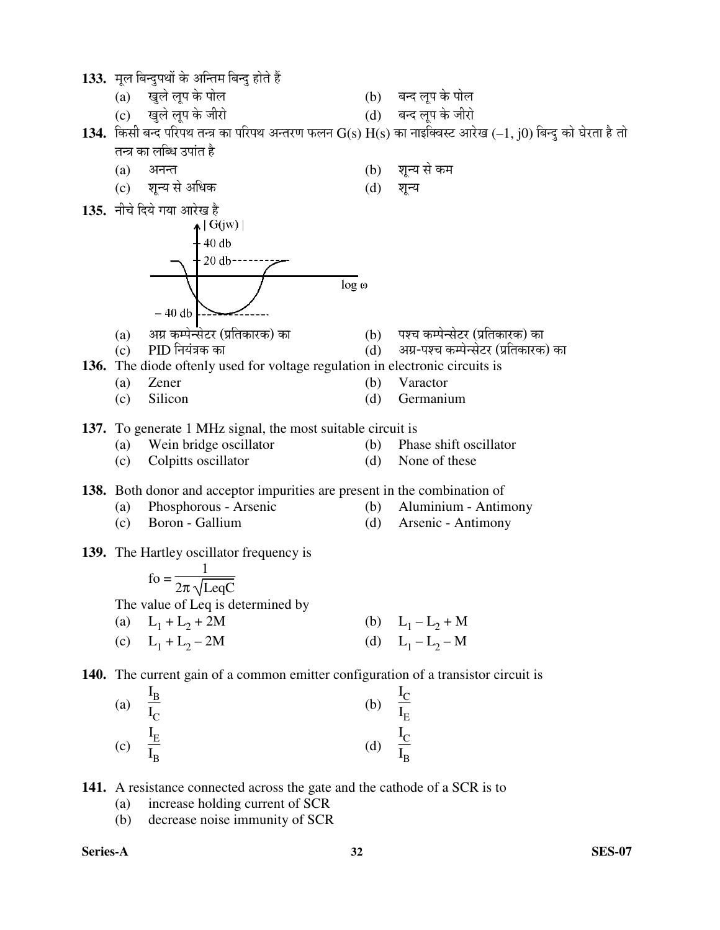1**33.** मूल बिन्दुपथों के अन्तिम बिन्दु होते हैं

- (a) खुले लूप के पोल
- (c) ÜÖã»Öê »Öæ¯Ö Ûêú •Ö߸üÖê (d) ²Ö®¤ü »Öæ¯Ö Ûêú •Ö߸üÖê
- 1**34.** किसी बन्द परिपथ तन्त्र का परिपथ अन्तरण फलन  $G(s) H(s)$  का नाइक्विस्ट आरेख (–1, j0) बिन्दु को घेरता है तो तन्त्र का लब्धि उपांत है
	- (a) अनन्त (b) शून्य से कम
	- (c) शुन्य से अधिक (d) शुन्य
- **135.** नीचे दिये गया आरेख है<br>बोलिंग सिंहिंगी ।



- (a) †ÝÖÏ Ûú´¯Öê®ÃÖê™ü¸ü (¯ÖÏןÖÛúÖ¸üÛú) ÛúÖ (b) ¯Ö¿"Ö Ûú´¯Öê®ÃÖê™ü¸ü (¯ÖÏןÖÛúÖ¸üÛú) ÛúÖ
	- अग्र-पश्च कम्पेन्सेटर (प्रतिकारक) का
- **136.** The diode oftenly used for voltage regulation in electronic circuits is
	- (a) Zener (b) Varactor
	- (c) Silicon (d) Germanium

**137.** To generate 1 MHz signal, the most suitable circuit is

- (a) Wein bridge oscillator (b) Phase shift oscillator
- (c) Colpitts oscillator (d) None of these

**138.** Both donor and acceptor impurities are present in the combination of

- (a) Phosphorous Arsenic (b) Aluminium Antimony
- (c) Boron Gallium (d) Arsenic Antimony
- **139.** The Hartley oscillator frequency is

| fo = $\frac{1}{2\pi\sqrt{\text{LegC}}}$ |                     |
|-----------------------------------------|---------------------|
| The value of Leq is determined by       |                     |
| (a) $L_1 + L_2 + 2M$                    | (b) $L_1 - L_2 + M$ |
| (c) $L_1 + L_2 - 2M$                    | (d) $L_1 - L_2 - M$ |

**140.** The current gain of a common emitter configuration of a transistor circuit is

- (a)  $I_{B}$  $I_{\rm C}$  $(b)$  $I_{\rm C}$  $\frac{\tilde{I}_{E}}{I_{E}}$  (c)  $I_{E}$  $I_{B}$  (d)  $I_{\rm C}$  $\frac{\tilde{I}_{B}}{I_{B}}$
- **141.** A resistance connected across the gate and the cathode of a SCR is to
	- (a) increase holding current of SCR
	- (b) decrease noise immunity of SCR

**Series-A 32 SES-07**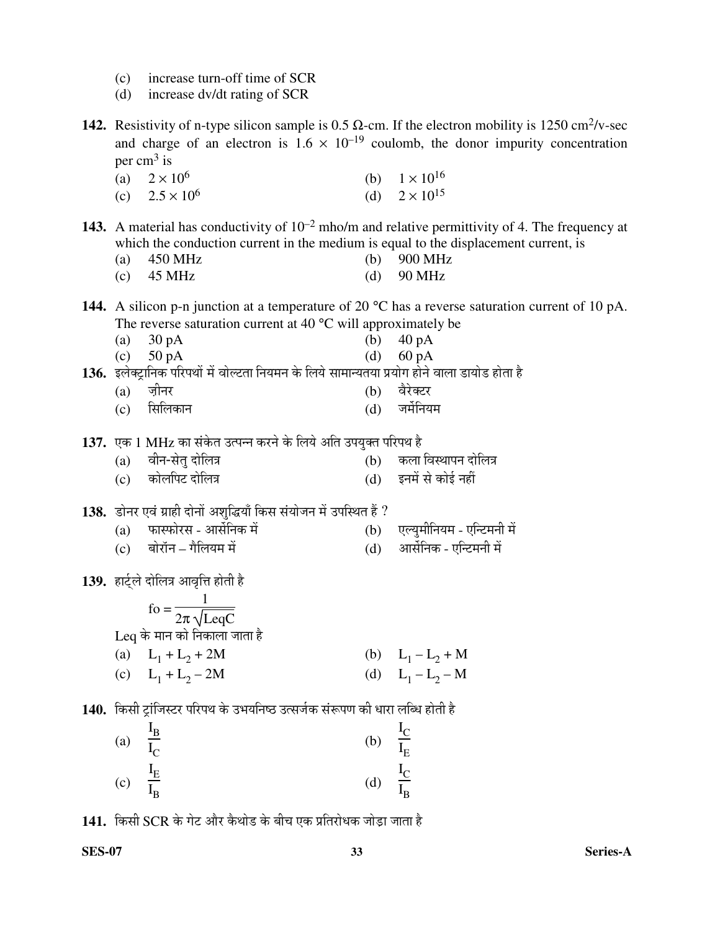- (c) increase turn-off time of SCR
- (d) increase dv/dt rating of SCR

**142.** Resistivity of n-type silicon sample is 0.5  $\Omega$ -cm. If the electron mobility is 1250 cm<sup>2</sup>/v-sec and charge of an electron is  $1.6 \times 10^{-19}$  coulomb, the donor impurity concentration per cm<sup>3</sup> is

- (a)  $2 \times 10^6$ (b)  $1 \times 10^{16}$
- (c)  $2.5 \times 10^6$ (d)  $2 \times 10^{15}$
- **143.** A material has conductivity of  $10^{-2}$  mho/m and relative permittivity of 4. The frequency at which the conduction current in the medium is equal to the displacement current, is
	- (a) 450 MHz (b) 900 MHz
	- (c)  $45 \text{ MHz}$  (d)  $90 \text{ MHz}$

**144.** A silicon p-n junction at a temperature of 20 °C has a reverse saturation current of 10 pA. The reverse saturation current at 40 °C will approximately be

- (a)  $30 \text{ pA}$  (b)  $40 \text{ pA}$
- (c)  $50 \text{ pA}$  (d)  $60 \text{ pA}$

**136.** इलेक्ट्रानिक परिपथों में वोल्टता नियमन के लिये सामान्यतया प्रयोग होने वाला डायोड होता है

- (a) ज़ीनर<br>(c) सिलिकान (d) जर्मेनियः
- (c) सिलिकान (d) जर्मेनियम
- 1**37.** एक 1 MHz का संकेत उत्पन्न करने के लिये अति उपयुक्त परिपथ है<br>(b) कला
	- (a) ¾Öß®Ö-ÃÖêŸÖã ¤üÖê×»Ö¡Ö (b) Ûú»ÖÖ ×¾ÖãÖÖ¯Ö®Ö ¤üÖê×»Ö¡Ö
	- (c) ÛúÖê»Öׯ֙ü ¤üÖê×»Ö¡Ö (d) ‡®Ö´Öë ÃÖê ÛúÖê‡Ô ®ÖÆüà

1**38.** डोनर एवं ग्राही दोनों अशुद्धियाँ किस संयोजन में उपस्थित हैं ?<br>(a) फास्फोरस - आर्सेनिक में

- (a) ±úÖñúÖê¸üÃÖ †ÖÃÖì×®ÖÛú ´Öë (b) ‹»µÖã´Öß×®ÖµÖ´Ö ‹×®™ü´Ö®Öß ´Öë
- (c) ²ÖÖê¸üÖò®Ö ÝÖî×»ÖµÖ´Ö ´Öë (d) †ÖÃÖì×®ÖÛú ‹×®™ü´Ö®Öß ´Öë
- 139. हार्ट्*ले* दोलित्र आवृत्ति होती है

| (b) $L_1 - L_2 + M$ |
|---------------------|
| (d) $L_1 - L_2 - M$ |
|                     |

140. किसी ट्रांजिस्टर परिपथ के उभयनिष्ठ उत्सर्जक संरूपण की धारा लब्धि होती है

| (a)               | $\frac{I_B}{I_C}$     | (b)            | $\frac{I_C}{I_E}$ |
|-------------------|-----------------------|----------------|-------------------|
| $\left( c\right)$ | $\frac{I_{E}}{I_{B}}$ | $\overline{d}$ | $\frac{I_C}{I_B}$ |

141. किसी SCR के गेट और कैथोड के बीच एक प्रतिरोधक जोड़ा जाता है

 $\ddot{\phantom{0}}$ 

 $\ddot{\phantom{0}}$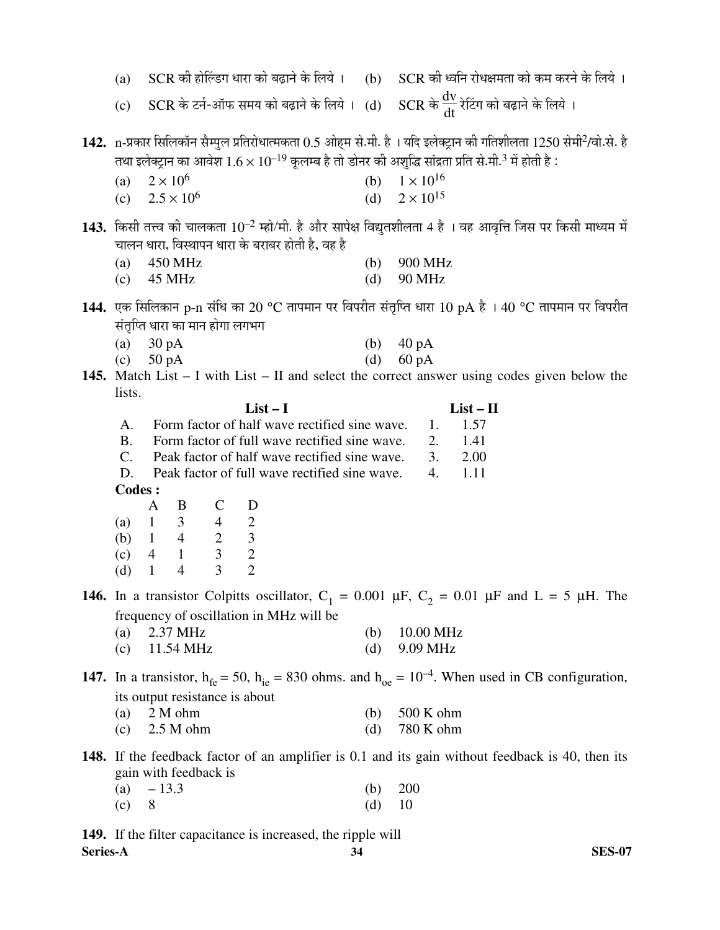| (a)                            |                   |                                                                                     |              | $SCR$ की होल्डिंग धारा को बढ़ाने के लिये । $( b )$                                                                                              |     | SCR की ध्वनि रोधक्षमता को कम करने के लिये ।                                                                                                                                                                                                                  |
|--------------------------------|-------------------|-------------------------------------------------------------------------------------|--------------|-------------------------------------------------------------------------------------------------------------------------------------------------|-----|--------------------------------------------------------------------------------------------------------------------------------------------------------------------------------------------------------------------------------------------------------------|
| (c)                            |                   |                                                                                     |              |                                                                                                                                                 |     | SCR के टर्न-ऑफ समय को बढ़ाने के लिये । (d) $SCR$ के $\frac{dv}{dt}$ रेटिंग को बढ़ाने के लिये ।                                                                                                                                                               |
|                                |                   |                                                                                     |              |                                                                                                                                                 |     | 142. n-प्रकार सिलिकॉन सैम्पुल प्रतिरोधात्मकता 0.5 ओहम से.मी. है । यदि इलेक्ट्रान की गतिशीलता 1250 सेमी <sup>2</sup> /वो.से. है<br>तथा इलेक्ट्रान का आवेश $1.6 \times 10^{-19}$ कूलम्ब है तो डोनर की अशुद्धि सांद्रता प्रति से मी. <sup>3</sup> में होती है : |
| (a)                            | $2 \times 10^6$   |                                                                                     |              |                                                                                                                                                 | (b) | $1 \times 10^{16}$                                                                                                                                                                                                                                           |
| (c)                            |                   | $2.5 \times 10^{6}$                                                                 |              |                                                                                                                                                 | (d) | $2 \times 10^{15}$                                                                                                                                                                                                                                           |
|                                |                   |                                                                                     |              | चालन धारा, विस्थापन धारा के बराबर होती है, वह है                                                                                                |     | 143. किसी तत्त्व की चालकता $10^{-2}$ म्हो/मी. है और सापेक्ष विद्युतशीलता 4 है । वह आवृत्ति जिस पर किसी माध्यम में                                                                                                                                            |
| (a)                            |                   | 450 MHz                                                                             |              |                                                                                                                                                 | (b) | 900 MHz                                                                                                                                                                                                                                                      |
| (c)                            |                   | 45 MHz                                                                              |              |                                                                                                                                                 | (d) | <b>90 MHz</b>                                                                                                                                                                                                                                                |
|                                |                   |                                                                                     |              |                                                                                                                                                 |     | 144. एक सिलिकान p-n संधि का 20 °C तापमान पर विपरीत संतृप्ति धारा 10 pA है । 40 °C तापमान पर विपरीत                                                                                                                                                           |
|                                |                   | संतृप्ति धारा का मान होगा लगभग                                                      |              |                                                                                                                                                 |     |                                                                                                                                                                                                                                                              |
| (a)                            | 30 pA             |                                                                                     |              |                                                                                                                                                 | (b) | $40\,\mathrm{pA}$                                                                                                                                                                                                                                            |
| (c)                            | $50\,\mathrm{pA}$ |                                                                                     |              |                                                                                                                                                 | (d) | $60 \text{ pA}$                                                                                                                                                                                                                                              |
|                                |                   |                                                                                     |              |                                                                                                                                                 |     | <b>145.</b> Match List $- I$ with List $- II$ and select the correct answer using codes given below the                                                                                                                                                      |
| lists.                         |                   |                                                                                     |              | $List-I$                                                                                                                                        |     | $List - II$                                                                                                                                                                                                                                                  |
| A.                             |                   |                                                                                     |              | Form factor of half wave rectified sine wave.                                                                                                   |     | 1.57<br>1.                                                                                                                                                                                                                                                   |
| <b>B.</b><br>$C_{\cdot}$<br>D. |                   |                                                                                     |              | Form factor of full wave rectified sine wave.<br>Peak factor of half wave rectified sine wave.<br>Peak factor of full wave rectified sine wave. |     | 2.<br>1.41<br>3.<br>2.00<br>1.11<br>4.                                                                                                                                                                                                                       |
| Codes :                        |                   |                                                                                     |              |                                                                                                                                                 |     |                                                                                                                                                                                                                                                              |
|                                | $\mathbf{A}$      | B                                                                                   | $\mathsf{C}$ | D                                                                                                                                               |     |                                                                                                                                                                                                                                                              |
|                                |                   |                                                                                     |              |                                                                                                                                                 |     |                                                                                                                                                                                                                                                              |
|                                |                   |                                                                                     |              |                                                                                                                                                 |     |                                                                                                                                                                                                                                                              |
| (d)                            | $\mathbf{1}$      | (a) $1 \t3 \t4 \t2$<br>(b) $1 \t4 \t2 \t3$<br>(c) $4 \t1 \t3 \t2$<br>$\overline{4}$ | 3            | $\overline{2}$                                                                                                                                  |     |                                                                                                                                                                                                                                                              |
|                                |                   |                                                                                     |              |                                                                                                                                                 |     | <b>146.</b> In a transistor Colpitts oscillator, $C_1 = 0.001 \mu F$ , $C_2 = 0.01 \mu F$ and $L = 5 \mu H$ . The                                                                                                                                            |
|                                |                   |                                                                                     |              | frequency of oscillation in MHz will be                                                                                                         |     |                                                                                                                                                                                                                                                              |
| (a)                            |                   | 2.37 MHz                                                                            |              |                                                                                                                                                 | (b) | 10.00 MHz                                                                                                                                                                                                                                                    |
| (c)                            |                   | 11.54 MHz                                                                           |              |                                                                                                                                                 | (d) | 9.09 MHz                                                                                                                                                                                                                                                     |
|                                |                   |                                                                                     |              |                                                                                                                                                 |     | 147. In a transistor, $h_{fe} = 50$ , $h_{ie} = 830$ ohms. and $h_{oe} = 10^{-4}$ . When used in CB configuration,                                                                                                                                           |
|                                |                   |                                                                                     |              | its output resistance is about                                                                                                                  |     |                                                                                                                                                                                                                                                              |
| (a)                            |                   | 2 M ohm                                                                             |              |                                                                                                                                                 | (b) | 500 K ohm                                                                                                                                                                                                                                                    |
| (c)                            |                   | 2.5 M ohm                                                                           |              |                                                                                                                                                 | (d) | 780 K ohm                                                                                                                                                                                                                                                    |
|                                |                   | gain with feedback is                                                               |              |                                                                                                                                                 |     | 148. If the feedback factor of an amplifier is 0.1 and its gain without feedback is 40, then its                                                                                                                                                             |

(a)  $-13.3$  (b) 200 (c) 8 (d) 10

**Series-A 34 SES-07 149.** If the filter capacitance is increased, the ripple will Series-A 34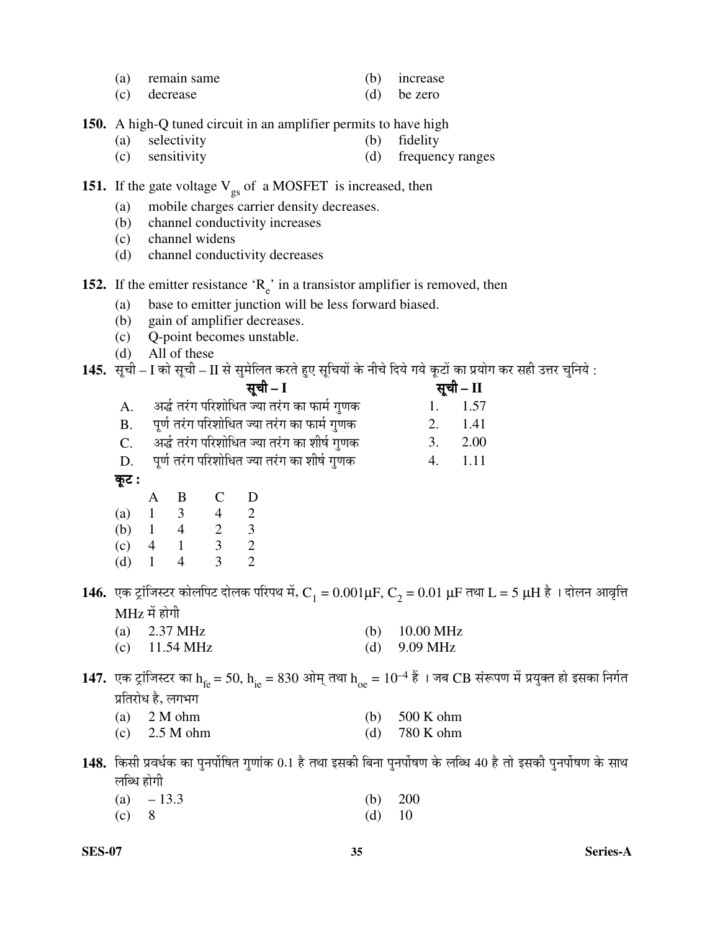|  | remain same |  | <i>ncrease</i> |
|--|-------------|--|----------------|
|--|-------------|--|----------------|

(c) decrease (d) be zero

**150.** A high-Q tuned circuit in an amplifier permits to have high

- (a) selectivity (b) fidelity
- (c) sensitivity (d) frequency ranges

### **151.** If the gate voltage  $V_{gs}$  of a MOSFET is increased, then

- (a) mobile charges carrier density decreases.
- (b) channel conductivity increases
- (c) channel widens
- (d) channel conductivity decreases

**152.** If the emitter resistance  $R_e$  in a transistor amplifier is removed, then

- (a) base to emitter junction will be less forward biased.
- (b) gain of amplifier decreases.
- (c) Q-point becomes unstable.
- (d) All of these

145. सूची – I को सूची – II से सुमेलित करते हुए सूचियों के नीचे दिये गये कूटों का प्रयोग कर सही उत्तर चुनिये :

|             | सूची – I                                     |    | सूची – II |
|-------------|----------------------------------------------|----|-----------|
|             | अर्द्ध तरंग परिशोधित ज्या तरंग का फार्म गुणक |    | 1.157     |
| <b>B.</b>   | पूर्ण तरंग परिशोधित ज्या तरंग का फार्म गुणक  | 2. | 1.41      |
| $C_{\cdot}$ | अर्द्ध तरंग परिशोधित ज्या तरंग का शीर्ष गुणक | 3. | 2.00      |
| D.          | पूर्ण तरंग परिशोधित ज्या तरंग का शीर्ष गुणक  | 4. | 1.11      |
| कूट :       |                                              |    |           |

|     |   | В | C | I) |
|-----|---|---|---|----|
| (a) |   | 3 | 4 | 2  |
| (b) |   | 4 | 2 | 3  |
| (c) | 4 |   | 3 | 2  |
| (d) |   |   | З | 2  |

 ${\bf 146.}$  एक ट्रांजिस्टर कोलपिट दोलक परिपथ में,  $\rm C^{}_1$  =  $0.001 \rm \mu F$ ,  $\rm C^{}_2$  =  $0.01$   $\rm \mu F$  तथा  $\rm L$  =  $5$   $\rm \mu H$  है । दोलन आवृत्ति  $\overline{\text{MHz}}$  में होगी

- (a) 2.37 MHz (b) 10.00 MHz
- (c) 11.54 MHz (d) 9.09 MHz
- **147.** एक ट्रांजिस्टर का h<sub>fe</sub> = 50, h<sub>ie</sub> = 830 ओम् तथा h<sub>oe</sub> = 10<sup>–4</sup> हैं । जब CB संरूपण में प्रयुक्त हो इसका निर्गत प्रतिरोध है, लगभग

| (a) $2 M ohm$                                                                                                                                                                                                                                                                                                      | (b) $500 \text{ K}$ ohm |
|--------------------------------------------------------------------------------------------------------------------------------------------------------------------------------------------------------------------------------------------------------------------------------------------------------------------|-------------------------|
| $\sqrt{2}$ $\sqrt{2}$ $\sqrt{2}$ $\sqrt{2}$ $\sqrt{2}$ $\sqrt{2}$ $\sqrt{2}$ $\sqrt{2}$ $\sqrt{2}$ $\sqrt{2}$ $\sqrt{2}$ $\sqrt{2}$ $\sqrt{2}$ $\sqrt{2}$ $\sqrt{2}$ $\sqrt{2}$ $\sqrt{2}$ $\sqrt{2}$ $\sqrt{2}$ $\sqrt{2}$ $\sqrt{2}$ $\sqrt{2}$ $\sqrt{2}$ $\sqrt{2}$ $\sqrt{2}$ $\sqrt{2}$ $\sqrt{2}$ $\sqrt{2$ | $(1)$ $\pi$ $(1)$       |

(c) 2.5 M ohm (d) 780 K ohm

 $\bf 148.$  किसी प्रवर्धक का पुनर्पोषित गुणांक  $0.1$  है तथा इसकी बिना पुनर्पोषण के लब्धि 40 है तो इसकी पुनर्पोषण के साथ लब्धि होगी

|         | (a) $-13.3$ |          | (b) $200$ |
|---------|-------------|----------|-----------|
| $(c)$ 8 |             | (d) $10$ |           |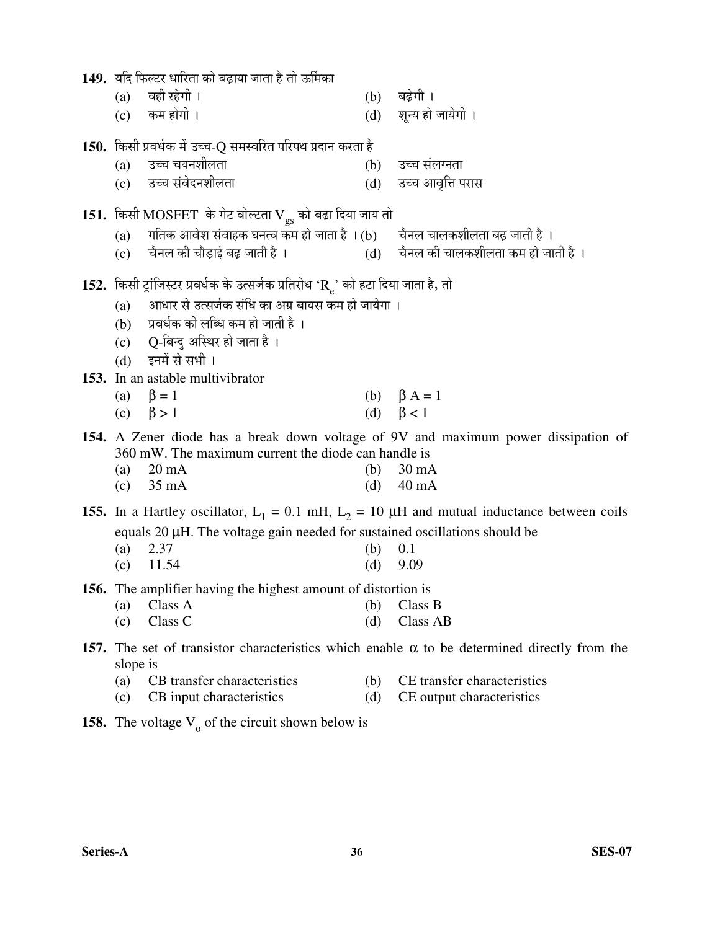| 149.  यदि फिल्टर धारिता को बढ़ाया जाता है तो ऊर्मिका |  |  |
|------------------------------------------------------|--|--|
|                                                      |  |  |

|  |  | (a) वही रहेगी । |  | $(b)$ बढ़ेगी। |
|--|--|-----------------|--|---------------|
|--|--|-----------------|--|---------------|

 $(c)$  कम होगी ।  $(d)$  शन्य हो जायेगी ।

# **150.** ×ÛúÃÖß ¯ÖϾ֬ÖÔÛú ´Öë ˆ""Ö-Q ÃÖ´ÖþÖ׸üŸÖ ¯Ö׸ü¯Ö£Ö ¯ÖϤüÖ®Ö Ûú¸üŸÖÖ Æîü

- (a) ˆ""Ö "ÖµÖ®Ö¿Ö߻֟ÖÖ (b) ˆ""Ö ÃÖÓ»Öݮ֟ÖÖ
- (c) ˆ""Ö ÃÖÓ¾Öê¤ü®Ö¿Ö߻֟ÖÖ (d) ˆ""Ö †Ö¾Öé×¢Ö ¯Ö¸üÖÃÖ

# $\bf 151.~$  किसी  $\bf MOSFET~$  के गेट वोल्टता  $\bf V_{gs}$  को बढ़ा दिया जाय तो

- (a) गतिक आवेश संवाहक घनत्व कम हो जाता है । (b) चैनल चालकशीलता बढ़ जाती है ।<br>(c) चैनल की चौडाई बढ जाती है । (d) चैनल की चालकशीलता कम हो जा
- (c) यैनल की चौड़ाई बढ़ जाती है । (d) चैनल की चालकशीलता कम हो जाती है ।

## **152.** किसी ट्रांजिस्टर प्रवर्धक के उत्सर्जक प्रतिरोध 'R<sub>e</sub>' को हटा दिया जाता है, तो

- (a)  $\,$  आधार से उत्सर्जक संधि का अग्र बायस कम हो जायेगा ।
- $(b)$  प्रवर्धक की लब्धि कम हो जाती है ।
- (c) Q-बिन्दु अस्थिर हो जाता है ।
- (d) इनमें से सभी ।
- **153.** In an astable multivibrator
	- (a)  $\beta = 1$  (b)  $\beta A = 1$
	- (c)  $\beta > 1$  (d)  $\beta < 1$

### **154.** A Zener diode has a break down voltage of 9V and maximum power dissipation of 360 mW. The maximum current the diode can handle is

| (a) $20 \text{ mA}$ | (b) $30 \text{ mA}$ |
|---------------------|---------------------|
| (c) $35 \text{ mA}$ | (d) $40 \text{ mA}$ |

**155.** In a Hartley oscillator,  $L_1 = 0.1$  mH,  $L_2 = 10 \mu$ H and mutual inductance between coils equals 20 µH. The voltage gain needed for sustained oscillations should be

- (a) 2.37 (b) 0.1
- (c)  $11.54$  (d)  $9.09$
- **156.** The amplifier having the highest amount of distortion is
	- (a) Class A (b) Class B (c) Class C (d) Class AB
	-

## **157.** The set of transistor characteristics which enable  $\alpha$  to be determined directly from the slope is

- (a) CB transfer characteristics (b) CE transfer characteristics
- (c) CB input characteristics (d) CE output characteristics
- **158.** The voltage  $V_0$  of the circuit shown below is
- 
-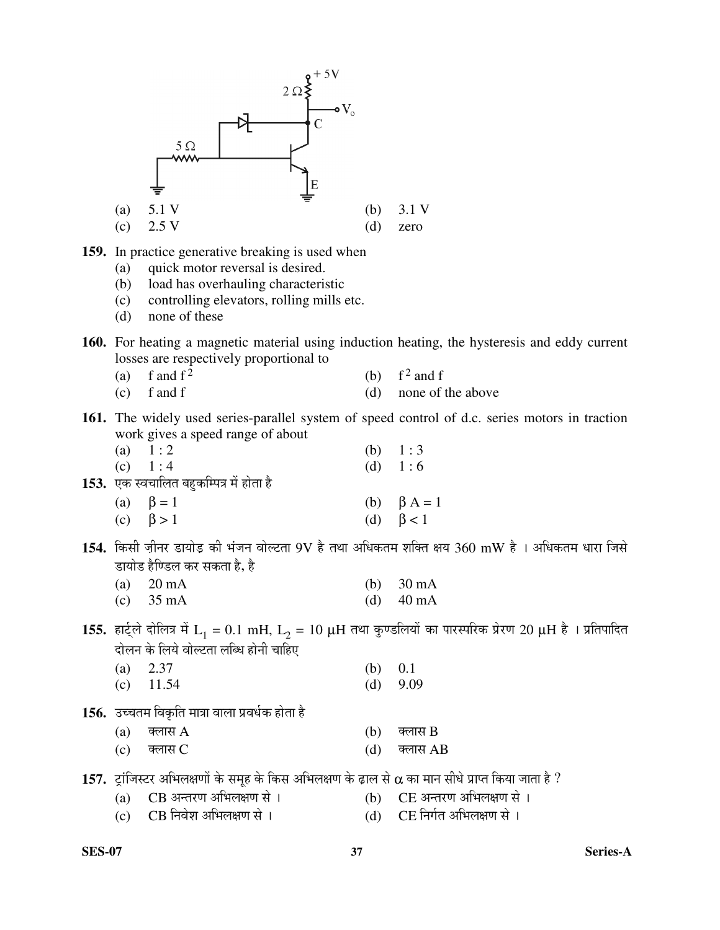

 $\overline{c}$ )  $\overline{c}$ B निवेश अभिलक्षण से ।  $\overline{c}$  and  $\overline{c}$  and  $\overline{c}$  and  $\overline{c}$ 

**SES-07 37 Series-A**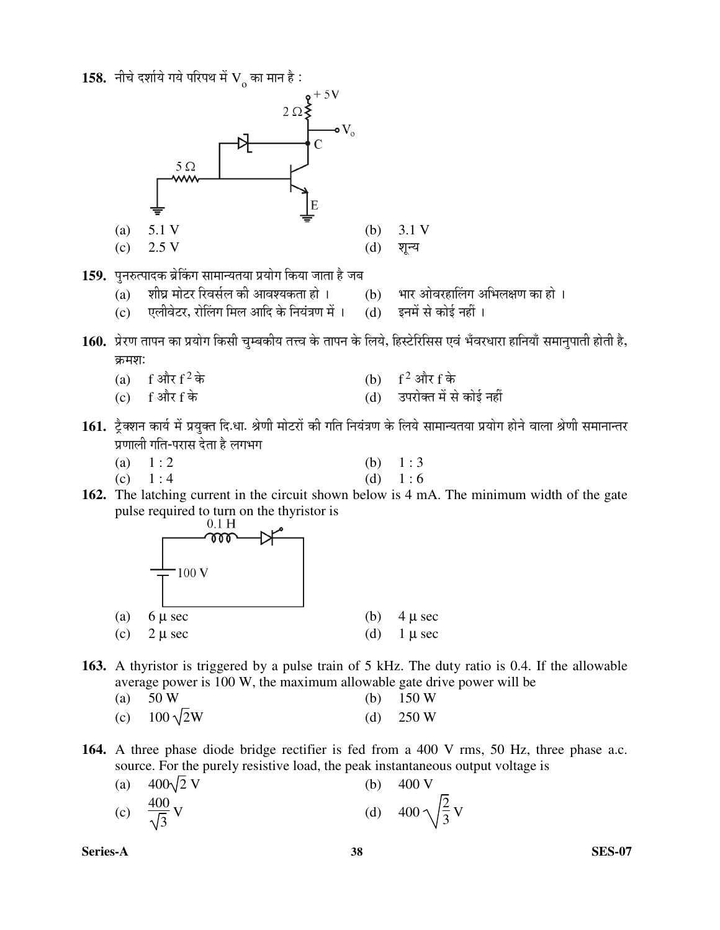$\bf 158.$  नीचे दर्शाये गये परिपथ में  $\bf V_{_O}$  का मान है :



- 1**59.** पुनरुत्पादक ब्रेकिंग सामान्यतया प्रयोग किया जाता है जब<br>(a) शीघ्र मोटर रिवर्सल की आवश्यकता हो ।
	- (a) शीघ्र मोटर रिवर्सल की आवश्यकता हो । (b) भार ओवरहालिंग अभिलक्षण का हो ।<br>(c) एलीवेटर, रोलिंग मिल आदि के नियंत्रण में । (d) इनमें से कोई नहीं ।
	- (c) एलीवेटर, रोलिंग मिल आदि के नियंत्रण में ।
- $\bf 160.~$  प्रेरण तापन का प्रयोग किसी चुम्बकीय तत्त्व के तापन के लिये, हिस्टेरिसिस एवं भँवरधारा हानियाँ समानुपाती होती है, क्रमशः
	- (a)  $f = \sin \left( \frac{f^2}{f} \right)$ <br>(c)  $f = \sin \left( \frac{f^2}{f} \right)$ (b)  $f^2$  और f के
	- $\overline{c}$ )  $f$  और  $f$  के  $\overline{d}$   $\overline{d}$   $\overline{d}$   $\overline{d}$   $\overline{d}$   $\overline{d}$   $\overline{d}$   $\overline{d}$   $\overline{d}$   $\overline{d}$   $\overline{d}$   $\overline{d}$   $\overline{d}$   $\overline{d}$   $\overline{d}$   $\overline{d}$   $\overline{d}$   $\overline{d}$   $\overline{d}$   $\overline{d}$   $\overline{d}$   $\overline{d}$
- 161. ट्रैक्शन कार्य में प्रयुक्त दि.धा. श्रेणी मोटरों की गति नियंत्रण के लिये सामान्यतया प्रयोग होने वाला श्रेणी समानान्तर प्रणाली गति-परास देता है लगभग
	- (a)  $1:2$  (b)  $1:3$
	- (c)  $1:4$  (d)  $1:6$
- **162.** The latching current in the circuit shown below is 4 mA. The minimum width of the gate pulse required to turn on the thyristor is  $0.1 \text{ H}$



- **163.** A thyristor is triggered by a pulse train of 5 kHz. The duty ratio is 0.4. If the allowable average power is 100 W, the maximum allowable gate drive power will be
	- (a)  $50 \text{ W}$  (b)  $150 \text{ W}$ (c)  $100\sqrt{2}W$  (d) 250 W
	-
- **164.** A three phase diode bridge rectifier is fed from a 400 V rms, 50 Hz, three phase a.c. source. For the purely resistive load, the peak instantaneous output voltage is

| (a) $400\sqrt{2}$ V         | (b) | 400 V                         |
|-----------------------------|-----|-------------------------------|
| (c) $\frac{400}{\sqrt{3}}V$ |     | (d) 400 $\sqrt{\frac{2}{3}}V$ |

**Series-A 38 SES-07**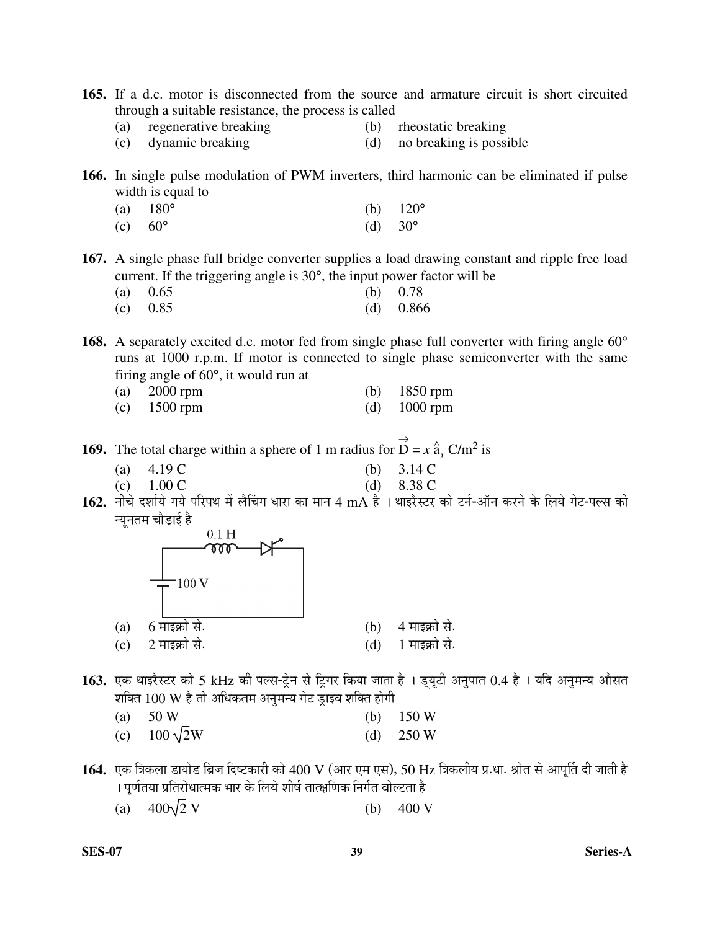- **165.** If a d.c. motor is disconnected from the source and armature circuit is short circuited through a suitable resistance, the process is called
	- (a) regenerative breaking (b) rheostatic breaking
- - (c) dynamic breaking (d) no breaking is possible
- -
- **166.** In single pulse modulation of PWM inverters, third harmonic can be eliminated if pulse width is equal to
- (a)  $180^{\circ}$  (b)  $120^{\circ}$ (c)  $60^{\circ}$  (d)  $30^{\circ}$
- **167.** A single phase full bridge converter supplies a load drawing constant and ripple free load current. If the triggering angle is 30°, the input power factor will be

| (a) $0.65$ | (b) $0.78$  |
|------------|-------------|
| (c) $0.85$ | (d) $0.866$ |

168. A separately excited d.c. motor fed from single phase full converter with firing angle 60<sup>°</sup> runs at 1000 r.p.m. If motor is connected to single phase semiconverter with the same firing angle of 60°, it would run at

| (a) $2000$ rpm | (b) $1850$ rpm |
|----------------|----------------|
| (c) $1500$ rpm | (d) $1000$ rpm |

**169.** The total charge within a sphere of 1 m radius for  $\overrightarrow{D} = x \hat{a}_x C/m^2$  is

- (a)  $4.19 \text{ C}$  (b)  $3.14 \text{ C}$
- (c)  $1.00 \text{ C}$  (d)  $8.38 \text{ C}$
- 162. नीचे दर्शाये गये परिपथ में लैचिंग धारा का मान 4 mA है। थाइरैस्टर को टर्न-ऑन करने के लिये गेट-पल्स की न्यनतम चौडाई ह<u>ै</u>



- 163. एक थाइरैस्टर को 5 kHz की पल्स-ट्रेन से ट्रिगर किया जाता है । ड्यूटी अनुपात 0.4 है । यदि अनुमन्य औसत शक्ति  $100 \text{ W}$  है तो अधिकतम अनुमन्य गेट ड्राइव शक्ति होगी
	- (a)  $50 \text{ W}$  (b)  $150 \text{ W}$ (c)  $100\sqrt{2}W$  (d) 250 W
- $164.$  एक त्रिकला डायोड ब्रिज दिष्टकारी को  $400~\mathrm{V}$  (आर एम एस),  $50~\mathrm{Hz}$  त्रिकलीय प्र.धा. श्रोत से आपत्ति दी जाती है । पूर्णतया प्रतिरोधात्मक भार के लिये शीर्ष तात्क्षणिक निर्गत वोल्टता है
	- (a)  $400\sqrt{2} \text{ V}$  (b)  $400 \text{ V}$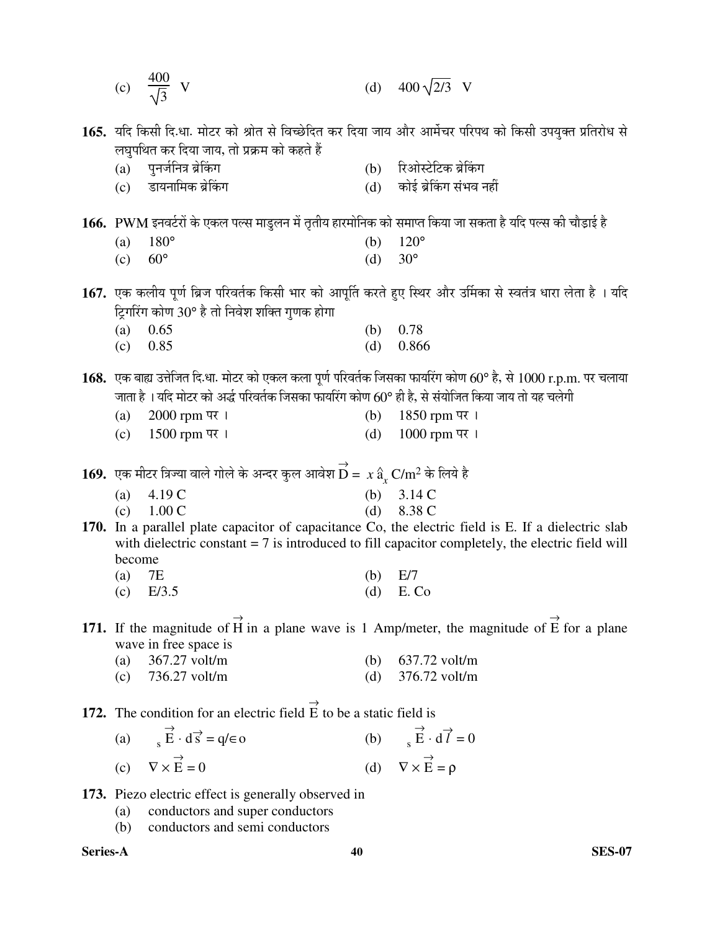|               | (c) $\frac{400}{\sqrt{3}}$ V                                                                                                                    |     | (d) $400\sqrt{2/3}$ V                                                                                                       |
|---------------|-------------------------------------------------------------------------------------------------------------------------------------------------|-----|-----------------------------------------------------------------------------------------------------------------------------|
|               | लघुपथित कर दिया जाय, तो प्रक्रम को कहते हैं                                                                                                     |     | <b>165.</b> यदि किसी दि.धा. मोटर को श्रोत से विच्छेदित कर दिया जाय और आर्मेचर परिपथ को किसी उपयुक्त प्रतिरोध से             |
|               | (a) पुनर्जनित्र ब्रेकिंग                                                                                                                        |     | (b) रिओस्टेटिक ब्रेकिंग                                                                                                     |
|               | (c) डायनामिक ब्रेकिंग                                                                                                                           |     | (d) कोई ब्रेकिंग संभव नहीं                                                                                                  |
|               |                                                                                                                                                 |     |                                                                                                                             |
|               | $166. \,\,$ PWM इनवर्टरों के एकल पल्स माडुलन में तृतीय हारमोनिक को समाप्त किया जा सकता है यदि पल्स की चौड़ाई है                                 |     |                                                                                                                             |
| (a)           | $180^\circ$                                                                                                                                     | (b) | $120^\circ$                                                                                                                 |
| (c)           | $60^{\circ}$                                                                                                                                    | (d) | $30^{\circ}$                                                                                                                |
|               |                                                                                                                                                 |     |                                                                                                                             |
|               |                                                                                                                                                 |     | 167.  एक कलीय पूर्ण ब्रिज परिवर्तक किसी भार को आपूर्ति करते हुए स्थिर और उर्मिका से स्वतंत्र धारा लेता है  । यदि            |
|               | ट्रिगरिंग कोण 30° है तो निवेश शक्ति गुणक होगा                                                                                                   |     |                                                                                                                             |
| (a)           | 0.65                                                                                                                                            | (b) | 0.78                                                                                                                        |
| (c)           | 0.85                                                                                                                                            | (d) | 0.866                                                                                                                       |
|               |                                                                                                                                                 |     |                                                                                                                             |
|               |                                                                                                                                                 |     | $168.$ एक बाह्य उत्तेजित दि.धा. मोटर को एकल कला पूर्ण परिवर्तक जिसका फायरिंग कोण $60^{\circ}$ है, से $1000$ r.p.m. पर चलाया |
|               | जाता है। यदि मोटर को अर्द्ध परिवर्तक जिसका फायरिंग कोण 60° ही है, से संयोजित किया जाय तो यह चलेगी                                               |     |                                                                                                                             |
| (a)           | 2000 rpm पर ।                                                                                                                                   | (b) | $1850$ rpm पर ।                                                                                                             |
|               | (c) $1500$ rpm पर ।                                                                                                                             | (d) | 1000 rpm पर ।                                                                                                               |
|               | ${\bf 169.}\;$ एक मीटर त्रिज्या वाले गोले के अन्दर कुल आवेश $\stackrel{\rightarrow}{\rm D}=x\,\hat{\rm a}_{{}_{\rm r}}\,{\rm C/m^2}$ के लिये है |     |                                                                                                                             |
| (a)           | 4.19 C                                                                                                                                          | (b) | 3.14C                                                                                                                       |
| (c)           | 1.00C                                                                                                                                           |     | (d) $8.38 \text{ C}$                                                                                                        |
|               |                                                                                                                                                 |     | 170. In a parallel plate capacitor of capacitance Co, the electric field is E. If a dielectric slab                         |
|               |                                                                                                                                                 |     | with dielectric constant $= 7$ is introduced to fill capacitor completely, the electric field will                          |
| become<br>(a) | <b>7E</b>                                                                                                                                       | (b) | E/7                                                                                                                         |
| (c)           | E/3.5                                                                                                                                           | (d) | E. Co                                                                                                                       |
|               |                                                                                                                                                 |     |                                                                                                                             |
|               |                                                                                                                                                 |     | 171. If the magnitude of $\vec{H}$ in a plane wave is 1 Amp/meter, the magnitude of $\vec{E}$ for a plane                   |
|               | wave in free space is                                                                                                                           |     |                                                                                                                             |
| (a)           | 367.27 volt/m                                                                                                                                   |     | (b) $637.72$ volt/m                                                                                                         |
|               | $(c)$ 736.27 volt/m                                                                                                                             | (d) | 376.72 volt/m                                                                                                               |
|               | <b>172.</b> The condition for an electric field $\vec{E}$ to be a static field is                                                               |     |                                                                                                                             |
|               | (a) $\overrightarrow{E} \cdot d\overrightarrow{s} = q/\epsilon$ o                                                                               |     | (b) $\overrightarrow{E} \cdot d\overrightarrow{l} = 0$                                                                      |
|               |                                                                                                                                                 |     |                                                                                                                             |
|               | (c) $\nabla \times \vec{E} = 0$                                                                                                                 |     | (d) $\nabla \times \vec{E} = \rho$                                                                                          |
|               |                                                                                                                                                 |     |                                                                                                                             |

- **173.** Piezo electric effect is generally observed in
- (a) conductors and super conductors
	- (b) conductors and semi conductors

**Series-A 40 SES-07**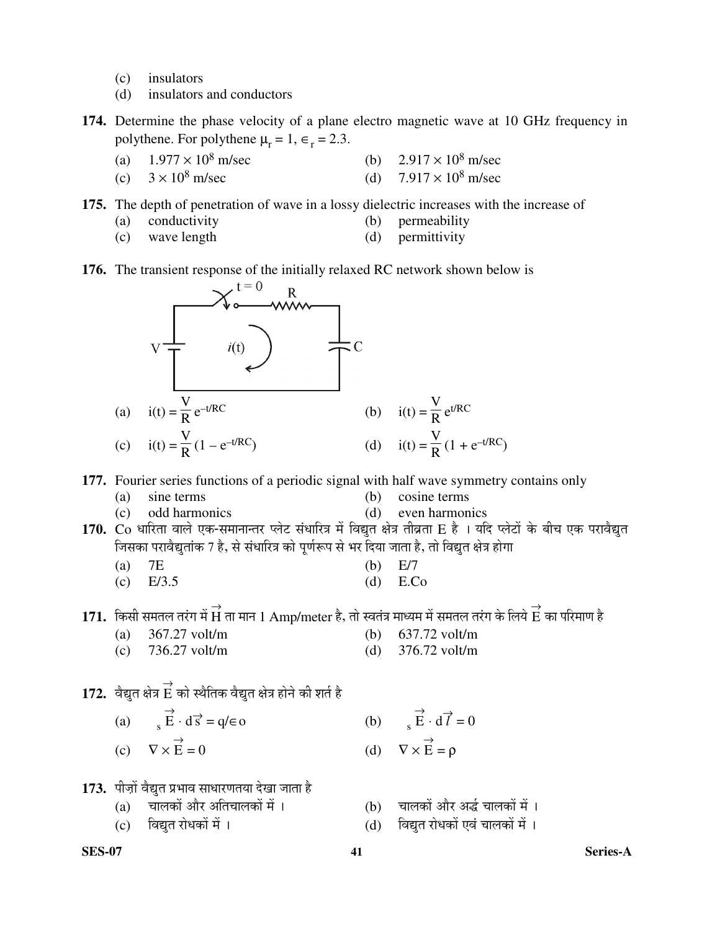- (c) insulators
- (d) insulators and conductors
- **174.** Determine the phase velocity of a plane electro magnetic wave at 10 GHz frequency in polythene. For polythene  $\mu_r = 1, \epsilon_r = 2.3$ .
	- (a)  $1.977 \times 10^8$  m/sec m/sec (b)  $2.917 \times 10^8$  m/sec
	- (c)  $3 \times 10^8$  m/sec m/sec (d)  $7.917 \times 10^8$  m/sec

**175.** The depth of penetration of wave in a lossy dielectric increases with the increase of

- (a) conductivity (b) permeability
- 
- (c) wave length (d) permittivity
- **176.** The transient response of the initially relaxed RC network shown below is



**177.** Fourier series functions of a periodic signal with half wave symmetry contains only

- (a) sine terms (b) cosine terms
- (c) odd harmonics (d) even harmonics
- 170. Co धारिता वाले एक-समानान्तर प्लेट संधारित्र में विद्युत क्षेत्र तीव्रता E है । यदि प्लेटों के बीच एक परावैद्युत जिसका परावैद्युतांक 7 है, से संधारित्र को पूर्णरूप से भर दिया जाता है, तो विद्युत क्षेत्र होगा
	- (a)  $7E$  (b)  $E/7$
	- (c) E/3.5 (d) E.Co

 ${\bf 171.} \;\;$ किसी समतल तरंग में  $\overrightarrow{H}$  ता मान  $1 \;{\rm Amp/meter}$  है, तो स्वतंत्र माध्यम में समतल तरंग के लिये  $\overrightarrow{E}$  का परिमाण है

- (a) 367.27 volt/m (b) 637.72 volt/m
	-
- (c) 736.27 volt/m (d) 376.72 volt/m

# $\bf 172.~$  वैद्युत क्षेत्र  $\overrightarrow{E}$  को स्थैतिक वैद्युत क्षेत्र होने की शर्त है

- (a)  $s \stackrel{\rightarrow}{E} \cdot d\vec{s} = q/\epsilon o$  (b) s (c)  $\nabla \times \vec{E}$  $\vec{E} = 0$  (d)  $\nabla \times \vec{E} = \rho$
- 173. पीज़ों वैद्युत प्रभाव साधारणतया देखा जाता है
	-
	- (c) विद्यत रोधकों में । (d) विद्यत रोधकों एवं चालकों में ।
- $\overrightarrow{E} \cdot d\overrightarrow{l} = 0$ 
	- (a) चालकों और अतिचालकों में । (b) चालकों और अर्द्ध चालकों में ।<br>(c) विद्यत रोधकों में । (d) विद्यत रोधकों एवं चालकों में ।
		-

**SES-07 41 Series-A**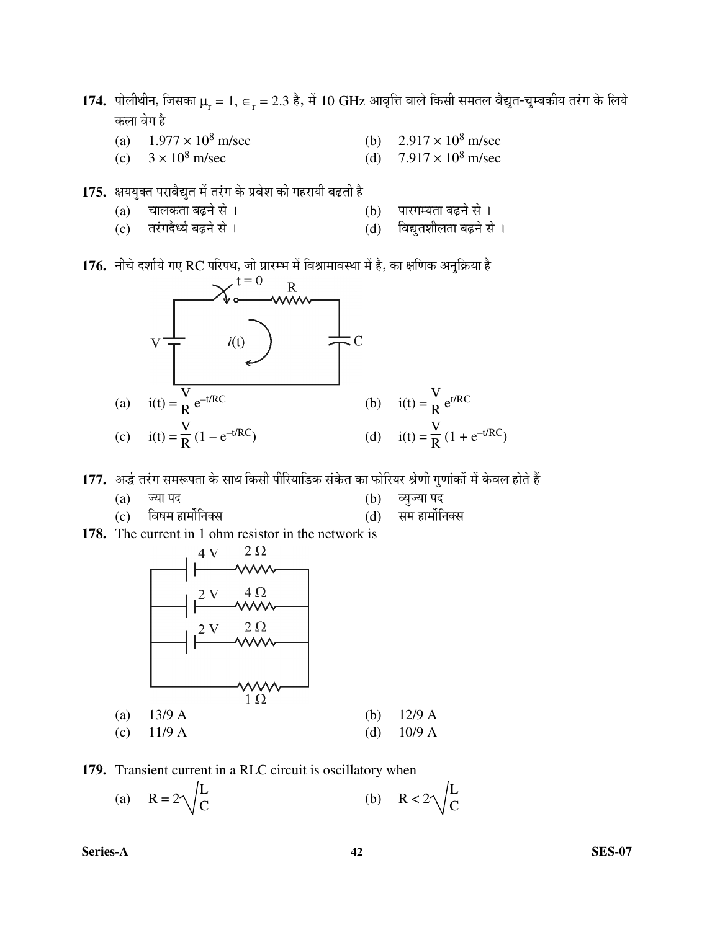- $\bf 174.$  पोलीथीन, जिसका  $\mu_{\rm r} = 1,\, \in_{_{\rm r}}=2.3$  है, में  $10~\rm GHz$  आवृत्ति वाले किसी समतल वैद्युत-चुम्बकीय तरंग के लिये कला वेग है
	- (a)  $1.977 \times 10^8$  m/sec m/sec (b)  $2.917 \times 10^8$  m/sec
	- (c)  $3 \times 10^8$  m/sec m/sec (d)  $7.917 \times 10^8$  m/sec
- 175. क्षययुक्त परावैद्युत में तरंग के प्रवेश की गहरायी बढ़ती है
	- (a) "ÖÖ»ÖÛúŸÖÖ ²ÖœÌü®Öê ÃÖê … (b) ¯ÖÖ¸üÝÖ´µÖŸÖÖ ²ÖœÌü®Öê ÃÖê …
	- (c) तरंगदैर्ध्य बढ़ने से । (d) विद्युतशीलता बढ़ने से ।
- 176. नीचे दर्शाये गए RC परिपथ, जो प्रारम्भ में विश्रामावस्था में है, का क्षणिक अनुक्रिया है



177. अर्द्ध तरंग समरूपता के साथ किसी पीरियाडिक संकेत का फोरियर श्रेणी गुणांकों में केवल होते हैं

- $(a)$  ज्या पद (b) व्युज्या पद
- (c) ×¾ÖÂÖ´Ö ÆüÖ´ÖÖì×®ÖŒÃÖ (d) ÃÖ´Ö ÆüÖ´ÖÖì×®ÖŒÃÖ
- **178.** The current in 1 ohm resistor in the network is



**179.** Transient current in a RLC circuit is oscillatory when

(a) 
$$
R = 2\sqrt{\frac{L}{C}}
$$
 (b)  $R < 2\sqrt{\frac{L}{C}}$ 

**Series-A 42 SES-07**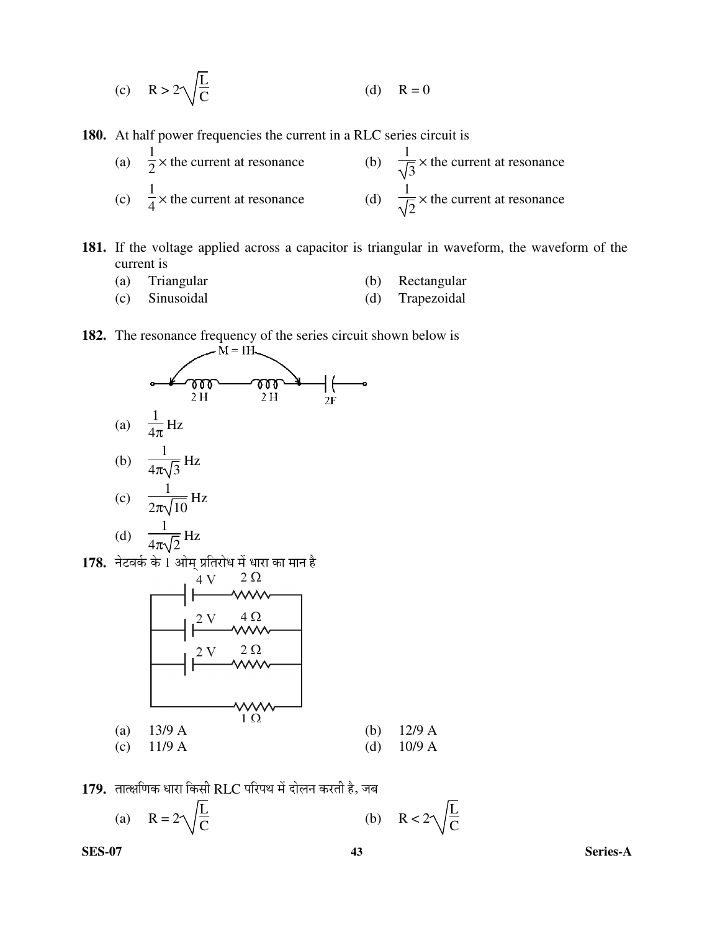(c) 
$$
R > 2\sqrt{\frac{L}{C}}
$$
 (d)  $R = 0$ 

**180.** At half power frequencies the current in a RLC series circuit is

| (a) $\frac{1}{2}$ × the current at resonance | (b) $\frac{1}{\sqrt{2}} \times$ the current at resonance |
|----------------------------------------------|----------------------------------------------------------|
| (c) $\frac{1}{4}$ × the current at resonance | (d) $\frac{1}{\sqrt{2}} \times$ the current at resonance |

- **181.** If the voltage applied across a capacitor is triangular in waveform, the waveform of the current is
	- (a) Triangular (b) Rectangular
	- (c) Sinusoidal (d) Trapezoidal
		-
- **182.** The resonance frequency of the series circuit shown below is  $M = 1H$ .



(d) 
$$
\frac{1}{4\pi\sqrt{2}}\text{Hz}
$$

**178.** नेटवर्क के 1 ओम् प्रतिरोध में धारा का मान है<br> $\frac{4 \text{ V}}{2 \Omega}$ 



179. तात्क्षणिक धारा किसी RLC परिपथ में दोलन करती है, जब

(a) 
$$
R = 2\sqrt{\frac{L}{C}}
$$
 (b)  $R < 2$ 

L  $\bar{\bar{C}}$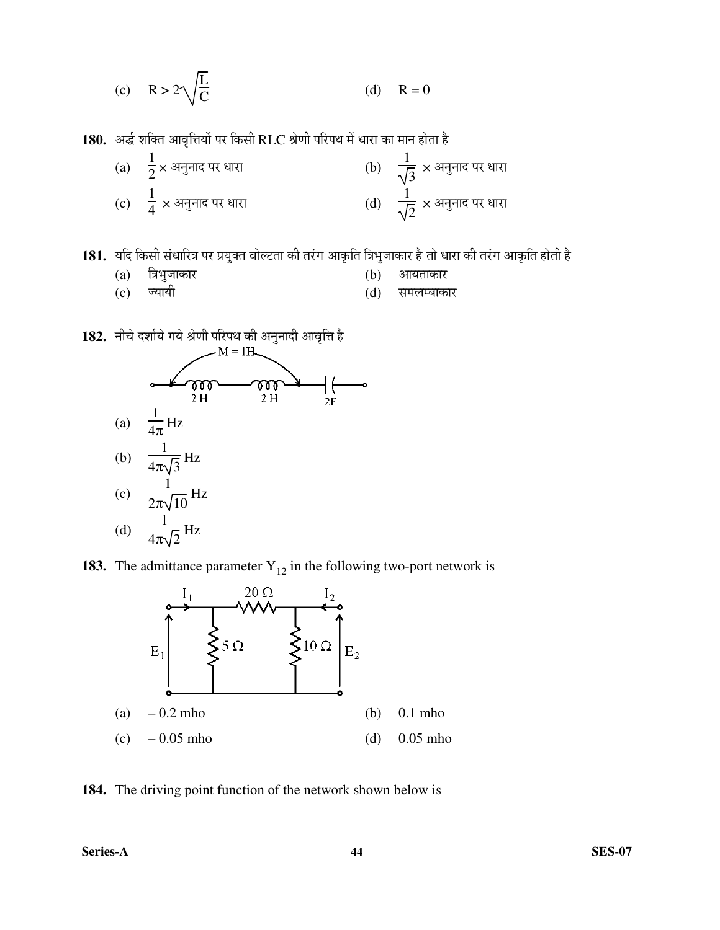(c) 
$$
R > 2\sqrt{\frac{L}{C}}
$$
 (d)  $R = 0$ 

180. अर्द्ध शक्ति आवृत्तियों पर किसी RLC श्रेणी परिपथ में धारा का मान होता है

| (a) $\frac{1}{2}$ × अनुनाद पर धारा         | (b) $\frac{1}{\sqrt{3}} \times 3$ नुनाद पर धारा   |
|--------------------------------------------|---------------------------------------------------|
| (c) $\frac{1}{4} \times 34\pi$ नाद पर धारा | (d) $\frac{1}{\sqrt{2}} \times 34\pi$ नाद पर धारा |

181. यदि किसी संधारित्र पर प्रयुक्त वोल्टता की तरंग आकृति त्रिभुजाकार है तो धारा की तरंग आकृति होती है

- 
- (c) ज्यायी (d) समलम्बाकार

(a) त्रिभुजाकार (b) आयताकार<br>(c) ज्यायी (d) समलम्बाक

1**82.** नीचे दर्शाये गये श्रेणी परिपथ की अनुनादी आवृत्ति है<br>M = IH

![](_page_42_Figure_10.jpeg)

**183.** The admittance parameter  $Y_{12}$  in the following two-port network is

![](_page_42_Figure_12.jpeg)

**184.** The driving point function of the network shown below is

**Series-A 44 SES-07**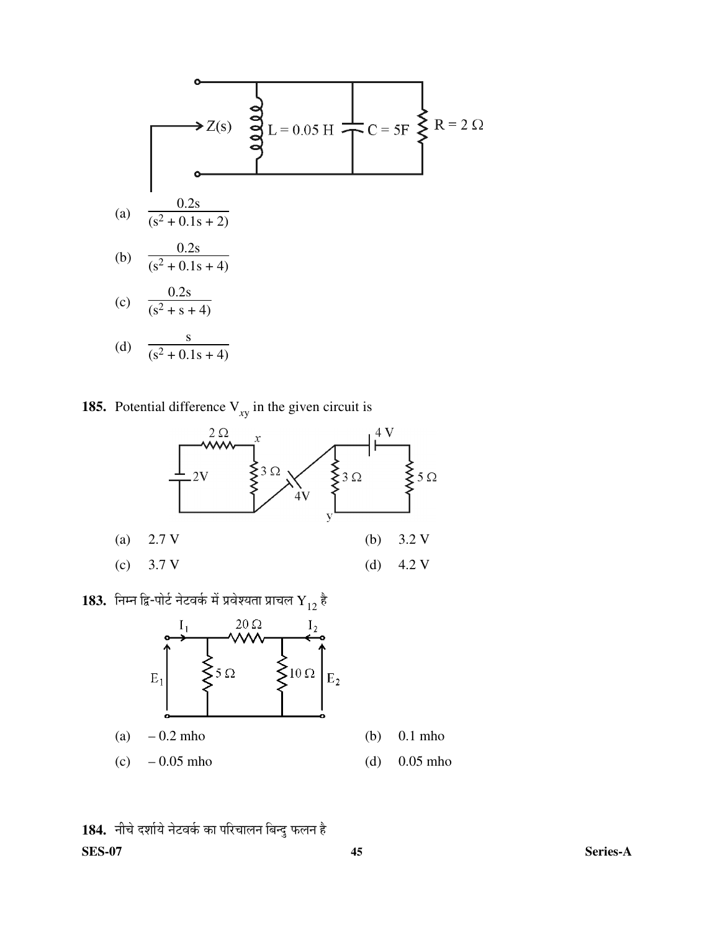$$
Z(s) = \frac{1}{2} \sum_{i=1}^{n} \frac{1}{2} = 0.05 \text{ H} \left\{\frac{1}{2} - 2.5 \text{ F} \right\} \text{ R} = 2.5
$$
  
\n(a)  $\frac{0.2 \text{ s}}{(s^2 + 0.1 \text{ s} + 2)}$   
\n(b)  $\frac{0.2 \text{ s}}{(s^2 + 0.1 \text{ s} + 4)}$   
\n(c)  $\frac{0.2 \text{ s}}{(s^2 + 0.1 \text{ s} + 4)}$   
\n(d)  $\frac{\text{ s}}{(s^2 + 0.1 \text{ s} + 4)}$ 

**185.** Potential difference  $V_{xy}$  in the given circuit is

![](_page_43_Figure_2.jpeg)

 $\bf 183.~$  निम्न द्वि-पोर्ट नेटवर्क में प्रवेश्यता प्राचल  ${\rm Y}_{12}$  है

![](_page_43_Figure_4.jpeg)

**SES-07 45 Series-A** 184. नीचे दर्शाये नेटवर्क का परिचालन बिन्दु फलन है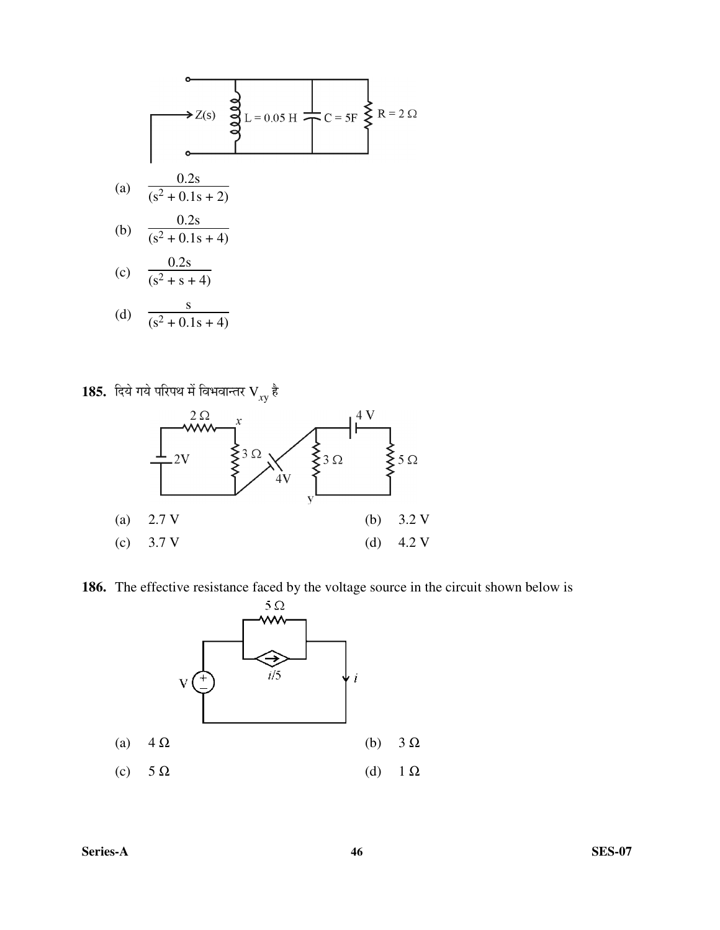(a) 
$$
\frac{0.2s}{(s^2 + 0.1s + 2)}
$$
  
\n(b)  $\frac{0.2s}{(s^2 + 0.1s + 4)}$   
\n(c)  $\frac{0.2s}{(s^2 + 0.1s + 4)}$   
\n(d)  $\frac{s}{(s^2 + 0.1s + 4)}$ 

 ${\bf 185.} \;$  दिये गये परिपथ में विभवान्तर  $\rm V_{_{\chi} p}$  है

![](_page_44_Figure_2.jpeg)

**186.** The effective resistance faced by the voltage source in the circuit shown below is

![](_page_44_Figure_4.jpeg)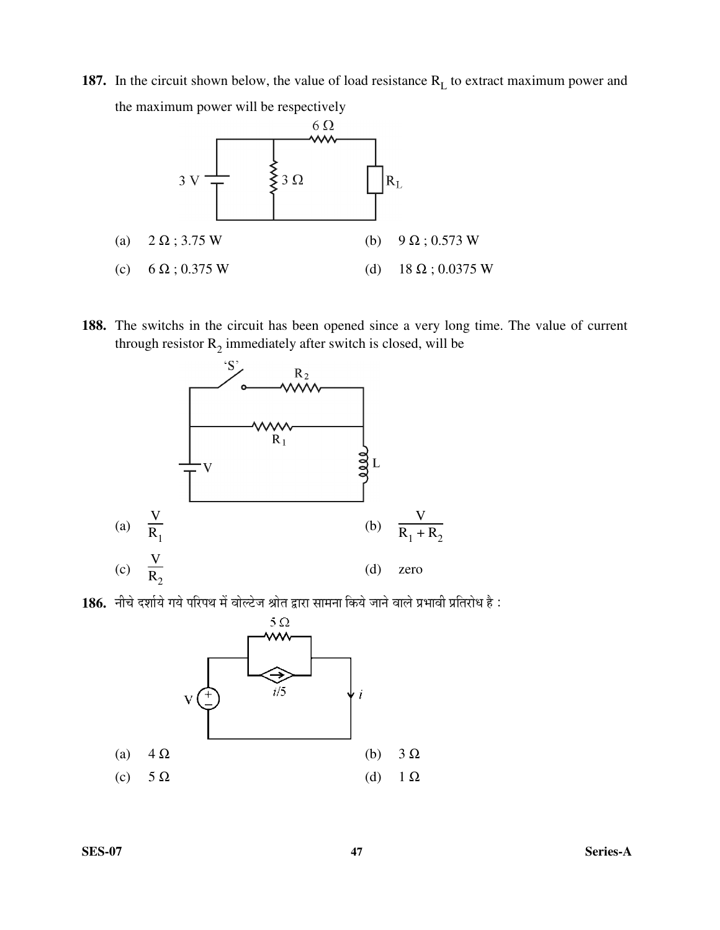**187.** In the circuit shown below, the value of load resistance R<sub>L</sub> to extract maximum power and the maximum power will be respectively

![](_page_45_Figure_1.jpeg)

**188.** The switchs in the circuit has been opened since a very long time. The value of current through resistor  $R_2$  immediately after switch is closed, will be

![](_page_45_Figure_3.jpeg)

186. नीचे दर्शाये गये परिपथ में वोल्टेज श्रोत द्वारा सामना किये जाने वाले प्रभावी प्रतिरोध है:

![](_page_45_Figure_5.jpeg)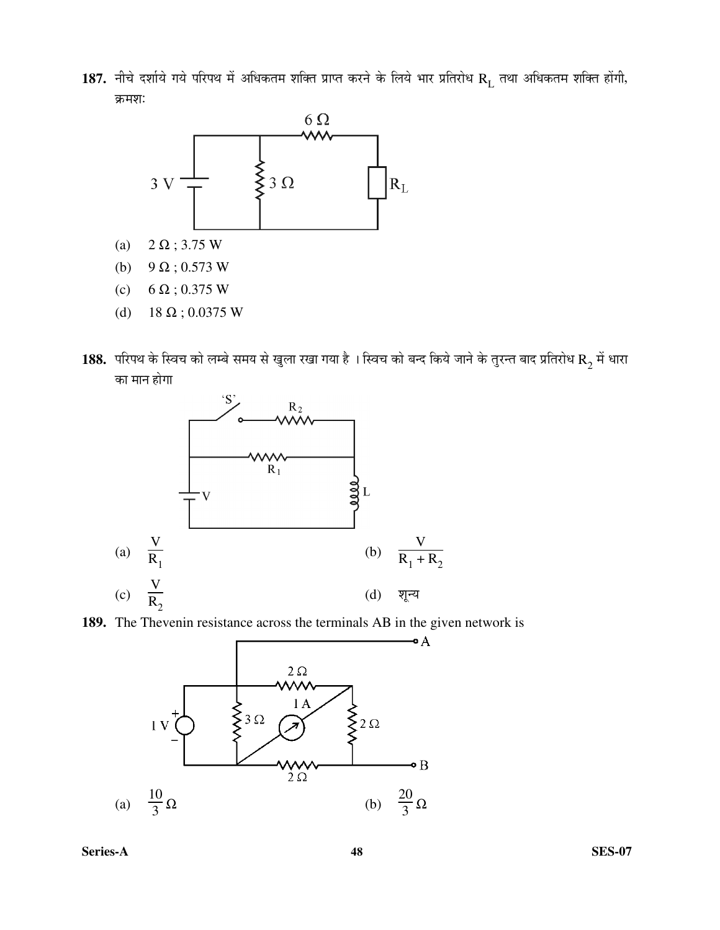${\bf 187.}$  नीचे दर्शाये गये परिपथ में अधिकतम शक्ति प्राप्त करने के लिये भार प्रतिरोध  $\rm R_L$  तथा अधिकतम शक्ति होंगी, क्रमशः

![](_page_46_Figure_1.jpeg)

- (a)  $2 \Omega$ ; 3.75 W
- (b) 9  $\Omega$ ; 0.573 W
- (c) 6  $\Omega$ ; 0.375 W
- (d)  $18 \Omega$ ; 0.0375 W
- ${\bf 188.} \;$  परिपथ के स्विच को लम्बे समय से खुला रखा गया है । स्विच को बन्द किये जाने के तुरन्त बाद प्रतिरोध  ${\bf R}_2$  में धारा का मान होगा

![](_page_46_Figure_7.jpeg)

![](_page_46_Figure_8.jpeg)

![](_page_46_Figure_9.jpeg)

**Series-A 48 SES-07**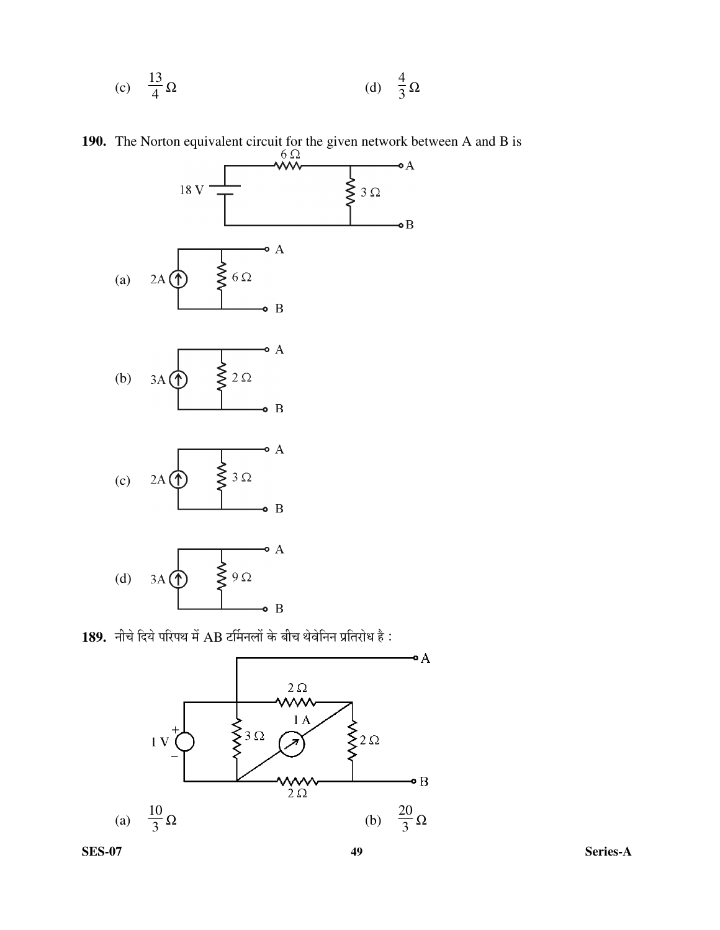(c) 
$$
\frac{13}{4}\Omega
$$
 (d)  $\frac{4}{3}\Omega$ 

**190.** The Norton equivalent circuit for the given network between A and B is

![](_page_47_Figure_2.jpeg)

189. नीचे दिये परिपथ में AB टर्मिनलों के बीच थेवेनिन प्रतिरोध है :

![](_page_47_Figure_4.jpeg)

**SES-07 49 Series-A**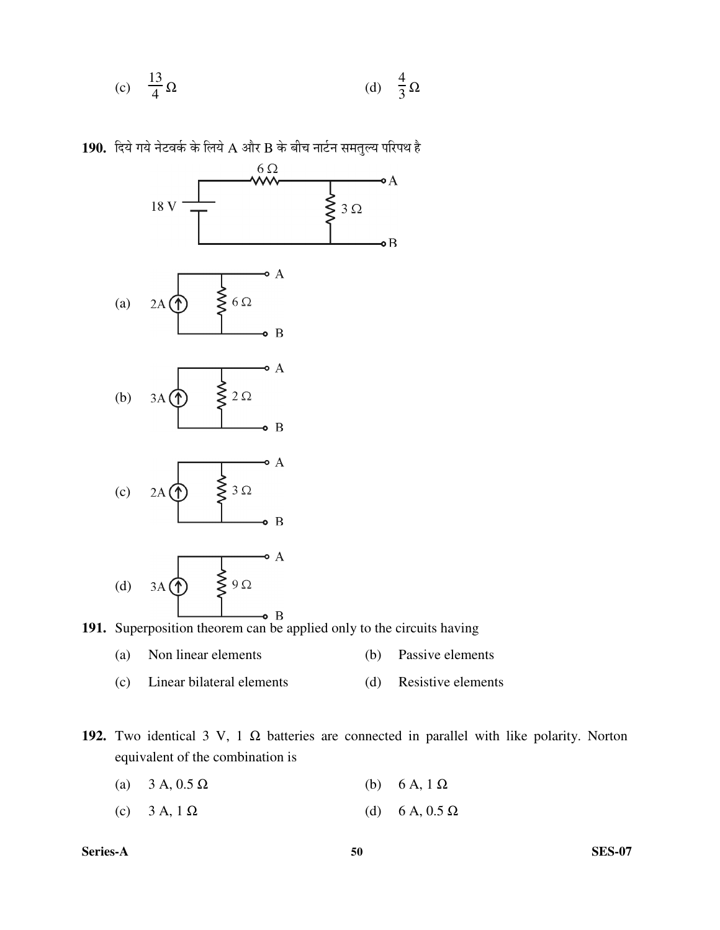(c) 
$$
\frac{13}{4}\Omega
$$
 (d)  $\frac{4}{3}\Omega$ 

190. दिये गये नेटवर्क के लिये A और B के बीच नार्टन समतुल्य परिपथ है

![](_page_48_Figure_2.jpeg)

**191.** Superposition theorem can be applied only to the circuits having

- (a) Non linear elements (b) Passive elements
- (c) Linear bilateral elements (d) Resistive elements
- **192.** Two identical 3 V, 1 Ω batteries are connected in parallel with like polarity. Norton equivalent of the combination is
	- (a)  $3 A$ ,  $0.5 \Omega$  (b)  $6 A$ ,  $1 \Omega$
	- (c) 3 A, 1 Ω (d) 6 A, 0.5 Ω

**Series-A 50 SES-07**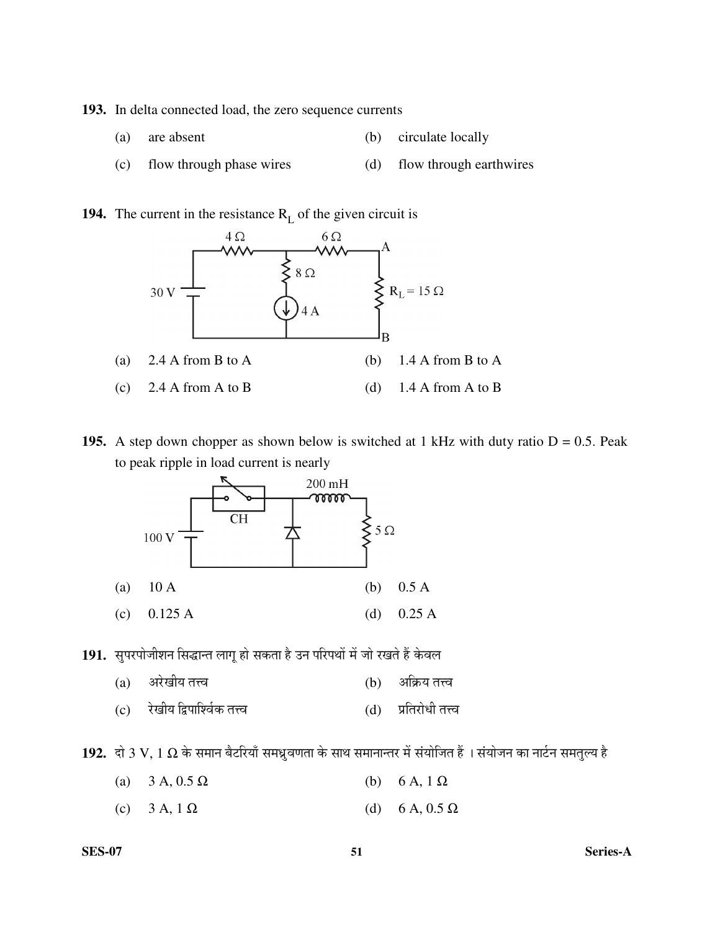**193.** In delta connected load, the zero sequence currents

- (a) are absent (b) circulate locally
- (c) flow through phase wires (d) flow through earthwires

**194.** The current in the resistance  $R<sub>L</sub>$  of the given circuit is

![](_page_49_Figure_4.jpeg)

**195.** A step down chopper as shown below is switched at 1 kHz with duty ratio  $D = 0.5$ . Peak to peak ripple in load current is nearly

![](_page_49_Figure_6.jpeg)

191. सुपरपोजीशन सिद्धान्त लागू हो सकता है उन परिपथों में जो रखते हैं केवल

- (a) †¸êüÜÖßµÖ ŸÖ¢¾Ö (b) †×ÛÎúµÖ ŸÖ¢¾Ö
- (c) रेखीय द्विपाश्विक तत्त्व (d) प्रतिरोधी तत्त्व

 $192.$  दो  $3$  V,  $1$   $\Omega$  के समान बैटरियाँ समध्रुवणता के साथ समानान्तर में संयोजित हैं । संयोजन का नार्टन समतुल्य है

- (a)  $3 \text{ A}$ ,  $0.5 \Omega$  (b) 6 A,  $1 \Omega$
- (c)  $3 \text{ A}$ ,  $1 \Omega$  (d)  $6 \text{ A}$ ,  $0.5 \Omega$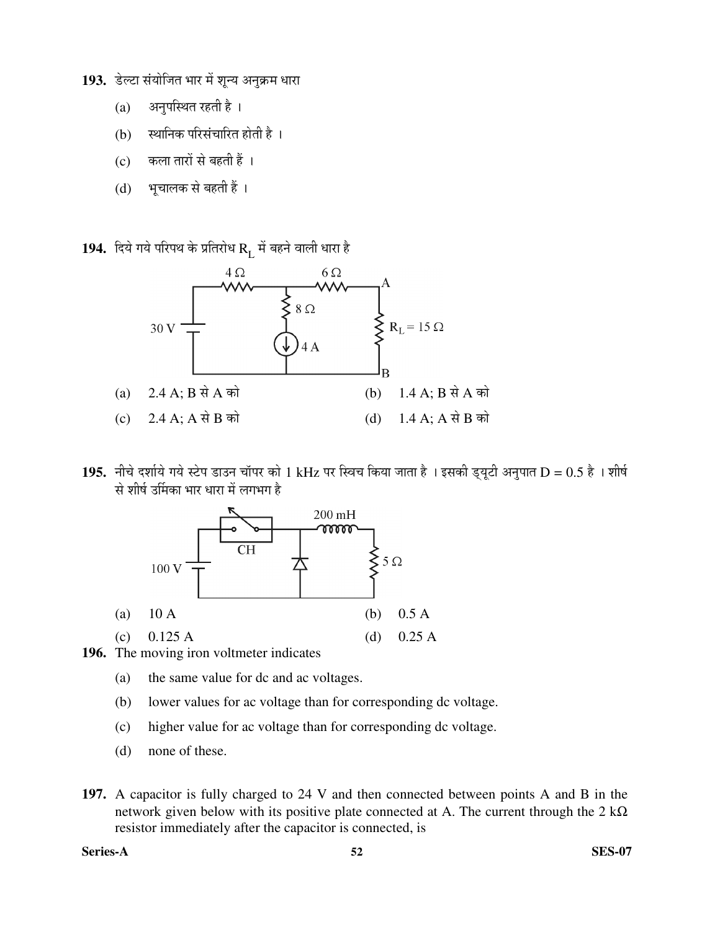193. डेल्टा संयोजित भार में शुन्य अनुक्रम धारा

- $(a)$  अनुपस्थित रहती है।
- (b) स्थानिक परिसंचारित होती है ।
- (c) कला तारों से बहती हैं ।
- (d) भूचालक से बहती हैं ।

 $\bf 194.~$  दिये गये परिपथ के प्रतिरोध  $\rm R_L$  में बहने वाली धारा है

![](_page_50_Figure_6.jpeg)

195. नीचे दर्शाये गये स्टेप डाउन चॉपर को 1 kHz पर स्विच किया जाता है । इसकी ड्यूटी अनुपात D = 0.5 है । शीर्ष से शीर्ष उर्मिका भार धारा में लगभग है

![](_page_50_Figure_8.jpeg)

- **196.** The moving iron voltmeter indicates
	- (a) the same value for dc and ac voltages.
	- (b) lower values for ac voltage than for corresponding dc voltage.
	- (c) higher value for ac voltage than for corresponding dc voltage.
	- (d) none of these.
- **197.** A capacitor is fully charged to 24 V and then connected between points A and B in the network given below with its positive plate connected at A. The current through the  $2 \text{ k}\Omega$ resistor immediately after the capacitor is connected, is

**Series-A 52 SES-07**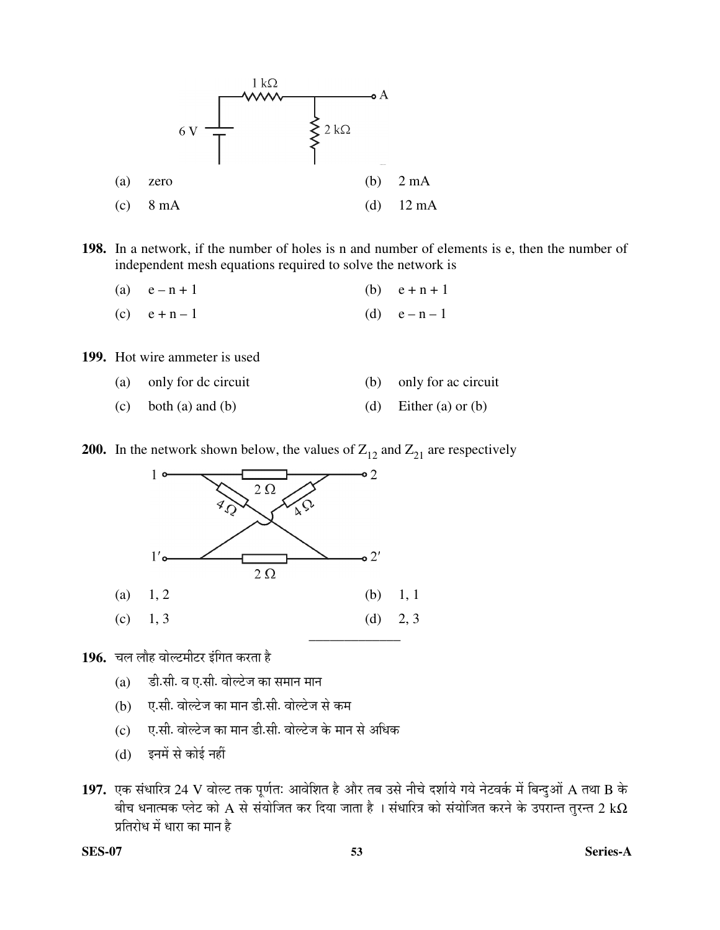![](_page_51_Figure_0.jpeg)

**198.** In a network, if the number of holes is n and number of elements is e, then the number of independent mesh equations required to solve the network is

- (a)  $e-n+1$  (b)  $e+n+1$ (c)  $e + n - 1$  (d)  $e - n - 1$
- **199.** Hot wire ammeter is used

| (a) only for dc circuit    | (b) only for ac circuit |
|----------------------------|-------------------------|
| $(c)$ both $(a)$ and $(b)$ | (d) Either (a) or (b)   |

**200.** In the network shown below, the values of  $Z_{12}$  and  $Z_{21}$  are respectively

![](_page_51_Figure_6.jpeg)

196. घल लौह वोल्टमीटर इंगित करता है

- $(a)$   $\vec{s}$ ी.सी. व ए.सी. वोल्टेज का समान मान
- (b) ए.सी. वोल्टेज का मान डी.सी. वोल्टेज से कम
- $(c)$  ए.सी. वोल्टेज का मान डी.सी. वोल्टेज के मान से अधिक
- (d) इनमें से कोई नहीं
- 1**97.** एक संधारित्र 24 V वोल्ट तक पूर्णतः आवेशित है और तब उसे नीचे दर्शाये गये नेटवर्क में बिन्दुओं A तथा B के बीच धनात्मक प्लेट को A से संयोजित कर दिया जाता है । संधारित्र को संयोजित करने के उपरान्त तुरन्त 2 k $\Omega$ प्रतिरोध में धारा का मान है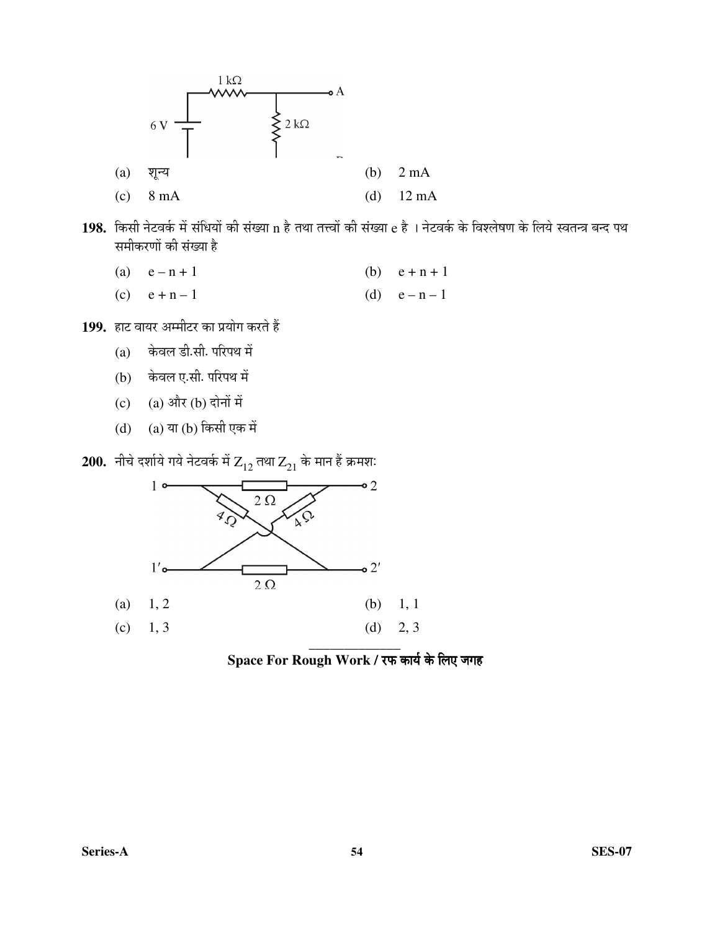![](_page_52_Figure_0.jpeg)

198. किसी नेटवर्क में संधियों की संख्या n है तथा तत्त्वों की संख्या e है । नेटवर्क के विश्लेषण के लिये स्वतन्त्र बन्द पथ समीकरणों की संख्या है

(a)  $e - n + 1$  (b)  $e + n + 1$ 

(c)  $e + n - 1$  (d)  $e - n - 1$ 

199. हाट वायर अम्मीटर का प्रयोग करते हैं

- $(a)$  केवल डी.सी. परिपथ में
- (b) केवल ए.सी. परिपथ में
- (c)  $(a)$  और  $(b)$  दोनों में
- $(d)$   $(a)$  या  $(b)$  किसी एक में
- $200.$  नीचे दर्शाये गये नेटवर्क में  $Z_{12}$  तथा  $Z_{21}$  के मान हैं क्रमशः

![](_page_52_Figure_10.jpeg)

Space For Rough Work / रफ कार्य के लिए जगह